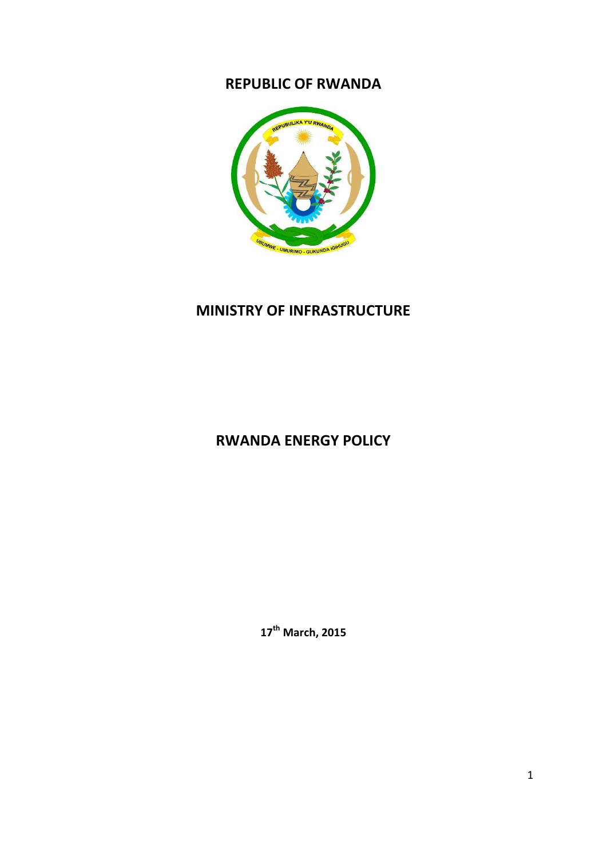## **REPUBLIC OF RWANDA**



# **MINISTRY OF INFRASTRUCTURE**

# **RWANDA ENERGY POLICY**

**17th March, 2015**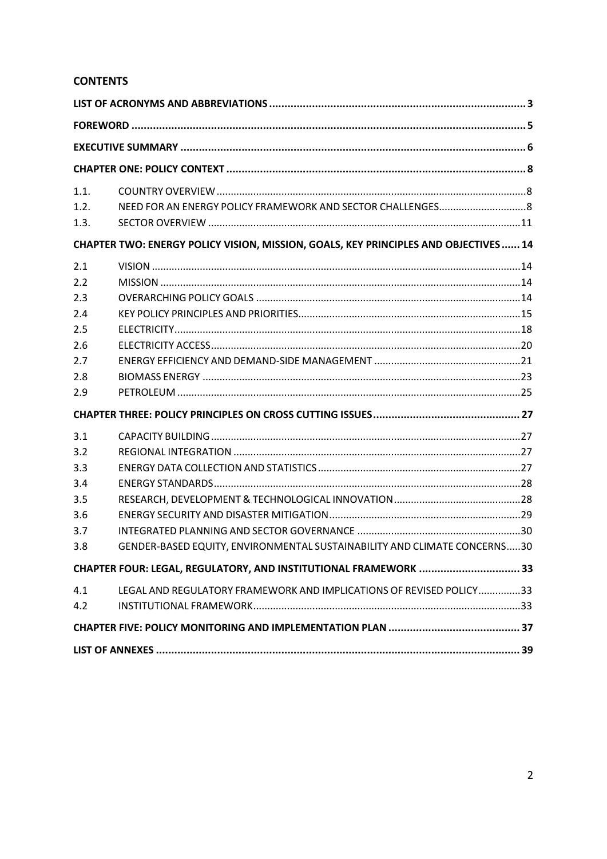## **CONTENTS**

| 1.1.                                                                                |                                                                          |  |  |
|-------------------------------------------------------------------------------------|--------------------------------------------------------------------------|--|--|
| 1.2.                                                                                |                                                                          |  |  |
| 1.3.                                                                                |                                                                          |  |  |
| CHAPTER TWO: ENERGY POLICY VISION, MISSION, GOALS, KEY PRINCIPLES AND OBJECTIVES 14 |                                                                          |  |  |
| 2.1                                                                                 |                                                                          |  |  |
| 2.2                                                                                 |                                                                          |  |  |
| 2.3                                                                                 |                                                                          |  |  |
| 2.4                                                                                 |                                                                          |  |  |
| 2.5                                                                                 |                                                                          |  |  |
| 2.6                                                                                 |                                                                          |  |  |
| 2.7                                                                                 |                                                                          |  |  |
| 2.8                                                                                 |                                                                          |  |  |
| 2.9                                                                                 |                                                                          |  |  |
|                                                                                     |                                                                          |  |  |
| 3.1                                                                                 |                                                                          |  |  |
| 3.2                                                                                 |                                                                          |  |  |
| 3.3                                                                                 |                                                                          |  |  |
| 3.4                                                                                 |                                                                          |  |  |
| 3.5                                                                                 |                                                                          |  |  |
| 3.6                                                                                 |                                                                          |  |  |
| 3.7                                                                                 |                                                                          |  |  |
| 3.8                                                                                 | GENDER-BASED EQUITY, ENVIRONMENTAL SUSTAINABILITY AND CLIMATE CONCERNS30 |  |  |
| CHAPTER FOUR: LEGAL, REGULATORY, AND INSTITUTIONAL FRAMEWORK  33                    |                                                                          |  |  |
| 4.1                                                                                 | LEGAL AND REGULATORY FRAMEWORK AND IMPLICATIONS OF REVISED POLICY33      |  |  |
| 4.2                                                                                 |                                                                          |  |  |
|                                                                                     |                                                                          |  |  |
|                                                                                     |                                                                          |  |  |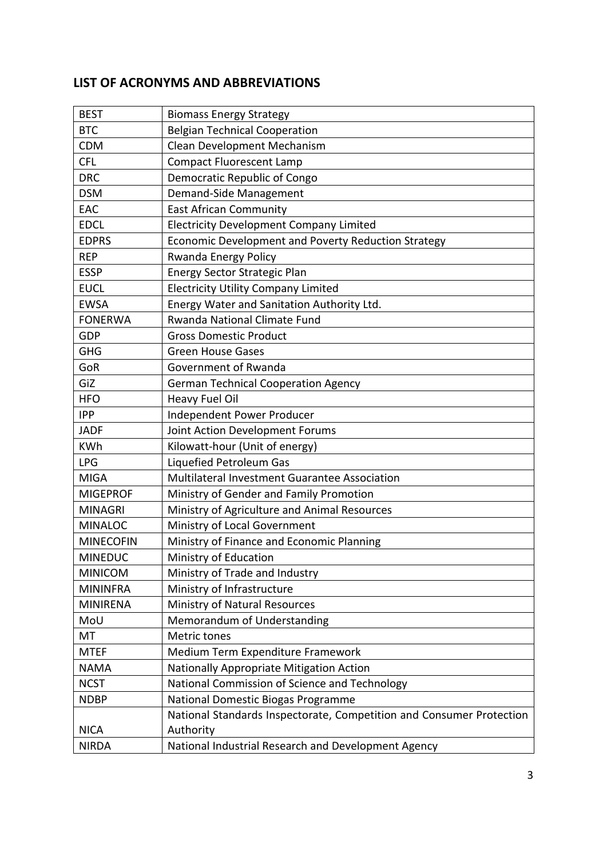## <span id="page-2-0"></span>**LIST OF ACRONYMS AND ABBREVIATIONS**

| <b>BEST</b>      | <b>Biomass Energy Strategy</b>                                       |
|------------------|----------------------------------------------------------------------|
| <b>BTC</b>       | <b>Belgian Technical Cooperation</b>                                 |
| <b>CDM</b>       | Clean Development Mechanism                                          |
| <b>CFL</b>       | <b>Compact Fluorescent Lamp</b>                                      |
| <b>DRC</b>       | Democratic Republic of Congo                                         |
| <b>DSM</b>       | Demand-Side Management                                               |
| EAC              | <b>East African Community</b>                                        |
| <b>EDCL</b>      | <b>Electricity Development Company Limited</b>                       |
| <b>EDPRS</b>     | Economic Development and Poverty Reduction Strategy                  |
| <b>REP</b>       | Rwanda Energy Policy                                                 |
| <b>ESSP</b>      | Energy Sector Strategic Plan                                         |
| <b>EUCL</b>      | <b>Electricity Utility Company Limited</b>                           |
| <b>EWSA</b>      | Energy Water and Sanitation Authority Ltd.                           |
| <b>FONERWA</b>   | Rwanda National Climate Fund                                         |
| GDP              | <b>Gross Domestic Product</b>                                        |
| <b>GHG</b>       | <b>Green House Gases</b>                                             |
| GoR              | Government of Rwanda                                                 |
| GiZ              | <b>German Technical Cooperation Agency</b>                           |
| <b>HFO</b>       | Heavy Fuel Oil                                                       |
| <b>IPP</b>       | Independent Power Producer                                           |
| <b>JADF</b>      | Joint Action Development Forums                                      |
| <b>KWh</b>       | Kilowatt-hour (Unit of energy)                                       |
| <b>LPG</b>       | Liquefied Petroleum Gas                                              |
| <b>MIGA</b>      | Multilateral Investment Guarantee Association                        |
| <b>MIGEPROF</b>  | Ministry of Gender and Family Promotion                              |
| <b>MINAGRI</b>   | Ministry of Agriculture and Animal Resources                         |
| <b>MINALOC</b>   | Ministry of Local Government                                         |
| <b>MINECOFIN</b> | Ministry of Finance and Economic Planning                            |
| <b>MINEDUC</b>   | Ministry of Education                                                |
| <b>MINICOM</b>   | Ministry of Trade and Industry                                       |
| <b>MININFRA</b>  | Ministry of Infrastructure                                           |
| <b>MINIRENA</b>  | Ministry of Natural Resources                                        |
| MoU              | Memorandum of Understanding                                          |
| МT               | Metric tones                                                         |
| <b>MTEF</b>      | Medium Term Expenditure Framework                                    |
| <b>NAMA</b>      | Nationally Appropriate Mitigation Action                             |
| <b>NCST</b>      | National Commission of Science and Technology                        |
| <b>NDBP</b>      | National Domestic Biogas Programme                                   |
|                  | National Standards Inspectorate, Competition and Consumer Protection |
| <b>NICA</b>      | Authority                                                            |
| <b>NIRDA</b>     | National Industrial Research and Development Agency                  |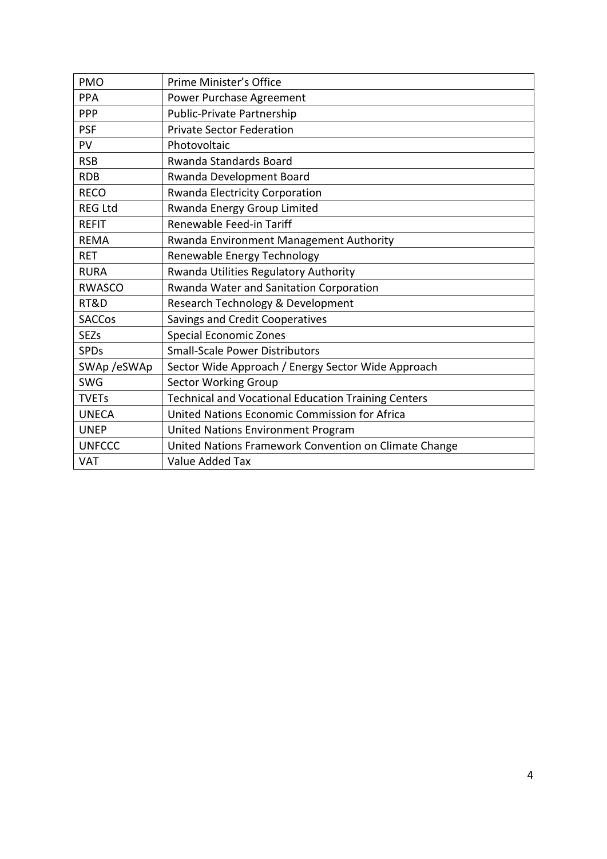| <b>PMO</b>     | Prime Minister's Office                                    |
|----------------|------------------------------------------------------------|
| PPA            | Power Purchase Agreement                                   |
| <b>PPP</b>     | Public-Private Partnership                                 |
| <b>PSF</b>     | <b>Private Sector Federation</b>                           |
| PV             | Photovoltaic                                               |
| <b>RSB</b>     | <b>Rwanda Standards Board</b>                              |
| <b>RDB</b>     | Rwanda Development Board                                   |
| <b>RECO</b>    | Rwanda Electricity Corporation                             |
| <b>REG Ltd</b> | Rwanda Energy Group Limited                                |
| <b>REFIT</b>   | Renewable Feed-in Tariff                                   |
| <b>REMA</b>    | Rwanda Environment Management Authority                    |
| <b>RET</b>     | Renewable Energy Technology                                |
| <b>RURA</b>    | Rwanda Utilities Regulatory Authority                      |
| <b>RWASCO</b>  | Rwanda Water and Sanitation Corporation                    |
| RT&D           | Research Technology & Development                          |
| <b>SACCos</b>  | Savings and Credit Cooperatives                            |
| <b>SEZs</b>    | <b>Special Economic Zones</b>                              |
| <b>SPDs</b>    | <b>Small-Scale Power Distributors</b>                      |
| SWAp/eSWAp     | Sector Wide Approach / Energy Sector Wide Approach         |
| <b>SWG</b>     | <b>Sector Working Group</b>                                |
| <b>TVETs</b>   | <b>Technical and Vocational Education Training Centers</b> |
| <b>UNECA</b>   | United Nations Economic Commission for Africa              |
| <b>UNEP</b>    | United Nations Environment Program                         |
| <b>UNFCCC</b>  | United Nations Framework Convention on Climate Change      |
| <b>VAT</b>     | Value Added Tax                                            |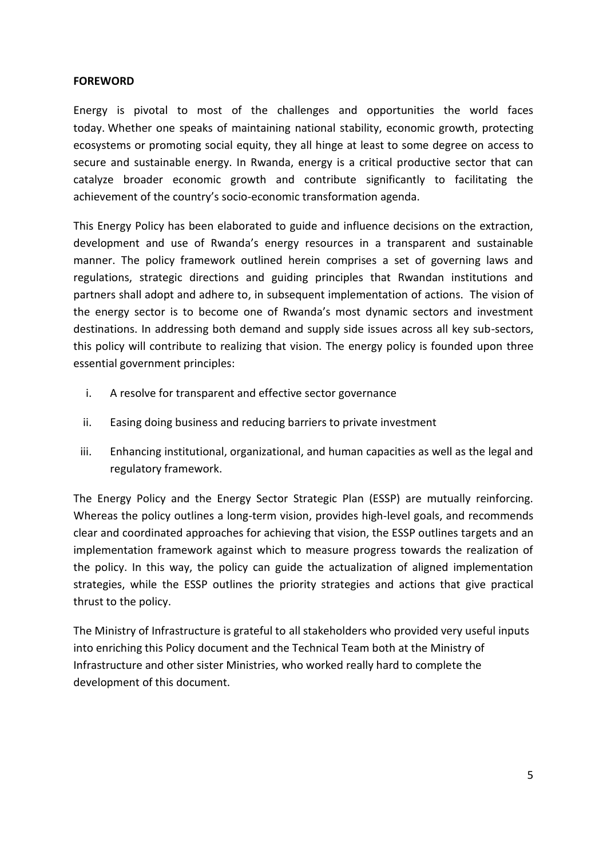#### <span id="page-4-0"></span>**FOREWORD**

Energy is pivotal to most of the challenges and opportunities the world faces today. Whether one speaks of maintaining national stability, economic growth, protecting ecosystems or promoting social equity, they all hinge at least to some degree on access to secure and sustainable energy. In Rwanda, energy is a critical productive sector that can catalyze broader economic growth and contribute significantly to facilitating the achievement of the country's socio-economic transformation agenda.

This Energy Policy has been elaborated to guide and influence decisions on the extraction, development and use of Rwanda's energy resources in a transparent and sustainable manner. The policy framework outlined herein comprises a set of governing laws and regulations, strategic directions and guiding principles that Rwandan institutions and partners shall adopt and adhere to, in subsequent implementation of actions. The vision of the energy sector is to become one of Rwanda's most dynamic sectors and investment destinations. In addressing both demand and supply side issues across all key sub-sectors, this policy will contribute to realizing that vision. The energy policy is founded upon three essential government principles:

- i. A resolve for transparent and effective sector governance
- ii. Easing doing business and reducing barriers to private investment
- iii. Enhancing institutional, organizational, and human capacities as well as the legal and regulatory framework.

The Energy Policy and the Energy Sector Strategic Plan (ESSP) are mutually reinforcing. Whereas the policy outlines a long-term vision, provides high-level goals, and recommends clear and coordinated approaches for achieving that vision, the ESSP outlines targets and an implementation framework against which to measure progress towards the realization of the policy. In this way, the policy can guide the actualization of aligned implementation strategies, while the ESSP outlines the priority strategies and actions that give practical thrust to the policy.

The Ministry of Infrastructure is grateful to all stakeholders who provided very useful inputs into enriching this Policy document and the Technical Team both at the Ministry of Infrastructure and other sister Ministries, who worked really hard to complete the development of this document.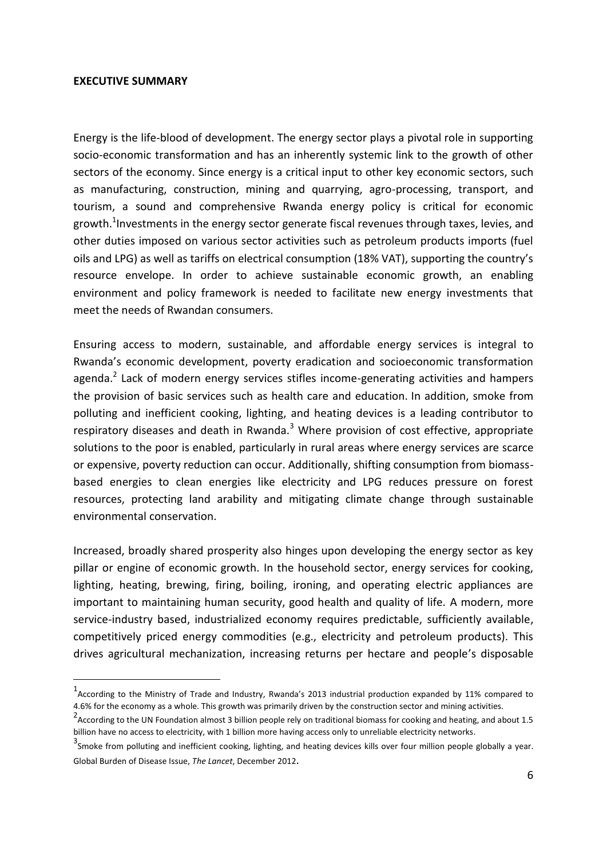#### <span id="page-5-0"></span>**EXECUTIVE SUMMARY**

-

Energy is the life-blood of development. The energy sector plays a pivotal role in supporting socio-economic transformation and has an inherently systemic link to the growth of other sectors of the economy. Since energy is a critical input to other key economic sectors, such as manufacturing, construction, mining and quarrying, agro-processing, transport, and tourism, a sound and comprehensive Rwanda energy policy is critical for economic growth.<sup>1</sup>Investments in the energy sector generate fiscal revenues through taxes, levies, and other duties imposed on various sector activities such as petroleum products imports (fuel oils and LPG) as well as tariffs on electrical consumption (18% VAT), supporting the country's resource envelope. In order to achieve sustainable economic growth, an enabling environment and policy framework is needed to facilitate new energy investments that meet the needs of Rwandan consumers.

Ensuring access to modern, sustainable, and affordable energy services is integral to Rwanda's economic development, poverty eradication and socioeconomic transformation agenda.<sup>2</sup> Lack of modern energy services stifles income-generating activities and hampers the provision of basic services such as health care and education. In addition, smoke from polluting and inefficient cooking, lighting, and heating devices is a leading contributor to respiratory diseases and death in Rwanda.<sup>3</sup> Where provision of cost effective, appropriate solutions to the poor is enabled, particularly in rural areas where energy services are scarce or expensive, poverty reduction can occur. Additionally, shifting consumption from biomassbased energies to clean energies like electricity and LPG reduces pressure on forest resources, protecting land arability and mitigating climate change through sustainable environmental conservation.

Increased, broadly shared prosperity also hinges upon developing the energy sector as key pillar or engine of economic growth. In the household sector, energy services for cooking, lighting, heating, brewing, firing, boiling, ironing, and operating electric appliances are important to maintaining human security, good health and quality of life. A modern, more service-industry based, industrialized economy requires predictable, sufficiently available, competitively priced energy commodities (e.g., electricity and petroleum products). This drives agricultural mechanization, increasing returns per hectare and people's disposable

<sup>1</sup> According to the Ministry of Trade and Industry, Rwanda's 2013 industrial production expanded by 11% compared to 4.6% for the economy as a whole. This growth was primarily driven by the construction sector and mining activities.

<sup>&</sup>lt;sup>2</sup> According to the UN Foundation almost 3 billion people rely on traditional biomass for cooking and heating, and about 1.5 billion have no access to electricity, with 1 billion more having access only to unreliable electricity networks.

 $3$ Smoke from polluting and inefficient cooking, lighting, and heating devices kills over four million people globally a year. Global Burden of Disease Issue, *The Lancet*, December 2012.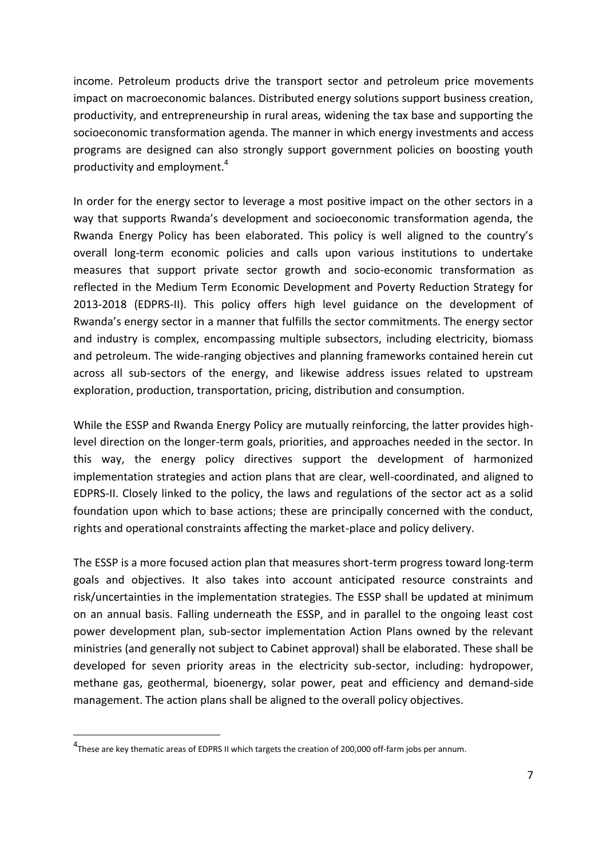income. Petroleum products drive the transport sector and petroleum price movements impact on macroeconomic balances. Distributed energy solutions support business creation, productivity, and entrepreneurship in rural areas, widening the tax base and supporting the socioeconomic transformation agenda. The manner in which energy investments and access programs are designed can also strongly support government policies on boosting youth productivity and employment.<sup>4</sup>

In order for the energy sector to leverage a most positive impact on the other sectors in a way that supports Rwanda's development and socioeconomic transformation agenda, the Rwanda Energy Policy has been elaborated. This policy is well aligned to the country's overall long-term economic policies and calls upon various institutions to undertake measures that support private sector growth and socio-economic transformation as reflected in the Medium Term Economic Development and Poverty Reduction Strategy for 2013-2018 (EDPRS-II). This policy offers high level guidance on the development of Rwanda's energy sector in a manner that fulfills the sector commitments. The energy sector and industry is complex, encompassing multiple subsectors, including electricity, biomass and petroleum. The wide-ranging objectives and planning frameworks contained herein cut across all sub-sectors of the energy, and likewise address issues related to upstream exploration, production, transportation, pricing, distribution and consumption.

While the ESSP and Rwanda Energy Policy are mutually reinforcing, the latter provides highlevel direction on the longer-term goals, priorities, and approaches needed in the sector. In this way, the energy policy directives support the development of harmonized implementation strategies and action plans that are clear, well-coordinated, and aligned to EDPRS-II. Closely linked to the policy, the laws and regulations of the sector act as a solid foundation upon which to base actions; these are principally concerned with the conduct, rights and operational constraints affecting the market-place and policy delivery.

The ESSP is a more focused action plan that measures short-term progress toward long-term goals and objectives. It also takes into account anticipated resource constraints and risk/uncertainties in the implementation strategies. The ESSP shall be updated at minimum on an annual basis. Falling underneath the ESSP, and in parallel to the ongoing least cost power development plan, sub-sector implementation Action Plans owned by the relevant ministries (and generally not subject to Cabinet approval) shall be elaborated. These shall be developed for seven priority areas in the electricity sub-sector, including: hydropower, methane gas, geothermal, bioenergy, solar power, peat and efficiency and demand-side management. The action plans shall be aligned to the overall policy objectives.

-

<sup>&</sup>lt;sup>4</sup>These are key thematic areas of EDPRS II which targets the creation of 200,000 off-farm jobs per annum.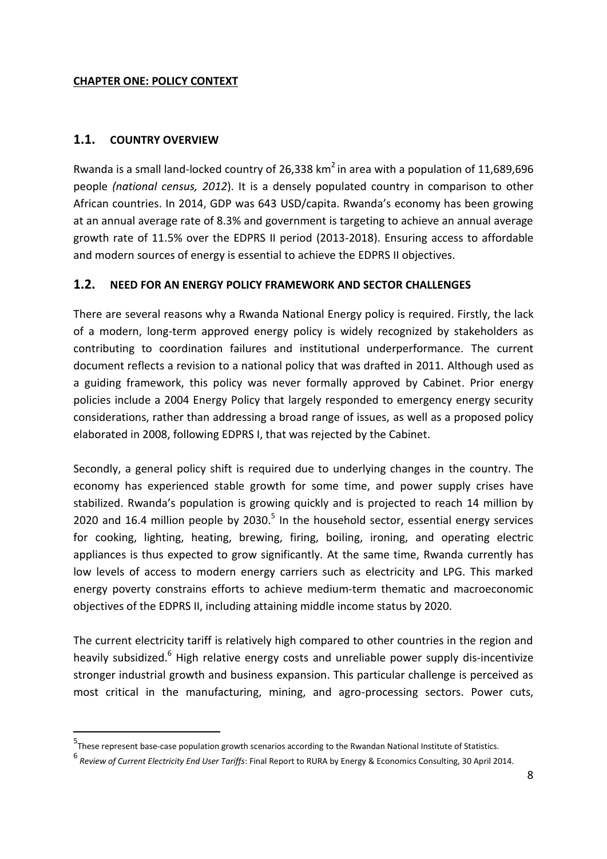#### <span id="page-7-0"></span>**CHAPTER ONE: POLICY CONTEXT**

#### <span id="page-7-1"></span>**1.1. COUNTRY OVERVIEW**

-

Rwanda is a small land-locked country of 26,338 km<sup>2</sup> in area with a population of 11,689,696 people *(national census, 2012*). It is a densely populated country in comparison to other African countries. In 2014, GDP was 643 USD/capita. Rwanda's economy has been growing at an annual average rate of 8.3% and government is targeting to achieve an annual average growth rate of 11.5% over the EDPRS II period (2013-2018). Ensuring access to affordable and modern sources of energy is essential to achieve the EDPRS II objectives.

#### <span id="page-7-2"></span>**1.2. NEED FOR AN ENERGY POLICY FRAMEWORK AND SECTOR CHALLENGES**

There are several reasons why a Rwanda National Energy policy is required. Firstly, the lack of a modern, long-term approved energy policy is widely recognized by stakeholders as contributing to coordination failures and institutional underperformance. The current document reflects a revision to a national policy that was drafted in 2011. Although used as a guiding framework, this policy was never formally approved by Cabinet. Prior energy policies include a 2004 Energy Policy that largely responded to emergency energy security considerations, rather than addressing a broad range of issues, as well as a proposed policy elaborated in 2008, following EDPRS I, that was rejected by the Cabinet.

Secondly, a general policy shift is required due to underlying changes in the country. The economy has experienced stable growth for some time, and power supply crises have stabilized. Rwanda's population is growing quickly and is projected to reach 14 million by 2020 and 16.4 million people by 2030. $5$  In the household sector, essential energy services for cooking, lighting, heating, brewing, firing, boiling, ironing, and operating electric appliances is thus expected to grow significantly. At the same time, Rwanda currently has low levels of access to modern energy carriers such as electricity and LPG. This marked energy poverty constrains efforts to achieve medium-term thematic and macroeconomic objectives of the EDPRS II, including attaining middle income status by 2020.

The current electricity tariff is relatively high compared to other countries in the region and heavily subsidized.<sup>6</sup> High relative energy costs and unreliable power supply dis-incentivize stronger industrial growth and business expansion. This particular challenge is perceived as most critical in the manufacturing, mining, and agro-processing sectors. Power cuts,

<sup>5</sup> These represent base-case population growth scenarios according to the Rwandan National Institute of Statistics.

<sup>6</sup> *Review of Current Electricity End User Tariffs*: Final Report to RURA by Energy & Economics Consulting, 30 April 2014.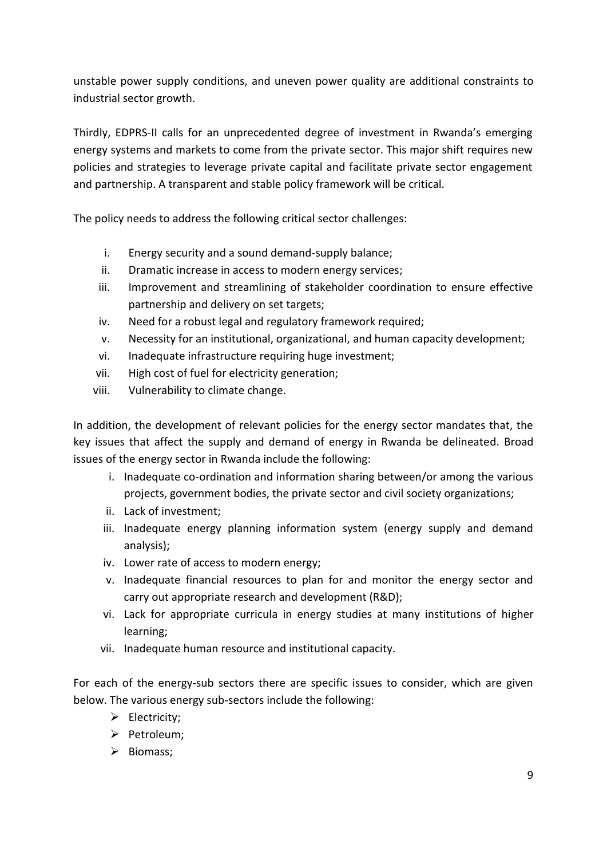unstable power supply conditions, and uneven power quality are additional constraints to industrial sector growth.

Thirdly, EDPRS-II calls for an unprecedented degree of investment in Rwanda's emerging energy systems and markets to come from the private sector. This major shift requires new policies and strategies to leverage private capital and facilitate private sector engagement and partnership. A transparent and stable policy framework will be critical.

The policy needs to address the following critical sector challenges:

- i. Energy security and a sound demand-supply balance;
- ii. Dramatic increase in access to modern energy services;
- iii. Improvement and streamlining of stakeholder coordination to ensure effective partnership and delivery on set targets;
- iv. Need for a robust legal and regulatory framework required;
- v. Necessity for an institutional, organizational, and human capacity development;
- vi. Inadequate infrastructure requiring huge investment;
- vii. High cost of fuel for electricity generation;
- viii. Vulnerability to climate change.

In addition, the development of relevant policies for the energy sector mandates that, the key issues that affect the supply and demand of energy in Rwanda be delineated. Broad issues of the energy sector in Rwanda include the following:

- i. Inadequate co-ordination and information sharing between/or among the various projects, government bodies, the private sector and civil society organizations;
- ii. Lack of investment;
- iii. Inadequate energy planning information system (energy supply and demand analysis);
- iv. Lower rate of access to modern energy;
- v. Inadequate financial resources to plan for and monitor the energy sector and carry out appropriate research and development (R&D);
- vi. Lack for appropriate curricula in energy studies at many institutions of higher learning;
- vii. Inadequate human resource and institutional capacity.

For each of the energy-sub sectors there are specific issues to consider, which are given below. The various energy sub-sectors include the following:

- $\triangleright$  Electricity;
- Petroleum;
- $\triangleright$  Biomass;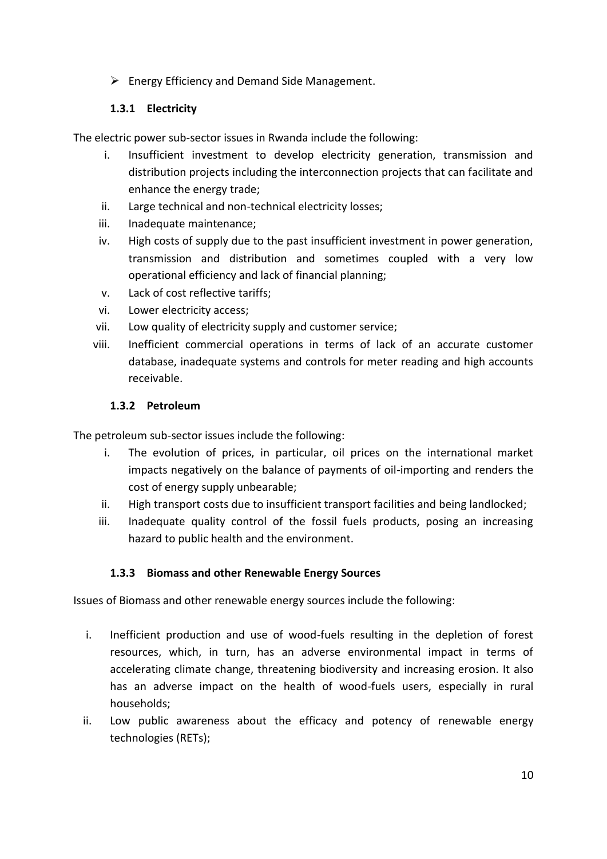$\triangleright$  Energy Efficiency and Demand Side Management.

## **1.3.1 Electricity**

The electric power sub-sector issues in Rwanda include the following:

- i. Insufficient investment to develop electricity generation, transmission and distribution projects including the interconnection projects that can facilitate and enhance the energy trade;
- ii. Large technical and non-technical electricity losses;
- iii. Inadequate maintenance;
- iv. High costs of supply due to the past insufficient investment in power generation, transmission and distribution and sometimes coupled with a very low operational efficiency and lack of financial planning;
- v. Lack of cost reflective tariffs;
- vi. Lower electricity access;
- vii. Low quality of electricity supply and customer service;
- viii. Inefficient commercial operations in terms of lack of an accurate customer database, inadequate systems and controls for meter reading and high accounts receivable.

#### **1.3.2 Petroleum**

The petroleum sub-sector issues include the following:

- i. The evolution of prices, in particular, oil prices on the international market impacts negatively on the balance of payments of oil-importing and renders the cost of energy supply unbearable;
- ii. High transport costs due to insufficient transport facilities and being landlocked;
- iii. Inadequate quality control of the fossil fuels products, posing an increasing hazard to public health and the environment.

#### **1.3.3 Biomass and other Renewable Energy Sources**

Issues of Biomass and other renewable energy sources include the following:

- i. Inefficient production and use of wood-fuels resulting in the depletion of forest resources, which, in turn, has an adverse environmental impact in terms of accelerating climate change, threatening biodiversity and increasing erosion. It also has an adverse impact on the health of wood-fuels users, especially in rural households;
- ii. Low public awareness about the efficacy and potency of renewable energy technologies (RETs);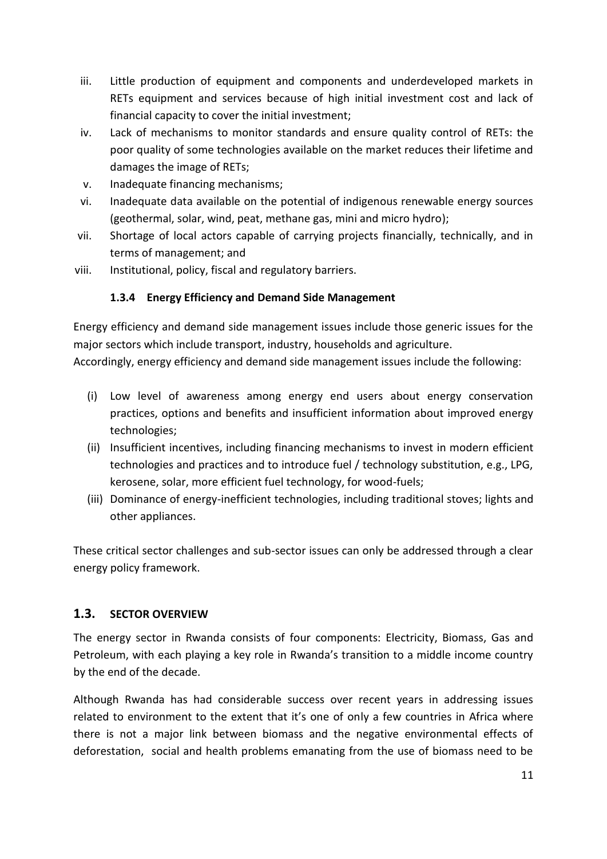- iii. Little production of equipment and components and underdeveloped markets in RETs equipment and services because of high initial investment cost and lack of financial capacity to cover the initial investment;
- iv. Lack of mechanisms to monitor standards and ensure quality control of RETs: the poor quality of some technologies available on the market reduces their lifetime and damages the image of RETs;
- v. Inadequate financing mechanisms;
- vi. Inadequate data available on the potential of indigenous renewable energy sources (geothermal, solar, wind, peat, methane gas, mini and micro hydro);
- vii. Shortage of local actors capable of carrying projects financially, technically, and in terms of management; and
- viii. Institutional, policy, fiscal and regulatory barriers.

## **1.3.4 Energy Efficiency and Demand Side Management**

Energy efficiency and demand side management issues include those generic issues for the major sectors which include transport, industry, households and agriculture.

Accordingly, energy efficiency and demand side management issues include the following:

- (i) Low level of awareness among energy end users about energy conservation practices, options and benefits and insufficient information about improved energy technologies;
- (ii) Insufficient incentives, including financing mechanisms to invest in modern efficient technologies and practices and to introduce fuel / technology substitution, e.g., LPG, kerosene, solar, more efficient fuel technology, for wood-fuels;
- (iii) Dominance of energy-inefficient technologies, including traditional stoves; lights and other appliances.

These critical sector challenges and sub-sector issues can only be addressed through a clear energy policy framework.

#### <span id="page-10-0"></span>**1.3. SECTOR OVERVIEW**

The energy sector in Rwanda consists of four components: Electricity, Biomass, Gas and Petroleum, with each playing a key role in Rwanda's transition to a middle income country by the end of the decade.

Although Rwanda has had considerable success over recent years in addressing issues related to environment to the extent that it's one of only a few countries in Africa where there is not a major link between biomass and the negative environmental effects of deforestation, social and health problems emanating from the use of biomass need to be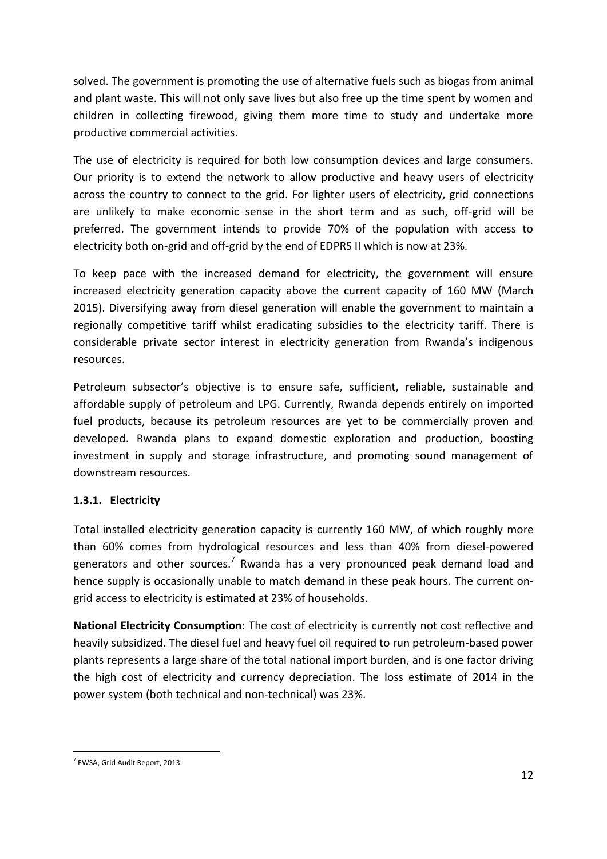solved. The government is promoting the use of alternative fuels such as biogas from animal and plant waste. This will not only save lives but also free up the time spent by women and children in collecting firewood, giving them more time to study and undertake more productive commercial activities.

The use of electricity is required for both low consumption devices and large consumers. Our priority is to extend the network to allow productive and heavy users of electricity across the country to connect to the grid. For lighter users of electricity, grid connections are unlikely to make economic sense in the short term and as such, off-grid will be preferred. The government intends to provide 70% of the population with access to electricity both on-grid and off-grid by the end of EDPRS II which is now at 23%.

To keep pace with the increased demand for electricity, the government will ensure increased electricity generation capacity above the current capacity of 160 MW (March 2015). Diversifying away from diesel generation will enable the government to maintain a regionally competitive tariff whilst eradicating subsidies to the electricity tariff. There is considerable private sector interest in electricity generation from Rwanda's indigenous resources.

Petroleum subsector's objective is to ensure safe, sufficient, reliable, sustainable and affordable supply of petroleum and LPG. Currently, Rwanda depends entirely on imported fuel products, because its petroleum resources are yet to be commercially proven and developed. Rwanda plans to expand domestic exploration and production, boosting investment in supply and storage infrastructure, and promoting sound management of downstream resources.

## **1.3.1. Electricity**

Total installed electricity generation capacity is currently 160 MW, of which roughly more than 60% comes from hydrological resources and less than 40% from diesel-powered generators and other sources.<sup>7</sup> Rwanda has a very pronounced peak demand load and hence supply is occasionally unable to match demand in these peak hours. The current ongrid access to electricity is estimated at 23% of households.

**National Electricity Consumption:** The cost of electricity is currently not cost reflective and heavily subsidized. The diesel fuel and heavy fuel oil required to run petroleum-based power plants represents a large share of the total national import burden, and is one factor driving the high cost of electricity and currency depreciation. The loss estimate of 2014 in the power system (both technical and non-technical) was 23%.

<sup>-</sup>7 EWSA, Grid Audit Report, 2013.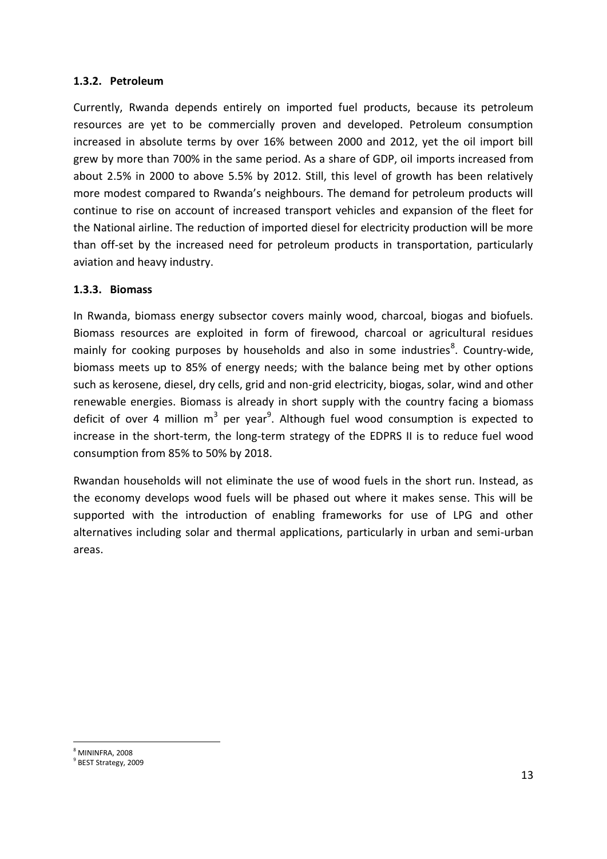#### **1.3.2. Petroleum**

Currently, Rwanda depends entirely on imported fuel products, because its petroleum resources are yet to be commercially proven and developed. Petroleum consumption increased in absolute terms by over 16% between 2000 and 2012, yet the oil import bill grew by more than 700% in the same period. As a share of GDP, oil imports increased from about 2.5% in 2000 to above 5.5% by 2012. Still, this level of growth has been relatively more modest compared to Rwanda's neighbours. The demand for petroleum products will continue to rise on account of increased transport vehicles and expansion of the fleet for the National airline. The reduction of imported diesel for electricity production will be more than off-set by the increased need for petroleum products in transportation, particularly aviation and heavy industry.

#### **1.3.3. Biomass**

In Rwanda, biomass energy subsector covers mainly wood, charcoal, biogas and biofuels. Biomass resources are exploited in form of firewood, charcoal or agricultural residues mainly for cooking purposes by households and also in some industries<sup>8</sup>. Country-wide, biomass meets up to 85% of energy needs; with the balance being met by other options such as kerosene, diesel, dry cells, grid and non-grid electricity, biogas, solar, wind and other renewable energies. Biomass is already in short supply with the country facing a biomass deficit of over 4 million m<sup>3</sup> per year<sup>9</sup>. Although fuel wood consumption is expected to increase in the short-term, the long-term strategy of the EDPRS II is to reduce fuel wood consumption from 85% to 50% by 2018.

Rwandan households will not eliminate the use of wood fuels in the short run. Instead, as the economy develops wood fuels will be phased out where it makes sense. This will be supported with the introduction of enabling frameworks for use of LPG and other alternatives including solar and thermal applications, particularly in urban and semi-urban areas.

<sup>-</sup><sup>8</sup> MININFRA, 2008

<sup>9</sup> BEST Strategy, 2009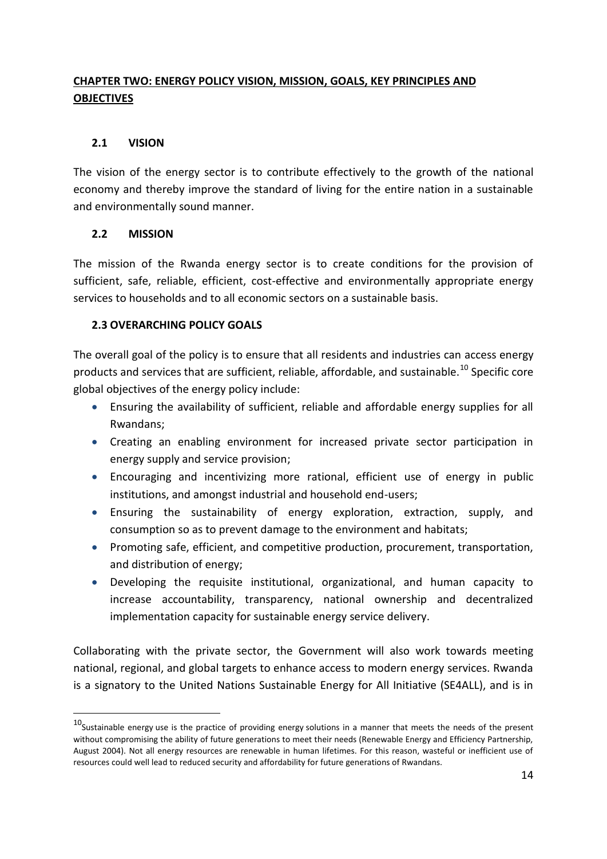## <span id="page-13-0"></span>**CHAPTER TWO: ENERGY POLICY VISION, MISSION, GOALS, KEY PRINCIPLES AND OBJECTIVES**

## <span id="page-13-1"></span>**2.1 VISION**

The vision of the energy sector is to contribute effectively to the growth of the national economy and thereby improve the standard of living for the entire nation in a sustainable and environmentally sound manner.

#### <span id="page-13-2"></span>**2.2 MISSION**

-

The mission of the Rwanda energy sector is to create conditions for the provision of sufficient, safe, reliable, efficient, cost-effective and environmentally appropriate energy services to households and to all economic sectors on a sustainable basis.

#### <span id="page-13-3"></span>**2.3 OVERARCHING POLICY GOALS**

The overall goal of the policy is to ensure that all residents and industries can access energy products and services that are sufficient, reliable, affordable, and sustainable.<sup>10</sup> Specific core global objectives of the energy policy include:

- Ensuring the availability of sufficient, reliable and affordable energy supplies for all Rwandans;
- Creating an enabling environment for increased private sector participation in energy supply and service provision;
- Encouraging and incentivizing more rational, efficient use of energy in public institutions, and amongst industrial and household end-users;
- Ensuring the sustainability of energy exploration, extraction, supply, and consumption so as to prevent damage to the environment and habitats;
- Promoting safe, efficient, and competitive production, procurement, transportation, and distribution of energy;
- Developing the requisite institutional, organizational, and human capacity to increase accountability, transparency, national ownership and decentralized implementation capacity for sustainable energy service delivery.

Collaborating with the private sector, the Government will also work towards meeting national, regional, and global targets to enhance access to modern energy services. Rwanda is a signatory to the United Nations Sustainable Energy for All Initiative (SE4ALL), and is in

 $10$ Sustainable [energy](http://en.wikipedia.org/wiki/Energy) use is the practice of providing energy solutions in a manner that meets the needs of the present without compromising the ability of future generations to meet their needs (Renewable Energy and Efficiency Partnership, August 2004). Not all energy resources are renewable in human lifetimes. For this reason, wasteful or inefficient use of resources could well lead to reduced security and affordability for future generations of Rwandans.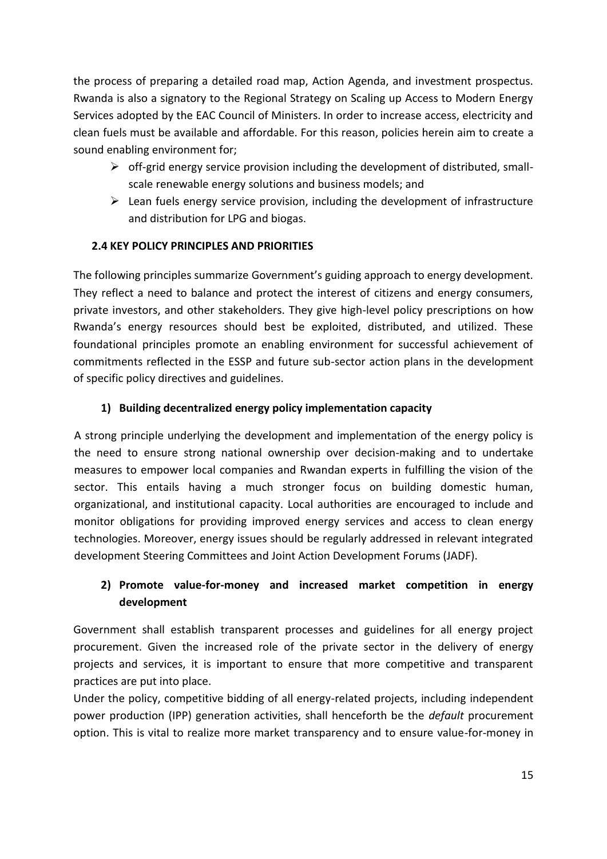the process of preparing a detailed road map, Action Agenda, and investment prospectus. Rwanda is also a signatory to the Regional Strategy on Scaling up Access to Modern Energy Services adopted by the EAC Council of Ministers. In order to increase access, electricity and clean fuels must be available and affordable. For this reason, policies herein aim to create a sound enabling environment for;

- $\triangleright$  off-grid energy service provision including the development of distributed, smallscale renewable energy solutions and business models; and
- $\triangleright$  Lean fuels energy service provision, including the development of infrastructure and distribution for LPG and biogas.

## <span id="page-14-0"></span>**2.4 KEY POLICY PRINCIPLES AND PRIORITIES**

The following principles summarize Government's guiding approach to energy development. They reflect a need to balance and protect the interest of citizens and energy consumers, private investors, and other stakeholders. They give high-level policy prescriptions on how Rwanda's energy resources should best be exploited, distributed, and utilized. These foundational principles promote an enabling environment for successful achievement of commitments reflected in the ESSP and future sub-sector action plans in the development of specific policy directives and guidelines.

## **1) Building decentralized energy policy implementation capacity**

A strong principle underlying the development and implementation of the energy policy is the need to ensure strong national ownership over decision-making and to undertake measures to empower local companies and Rwandan experts in fulfilling the vision of the sector. This entails having a much stronger focus on building domestic human, organizational, and institutional capacity. Local authorities are encouraged to include and monitor obligations for providing improved energy services and access to clean energy technologies. Moreover, energy issues should be regularly addressed in relevant integrated development Steering Committees and Joint Action Development Forums (JADF).

## **2) Promote value-for-money and increased market competition in energy development**

Government shall establish transparent processes and guidelines for all energy project procurement. Given the increased role of the private sector in the delivery of energy projects and services, it is important to ensure that more competitive and transparent practices are put into place.

Under the policy, competitive bidding of all energy-related projects, including independent power production (IPP) generation activities, shall henceforth be the *default* procurement option. This is vital to realize more market transparency and to ensure value-for-money in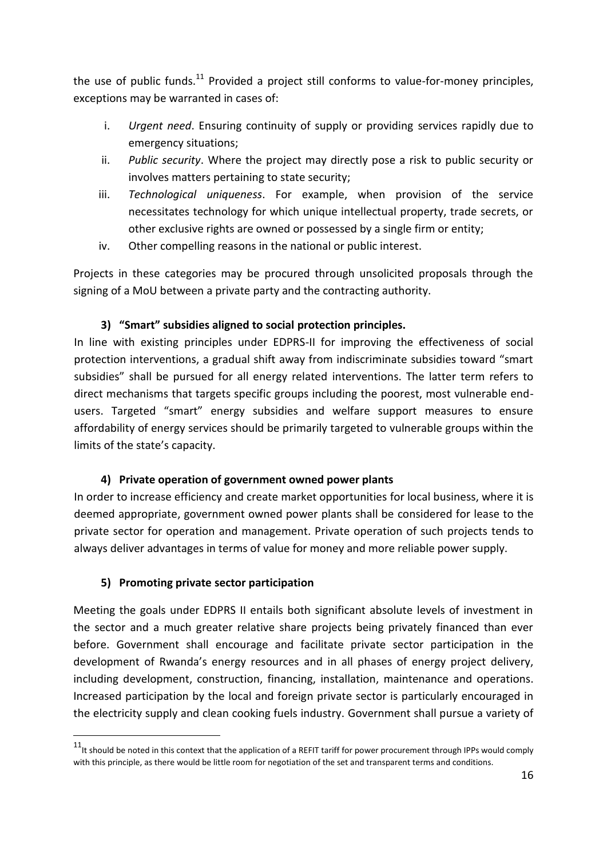the use of public funds.<sup>11</sup> Provided a project still conforms to value-for-money principles, exceptions may be warranted in cases of:

- i. *Urgent need*. Ensuring continuity of supply or providing services rapidly due to emergency situations;
- ii. *Public security*. Where the project may directly pose a risk to public security or involves matters pertaining to state security;
- iii. *Technological uniqueness*. For example, when provision of the service necessitates technology for which unique intellectual property, trade secrets, or other exclusive rights are owned or possessed by a single firm or entity;
- iv. Other compelling reasons in the national or public interest.

Projects in these categories may be procured through unsolicited proposals through the signing of a MoU between a private party and the contracting authority.

## **3) "Smart" subsidies aligned to social protection principles.**

In line with existing principles under EDPRS-II for improving the effectiveness of social protection interventions, a gradual shift away from indiscriminate subsidies toward "smart subsidies" shall be pursued for all energy related interventions. The latter term refers to direct mechanisms that targets specific groups including the poorest, most vulnerable endusers. Targeted "smart" energy subsidies and welfare support measures to ensure affordability of energy services should be primarily targeted to vulnerable groups within the limits of the state's capacity.

#### **4) Private operation of government owned power plants**

In order to increase efficiency and create market opportunities for local business, where it is deemed appropriate, government owned power plants shall be considered for lease to the private sector for operation and management. Private operation of such projects tends to always deliver advantages in terms of value for money and more reliable power supply.

#### **5) Promoting private sector participation**

-

Meeting the goals under EDPRS II entails both significant absolute levels of investment in the sector and a much greater relative share projects being privately financed than ever before. Government shall encourage and facilitate private sector participation in the development of Rwanda's energy resources and in all phases of energy project delivery, including development, construction, financing, installation, maintenance and operations. Increased participation by the local and foreign private sector is particularly encouraged in the electricity supply and clean cooking fuels industry. Government shall pursue a variety of

 $11$ <sup>t it</sup> should be noted in this context that the application of a REFIT tariff for power procurement through IPPs would comply with this principle, as there would be little room for negotiation of the set and transparent terms and conditions.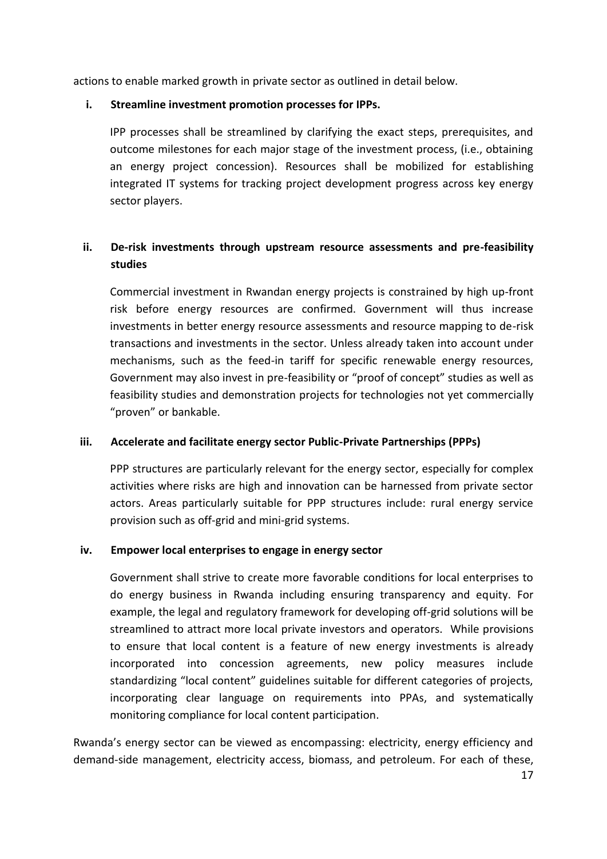actions to enable marked growth in private sector as outlined in detail below.

#### **i. Streamline investment promotion processes for IPPs.**

IPP processes shall be streamlined by clarifying the exact steps, prerequisites, and outcome milestones for each major stage of the investment process, (i.e., obtaining an energy project concession). Resources shall be mobilized for establishing integrated IT systems for tracking project development progress across key energy sector players.

## **ii. De-risk investments through upstream resource assessments and pre-feasibility studies**

Commercial investment in Rwandan energy projects is constrained by high up-front risk before energy resources are confirmed. Government will thus increase investments in better energy resource assessments and resource mapping to de-risk transactions and investments in the sector. Unless already taken into account under mechanisms, such as the feed-in tariff for specific renewable energy resources, Government may also invest in pre-feasibility or "proof of concept" studies as well as feasibility studies and demonstration projects for technologies not yet commercially "proven" or bankable.

## **iii. Accelerate and facilitate energy sector Public-Private Partnerships (PPPs)**

PPP structures are particularly relevant for the energy sector, especially for complex activities where risks are high and innovation can be harnessed from private sector actors. Areas particularly suitable for PPP structures include: rural energy service provision such as off-grid and mini-grid systems.

#### **iv. Empower local enterprises to engage in energy sector**

Government shall strive to create more favorable conditions for local enterprises to do energy business in Rwanda including ensuring transparency and equity. For example, the legal and regulatory framework for developing off-grid solutions will be streamlined to attract more local private investors and operators. While provisions to ensure that local content is a feature of new energy investments is already incorporated into concession agreements, new policy measures include standardizing "local content" guidelines suitable for different categories of projects, incorporating clear language on requirements into PPAs, and systematically monitoring compliance for local content participation.

Rwanda's energy sector can be viewed as encompassing: electricity, energy efficiency and demand-side management, electricity access, biomass, and petroleum. For each of these,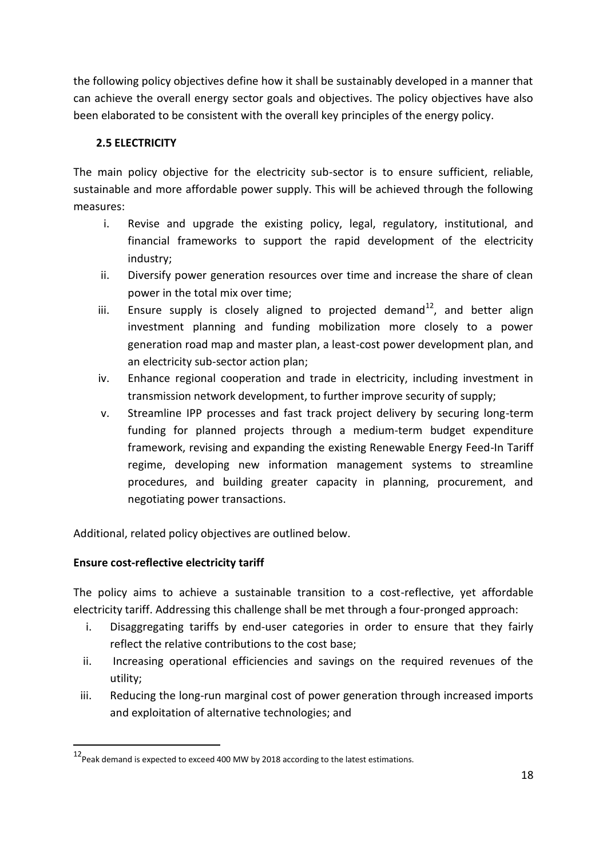the following policy objectives define how it shall be sustainably developed in a manner that can achieve the overall energy sector goals and objectives. The policy objectives have also been elaborated to be consistent with the overall key principles of the energy policy.

## <span id="page-17-0"></span>**2.5 ELECTRICITY**

The main policy objective for the electricity sub-sector is to ensure sufficient, reliable, sustainable and more affordable power supply. This will be achieved through the following measures:

- i. Revise and upgrade the existing policy, legal, regulatory, institutional, and financial frameworks to support the rapid development of the electricity industry;
- ii. Diversify power generation resources over time and increase the share of clean power in the total mix over time;
- iii. Ensure supply is closely aligned to projected demand<sup>12</sup>, and better align investment planning and funding mobilization more closely to a power generation road map and master plan, a least-cost power development plan, and an electricity sub-sector action plan;
- iv. Enhance regional cooperation and trade in electricity, including investment in transmission network development, to further improve security of supply;
- v. Streamline IPP processes and fast track project delivery by securing long-term funding for planned projects through a medium-term budget expenditure framework, revising and expanding the existing Renewable Energy Feed-In Tariff regime, developing new information management systems to streamline procedures, and building greater capacity in planning, procurement, and negotiating power transactions.

Additional, related policy objectives are outlined below.

## **Ensure cost-reflective electricity tariff**

-

The policy aims to achieve a sustainable transition to a cost-reflective, yet affordable electricity tariff. Addressing this challenge shall be met through a four-pronged approach:

- i. Disaggregating tariffs by end-user categories in order to ensure that they fairly reflect the relative contributions to the cost base;
- ii. Increasing operational efficiencies and savings on the required revenues of the utility;
- iii. Reducing the long-run marginal cost of power generation through increased imports and exploitation of alternative technologies; and

<sup>12&</sup>lt;br>Peak demand is expected to exceed 400 MW by 2018 according to the latest estimations.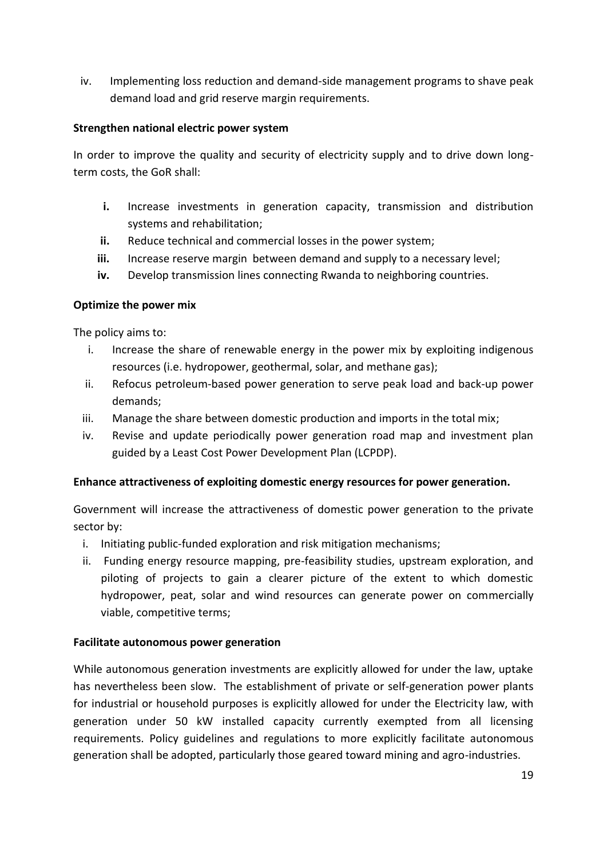iv. Implementing loss reduction and demand-side management programs to shave peak demand load and grid reserve margin requirements.

#### **Strengthen national electric power system**

In order to improve the quality and security of electricity supply and to drive down longterm costs, the GoR shall:

- **i.** Increase investments in generation capacity, transmission and distribution systems and rehabilitation;
- **ii.** Reduce technical and commercial losses in the power system;
- **iii.** Increase reserve margin between demand and supply to a necessary level;
- **iv.** Develop transmission lines connecting Rwanda to neighboring countries.

#### **Optimize the power mix**

The policy aims to:

- i. Increase the share of renewable energy in the power mix by exploiting indigenous resources (i.e. hydropower, geothermal, solar, and methane gas);
- ii. Refocus petroleum-based power generation to serve peak load and back-up power demands;
- iii. Manage the share between domestic production and imports in the total mix;
- iv. Revise and update periodically power generation road map and investment plan guided by a Least Cost Power Development Plan (LCPDP).

#### **Enhance attractiveness of exploiting domestic energy resources for power generation.**

Government will increase the attractiveness of domestic power generation to the private sector by:

- i. Initiating public-funded exploration and risk mitigation mechanisms;
- ii. Funding energy resource mapping, pre-feasibility studies, upstream exploration, and piloting of projects to gain a clearer picture of the extent to which domestic hydropower, peat, solar and wind resources can generate power on commercially viable, competitive terms;

#### **Facilitate autonomous power generation**

While autonomous generation investments are explicitly allowed for under the law, uptake has nevertheless been slow. The establishment of private or self-generation power plants for industrial or household purposes is explicitly allowed for under the Electricity law, with generation under 50 kW installed capacity currently exempted from all licensing requirements. Policy guidelines and regulations to more explicitly facilitate autonomous generation shall be adopted, particularly those geared toward mining and agro-industries.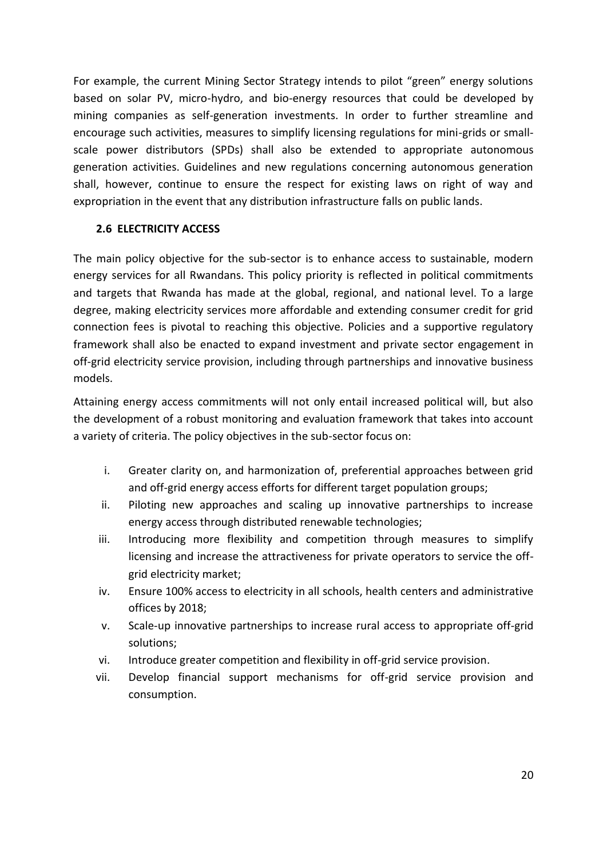For example, the current Mining Sector Strategy intends to pilot "green" energy solutions based on solar PV, micro-hydro, and bio-energy resources that could be developed by mining companies as self-generation investments. In order to further streamline and encourage such activities, measures to simplify licensing regulations for mini-grids or smallscale power distributors (SPDs) shall also be extended to appropriate autonomous generation activities. Guidelines and new regulations concerning autonomous generation shall, however, continue to ensure the respect for existing laws on right of way and expropriation in the event that any distribution infrastructure falls on public lands.

#### <span id="page-19-0"></span>**2.6 ELECTRICITY ACCESS**

The main policy objective for the sub-sector is to enhance access to sustainable, modern energy services for all Rwandans. This policy priority is reflected in political commitments and targets that Rwanda has made at the global, regional, and national level. To a large degree, making electricity services more affordable and extending consumer credit for grid connection fees is pivotal to reaching this objective. Policies and a supportive regulatory framework shall also be enacted to expand investment and private sector engagement in off-grid electricity service provision, including through partnerships and innovative business models.

Attaining energy access commitments will not only entail increased political will, but also the development of a robust monitoring and evaluation framework that takes into account a variety of criteria. The policy objectives in the sub-sector focus on:

- i. Greater clarity on, and harmonization of, preferential approaches between grid and off-grid energy access efforts for different target population groups;
- ii. Piloting new approaches and scaling up innovative partnerships to increase energy access through distributed renewable technologies;
- iii. Introducing more flexibility and competition through measures to simplify licensing and increase the attractiveness for private operators to service the offgrid electricity market;
- iv. Ensure 100% access to electricity in all schools, health centers and administrative offices by 2018;
- v. Scale-up innovative partnerships to increase rural access to appropriate off-grid solutions;
- vi. Introduce greater competition and flexibility in off-grid service provision.
- vii. Develop financial support mechanisms for off-grid service provision and consumption.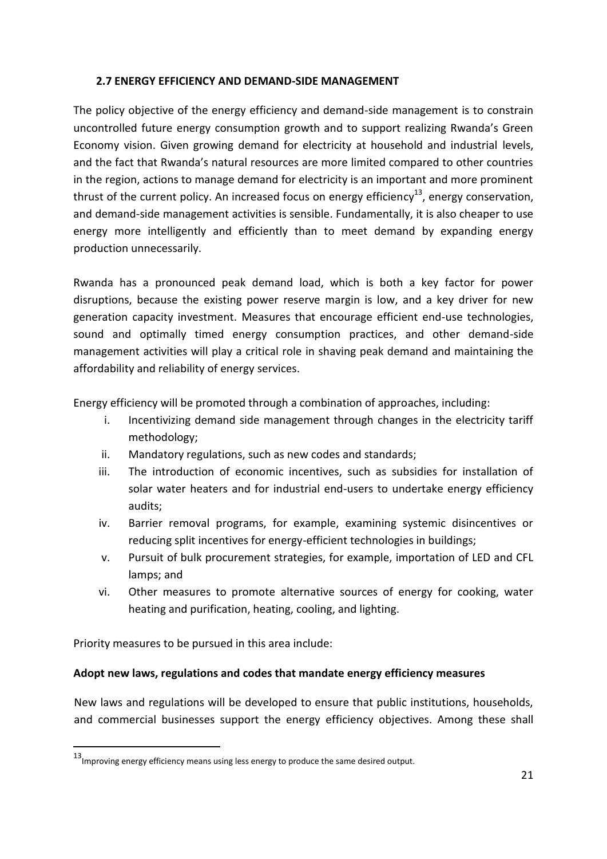#### <span id="page-20-0"></span>**2.7 ENERGY EFFICIENCY AND DEMAND-SIDE MANAGEMENT**

The policy objective of the energy efficiency and demand-side management is to constrain uncontrolled future energy consumption growth and to support realizing Rwanda's Green Economy vision. Given growing demand for electricity at household and industrial levels, and the fact that Rwanda's natural resources are more limited compared to other countries in the region, actions to manage demand for electricity is an important and more prominent thrust of the current policy. An increased focus on energy efficiency<sup>13</sup>, energy conservation, and demand-side management activities is sensible. Fundamentally, it is also cheaper to use energy more intelligently and efficiently than to meet demand by expanding energy production unnecessarily.

Rwanda has a pronounced peak demand load, which is both a key factor for power disruptions, because the existing power reserve margin is low, and a key driver for new generation capacity investment. Measures that encourage efficient end-use technologies, sound and optimally timed energy consumption practices, and other demand-side management activities will play a critical role in shaving peak demand and maintaining the affordability and reliability of energy services.

Energy efficiency will be promoted through a combination of approaches, including:

- i. Incentivizing demand side management through changes in the electricity tariff methodology;
- ii. Mandatory regulations, such as new codes and standards;
- iii. The introduction of economic incentives, such as subsidies for installation of solar water heaters and for industrial end-users to undertake energy efficiency audits;
- iv. Barrier removal programs, for example, examining systemic disincentives or reducing split incentives for energy-efficient technologies in buildings;
- v. Pursuit of bulk procurement strategies, for example, importation of LED and CFL lamps; and
- vi. Other measures to promote alternative sources of energy for cooking, water heating and purification, heating, cooling, and lighting.

Priority measures to be pursued in this area include:

-

#### **Adopt new laws, regulations and codes that mandate energy efficiency measures**

New laws and regulations will be developed to ensure that public institutions, households, and commercial businesses support the energy efficiency objectives. Among these shall

<sup>13</sup>Improving energy efficiency means using less energy to produce the same desired output.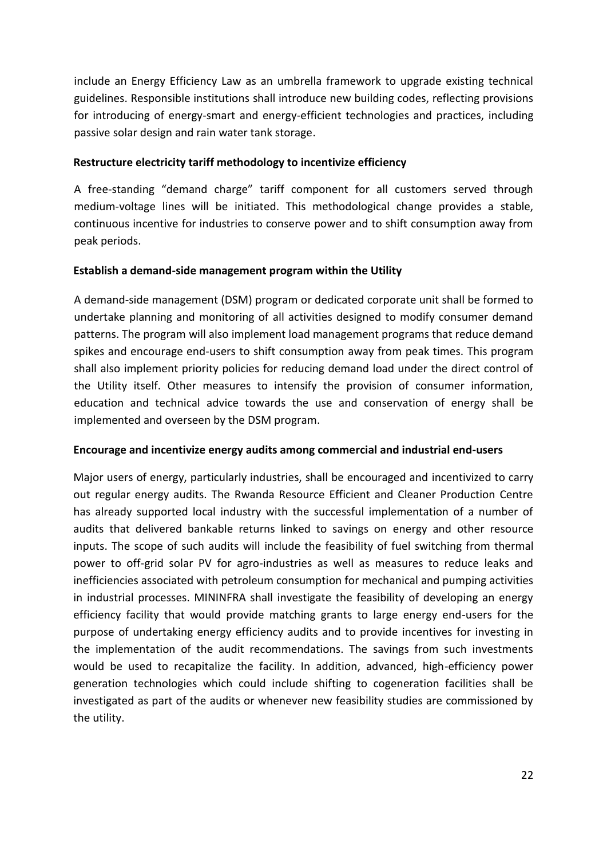include an Energy Efficiency Law as an umbrella framework to upgrade existing technical guidelines. Responsible institutions shall introduce new building codes, reflecting provisions for introducing of energy-smart and energy-efficient technologies and practices, including passive solar design and rain water tank storage.

#### **Restructure electricity tariff methodology to incentivize efficiency**

A free-standing "demand charge" tariff component for all customers served through medium-voltage lines will be initiated. This methodological change provides a stable, continuous incentive for industries to conserve power and to shift consumption away from peak periods.

#### **Establish a demand-side management program within the Utility**

A demand-side management (DSM) program or dedicated corporate unit shall be formed to undertake planning and monitoring of all activities designed to modify consumer demand patterns. The program will also implement load management programs that reduce demand spikes and encourage end-users to shift consumption away from peak times. This program shall also implement priority policies for reducing demand load under the direct control of the Utility itself. Other measures to intensify the provision of consumer information, education and technical advice towards the use and conservation of energy shall be implemented and overseen by the DSM program.

#### **Encourage and incentivize energy audits among commercial and industrial end-users**

Major users of energy, particularly industries, shall be encouraged and incentivized to carry out regular energy audits. The Rwanda Resource Efficient and Cleaner Production Centre has already supported local industry with the successful implementation of a number of audits that delivered bankable returns linked to savings on energy and other resource inputs. The scope of such audits will include the feasibility of fuel switching from thermal power to off-grid solar PV for agro-industries as well as measures to reduce leaks and inefficiencies associated with petroleum consumption for mechanical and pumping activities in industrial processes. MININFRA shall investigate the feasibility of developing an energy efficiency facility that would provide matching grants to large energy end-users for the purpose of undertaking energy efficiency audits and to provide incentives for investing in the implementation of the audit recommendations. The savings from such investments would be used to recapitalize the facility. In addition, advanced, high-efficiency power generation technologies which could include shifting to cogeneration facilities shall be investigated as part of the audits or whenever new feasibility studies are commissioned by the utility.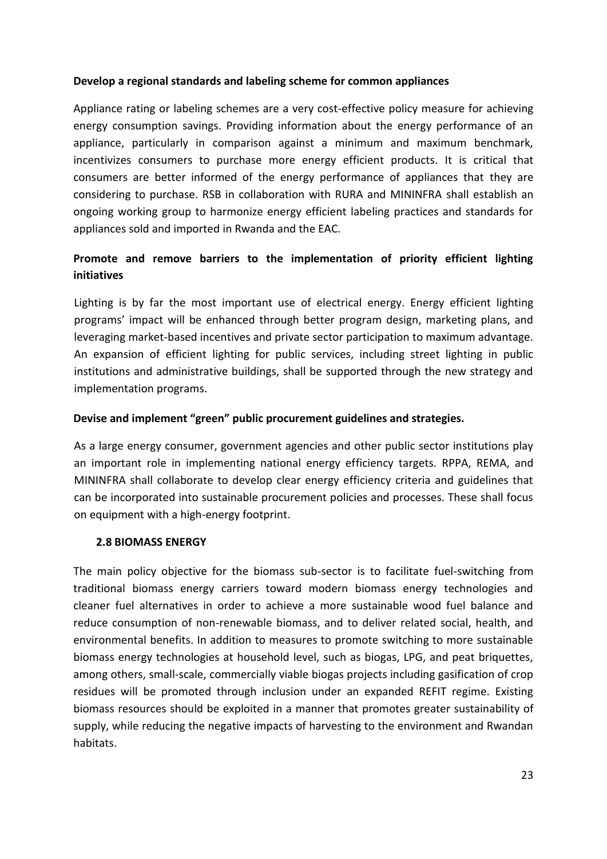#### **Develop a regional standards and labeling scheme for common appliances**

Appliance rating or labeling schemes are a very cost-effective policy measure for achieving energy consumption savings. Providing information about the energy performance of an appliance, particularly in comparison against a minimum and maximum benchmark, incentivizes consumers to purchase more energy efficient products. It is critical that consumers are better informed of the energy performance of appliances that they are considering to purchase. RSB in collaboration with RURA and MININFRA shall establish an ongoing working group to harmonize energy efficient labeling practices and standards for appliances sold and imported in Rwanda and the EAC.

## **Promote and remove barriers to the implementation of priority efficient lighting initiatives**

Lighting is by far the most important use of electrical energy. Energy efficient lighting programs' impact will be enhanced through better program design, marketing plans, and leveraging market-based incentives and private sector participation to maximum advantage. An expansion of efficient lighting for public services, including street lighting in public institutions and administrative buildings, shall be supported through the new strategy and implementation programs.

#### **Devise and implement "green" public procurement guidelines and strategies.**

As a large energy consumer, government agencies and other public sector institutions play an important role in implementing national energy efficiency targets. RPPA, REMA, and MININFRA shall collaborate to develop clear energy efficiency criteria and guidelines that can be incorporated into sustainable procurement policies and processes. These shall focus on equipment with a high-energy footprint.

#### <span id="page-22-0"></span>**2.8 BIOMASS ENERGY**

The main policy objective for the biomass sub-sector is to facilitate fuel-switching from traditional biomass energy carriers toward modern biomass energy technologies and cleaner fuel alternatives in order to achieve a more sustainable wood fuel balance and reduce consumption of non-renewable biomass, and to deliver related social, health, and environmental benefits. In addition to measures to promote switching to more sustainable biomass energy technologies at household level, such as biogas, LPG, and peat briquettes, among others, small-scale, commercially viable biogas projects including gasification of crop residues will be promoted through inclusion under an expanded REFIT regime. Existing biomass resources should be exploited in a manner that promotes greater sustainability of supply, while reducing the negative impacts of harvesting to the environment and Rwandan habitats.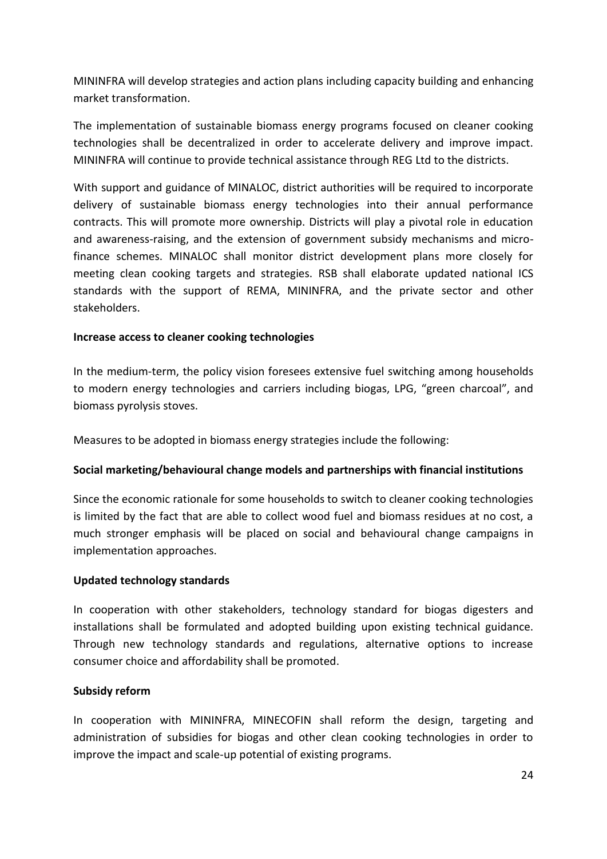MININFRA will develop strategies and action plans including capacity building and enhancing market transformation.

The implementation of sustainable biomass energy programs focused on cleaner cooking technologies shall be decentralized in order to accelerate delivery and improve impact. MININFRA will continue to provide technical assistance through REG Ltd to the districts.

With support and guidance of MINALOC, district authorities will be required to incorporate delivery of sustainable biomass energy technologies into their annual performance contracts. This will promote more ownership. Districts will play a pivotal role in education and awareness-raising, and the extension of government subsidy mechanisms and microfinance schemes. MINALOC shall monitor district development plans more closely for meeting clean cooking targets and strategies. RSB shall elaborate updated national ICS standards with the support of REMA, MININFRA, and the private sector and other stakeholders.

#### **Increase access to cleaner cooking technologies**

In the medium-term, the policy vision foresees extensive fuel switching among households to modern energy technologies and carriers including biogas, LPG, "green charcoal", and biomass pyrolysis stoves.

Measures to be adopted in biomass energy strategies include the following:

#### **Social marketing/behavioural change models and partnerships with financial institutions**

Since the economic rationale for some households to switch to cleaner cooking technologies is limited by the fact that are able to collect wood fuel and biomass residues at no cost, a much stronger emphasis will be placed on social and behavioural change campaigns in implementation approaches.

#### **Updated technology standards**

In cooperation with other stakeholders, technology standard for biogas digesters and installations shall be formulated and adopted building upon existing technical guidance. Through new technology standards and regulations, alternative options to increase consumer choice and affordability shall be promoted.

#### **Subsidy reform**

In cooperation with MININFRA, MINECOFIN shall reform the design, targeting and administration of subsidies for biogas and other clean cooking technologies in order to improve the impact and scale-up potential of existing programs.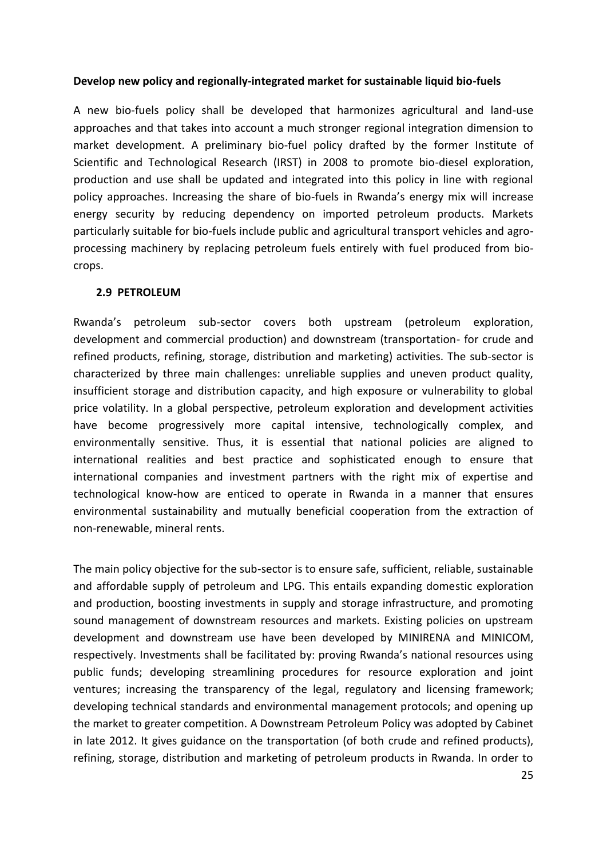#### **Develop new policy and regionally-integrated market for sustainable liquid bio-fuels**

A new bio-fuels policy shall be developed that harmonizes agricultural and land-use approaches and that takes into account a much stronger regional integration dimension to market development. A preliminary bio-fuel policy drafted by the former Institute of Scientific and Technological Research (IRST) in 2008 to promote bio-diesel exploration, production and use shall be updated and integrated into this policy in line with regional policy approaches. Increasing the share of bio-fuels in Rwanda's energy mix will increase energy security by reducing dependency on imported petroleum products. Markets particularly suitable for bio-fuels include public and agricultural transport vehicles and agroprocessing machinery by replacing petroleum fuels entirely with fuel produced from biocrops.

#### <span id="page-24-0"></span>**2.9 PETROLEUM**

Rwanda's petroleum sub-sector covers both upstream (petroleum exploration, development and commercial production) and downstream (transportation- for crude and refined products, refining, storage, distribution and marketing) activities. The sub-sector is characterized by three main challenges: unreliable supplies and uneven product quality, insufficient storage and distribution capacity, and high exposure or vulnerability to global price volatility. In a global perspective, petroleum exploration and development activities have become progressively more capital intensive, technologically complex, and environmentally sensitive. Thus, it is essential that national policies are aligned to international realities and best practice and sophisticated enough to ensure that international companies and investment partners with the right mix of expertise and technological know-how are enticed to operate in Rwanda in a manner that ensures environmental sustainability and mutually beneficial cooperation from the extraction of non-renewable, mineral rents.

The main policy objective for the sub-sector is to ensure safe, sufficient, reliable, sustainable and affordable supply of petroleum and LPG. This entails expanding domestic exploration and production, boosting investments in supply and storage infrastructure, and promoting sound management of downstream resources and markets. Existing policies on upstream development and downstream use have been developed by MINIRENA and MINICOM, respectively. Investments shall be facilitated by: proving Rwanda's national resources using public funds; developing streamlining procedures for resource exploration and joint ventures; increasing the transparency of the legal, regulatory and licensing framework; developing technical standards and environmental management protocols; and opening up the market to greater competition. A Downstream Petroleum Policy was adopted by Cabinet in late 2012. It gives guidance on the transportation (of both crude and refined products), refining, storage, distribution and marketing of petroleum products in Rwanda. In order to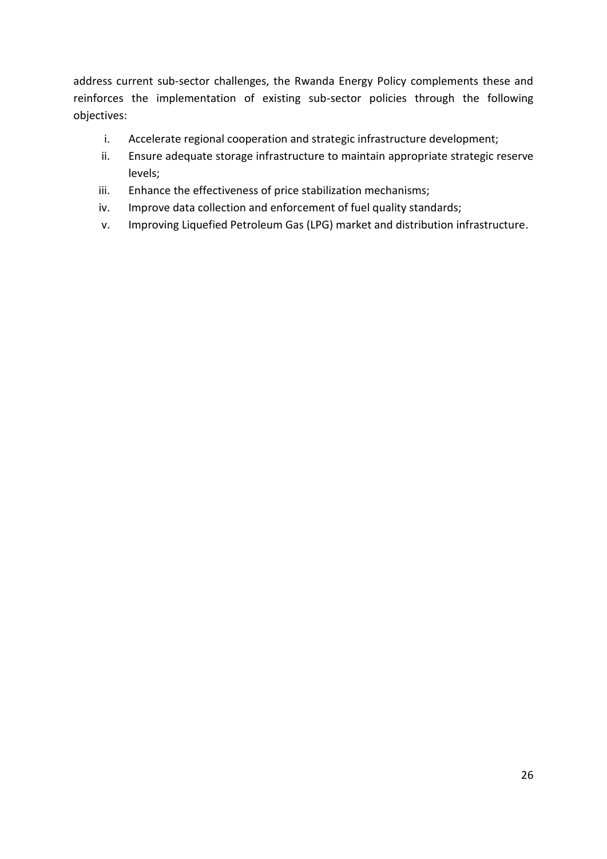address current sub-sector challenges, the Rwanda Energy Policy complements these and reinforces the implementation of existing sub-sector policies through the following objectives:

- i. Accelerate regional cooperation and strategic infrastructure development;
- ii. Ensure adequate storage infrastructure to maintain appropriate strategic reserve levels;
- iii. Enhance the effectiveness of price stabilization mechanisms;
- iv. Improve data collection and enforcement of fuel quality standards;
- v. Improving Liquefied Petroleum Gas (LPG) market and distribution infrastructure.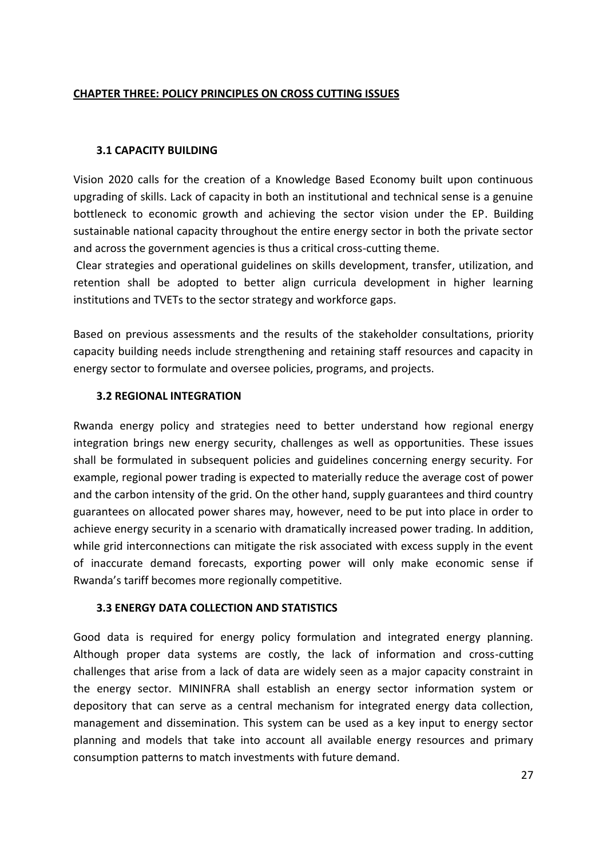#### <span id="page-26-0"></span>**CHAPTER THREE: POLICY PRINCIPLES ON CROSS CUTTING ISSUES**

#### <span id="page-26-1"></span>**3.1 CAPACITY BUILDING**

Vision 2020 calls for the creation of a Knowledge Based Economy built upon continuous upgrading of skills. Lack of capacity in both an institutional and technical sense is a genuine bottleneck to economic growth and achieving the sector vision under the EP. Building sustainable national capacity throughout the entire energy sector in both the private sector and across the government agencies is thus a critical cross-cutting theme.

Clear strategies and operational guidelines on skills development, transfer, utilization, and retention shall be adopted to better align curricula development in higher learning institutions and TVETs to the sector strategy and workforce gaps.

Based on previous assessments and the results of the stakeholder consultations, priority capacity building needs include strengthening and retaining staff resources and capacity in energy sector to formulate and oversee policies, programs, and projects.

#### <span id="page-26-2"></span>**3.2 REGIONAL INTEGRATION**

Rwanda energy policy and strategies need to better understand how regional energy integration brings new energy security, challenges as well as opportunities. These issues shall be formulated in subsequent policies and guidelines concerning energy security. For example, regional power trading is expected to materially reduce the average cost of power and the carbon intensity of the grid. On the other hand, supply guarantees and third country guarantees on allocated power shares may, however, need to be put into place in order to achieve energy security in a scenario with dramatically increased power trading. In addition, while grid interconnections can mitigate the risk associated with excess supply in the event of inaccurate demand forecasts, exporting power will only make economic sense if Rwanda's tariff becomes more regionally competitive.

#### <span id="page-26-3"></span>**3.3 ENERGY DATA COLLECTION AND STATISTICS**

Good data is required for energy policy formulation and integrated energy planning. Although proper data systems are costly, the lack of information and cross-cutting challenges that arise from a lack of data are widely seen as a major capacity constraint in the energy sector. MININFRA shall establish an energy sector information system or depository that can serve as a central mechanism for integrated energy data collection, management and dissemination. This system can be used as a key input to energy sector planning and models that take into account all available energy resources and primary consumption patterns to match investments with future demand.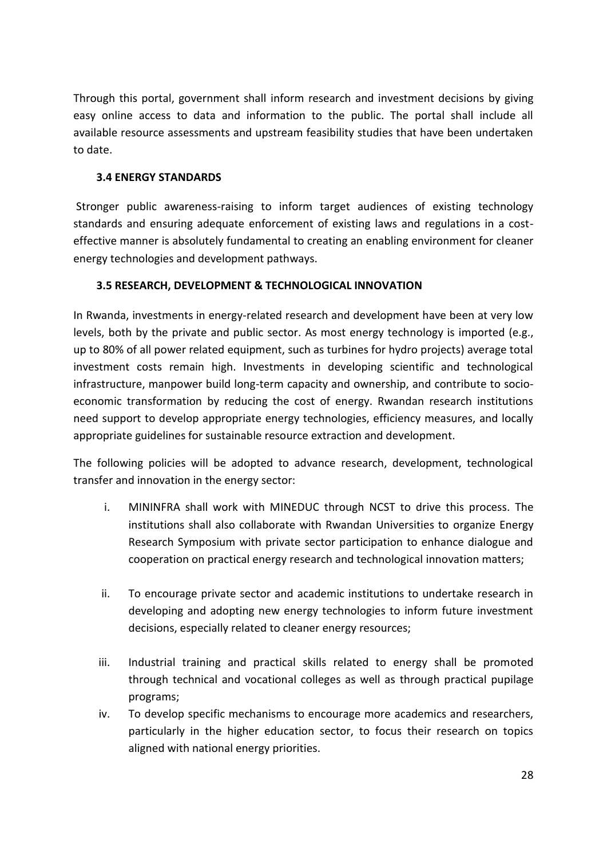Through this portal, government shall inform research and investment decisions by giving easy online access to data and information to the public. The portal shall include all available resource assessments and upstream feasibility studies that have been undertaken to date.

#### <span id="page-27-0"></span>**3.4 ENERGY STANDARDS**

Stronger public awareness-raising to inform target audiences of existing technology standards and ensuring adequate enforcement of existing laws and regulations in a costeffective manner is absolutely fundamental to creating an enabling environment for cleaner energy technologies and development pathways.

## <span id="page-27-1"></span>**3.5 RESEARCH, DEVELOPMENT & TECHNOLOGICAL INNOVATION**

In Rwanda, investments in energy-related research and development have been at very low levels, both by the private and public sector. As most energy technology is imported (e.g., up to 80% of all power related equipment, such as turbines for hydro projects) average total investment costs remain high. Investments in developing scientific and technological infrastructure, manpower build long-term capacity and ownership, and contribute to socioeconomic transformation by reducing the cost of energy. Rwandan research institutions need support to develop appropriate energy technologies, efficiency measures, and locally appropriate guidelines for sustainable resource extraction and development.

The following policies will be adopted to advance research, development, technological transfer and innovation in the energy sector:

- i. MININFRA shall work with MINEDUC through NCST to drive this process. The institutions shall also collaborate with Rwandan Universities to organize Energy Research Symposium with private sector participation to enhance dialogue and cooperation on practical energy research and technological innovation matters;
- ii. To encourage private sector and academic institutions to undertake research in developing and adopting new energy technologies to inform future investment decisions, especially related to cleaner energy resources;
- iii. Industrial training and practical skills related to energy shall be promoted through technical and vocational colleges as well as through practical pupilage programs;
- iv. To develop specific mechanisms to encourage more academics and researchers, particularly in the higher education sector, to focus their research on topics aligned with national energy priorities.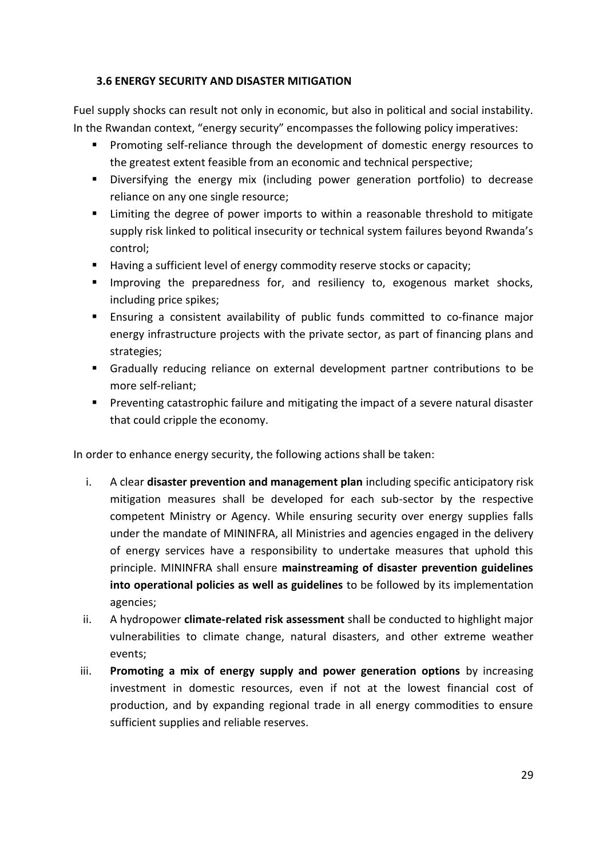#### <span id="page-28-0"></span>**3.6 ENERGY SECURITY AND DISASTER MITIGATION**

Fuel supply shocks can result not only in economic, but also in political and social instability. In the Rwandan context, "energy security" encompasses the following policy imperatives:

- **Promoting self-reliance through the development of domestic energy resources to** the greatest extent feasible from an economic and technical perspective;
- Diversifying the energy mix (including power generation portfolio) to decrease reliance on any one single resource;
- **EXT** Limiting the degree of power imports to within a reasonable threshold to mitigate supply risk linked to political insecurity or technical system failures beyond Rwanda's control;
- Having a sufficient level of energy commodity reserve stocks or capacity;
- Improving the preparedness for, and resiliency to, exogenous market shocks, including price spikes;
- Ensuring a consistent availability of public funds committed to co-finance major energy infrastructure projects with the private sector, as part of financing plans and strategies;
- Gradually reducing reliance on external development partner contributions to be more self-reliant;
- **Preventing catastrophic failure and mitigating the impact of a severe natural disaster** that could cripple the economy.

In order to enhance energy security, the following actions shall be taken:

- i. A clear **disaster prevention and management plan** including specific anticipatory risk mitigation measures shall be developed for each sub-sector by the respective competent Ministry or Agency. While ensuring security over energy supplies falls under the mandate of MININFRA, all Ministries and agencies engaged in the delivery of energy services have a responsibility to undertake measures that uphold this principle. MININFRA shall ensure **mainstreaming of disaster prevention guidelines into operational policies as well as guidelines** to be followed by its implementation agencies;
- ii. A hydropower **climate-related risk assessment** shall be conducted to highlight major vulnerabilities to climate change, natural disasters, and other extreme weather events;
- iii. **Promoting a mix of energy supply and power generation options** by increasing investment in domestic resources, even if not at the lowest financial cost of production, and by expanding regional trade in all energy commodities to ensure sufficient supplies and reliable reserves.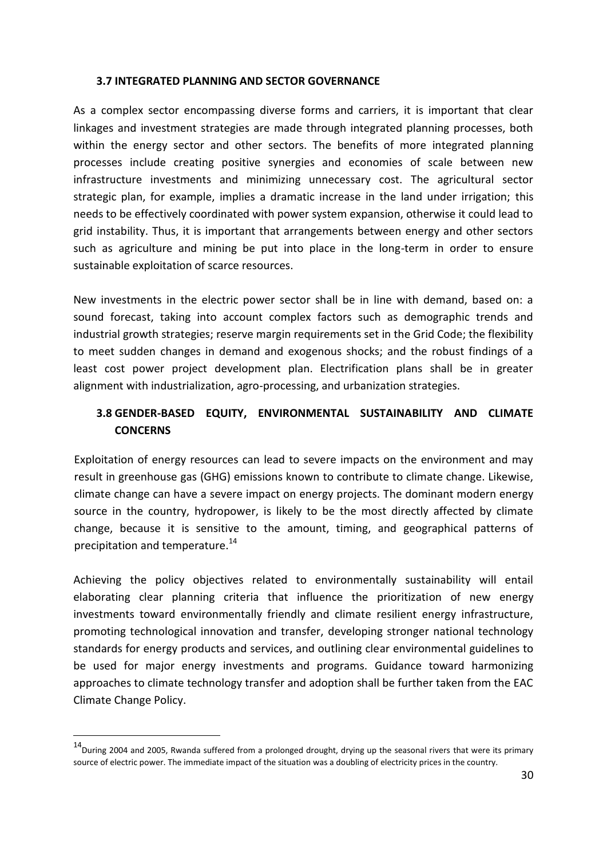#### <span id="page-29-0"></span>**3.7 INTEGRATED PLANNING AND SECTOR GOVERNANCE**

As a complex sector encompassing diverse forms and carriers, it is important that clear linkages and investment strategies are made through integrated planning processes, both within the energy sector and other sectors. The benefits of more integrated planning processes include creating positive synergies and economies of scale between new infrastructure investments and minimizing unnecessary cost. The agricultural sector strategic plan, for example, implies a dramatic increase in the land under irrigation; this needs to be effectively coordinated with power system expansion, otherwise it could lead to grid instability. Thus, it is important that arrangements between energy and other sectors such as agriculture and mining be put into place in the long-term in order to ensure sustainable exploitation of scarce resources.

New investments in the electric power sector shall be in line with demand, based on: a sound forecast, taking into account complex factors such as demographic trends and industrial growth strategies; reserve margin requirements set in the Grid Code; the flexibility to meet sudden changes in demand and exogenous shocks; and the robust findings of a least cost power project development plan. Electrification plans shall be in greater alignment with industrialization, agro-processing, and urbanization strategies.

## <span id="page-29-1"></span>**3.8 GENDER-BASED EQUITY, ENVIRONMENTAL SUSTAINABILITY AND CLIMATE CONCERNS**

Exploitation of energy resources can lead to severe impacts on the environment and may result in greenhouse gas (GHG) emissions known to contribute to climate change. Likewise, climate change can have a severe impact on energy projects. The dominant modern energy source in the country, hydropower, is likely to be the most directly affected by climate change, because it is sensitive to the amount, timing, and geographical patterns of precipitation and temperature.<sup>14</sup>

Achieving the policy objectives related to environmentally sustainability will entail elaborating clear planning criteria that influence the prioritization of new energy investments toward environmentally friendly and climate resilient energy infrastructure, promoting technological innovation and transfer, developing stronger national technology standards for energy products and services, and outlining clear environmental guidelines to be used for major energy investments and programs. Guidance toward harmonizing approaches to climate technology transfer and adoption shall be further taken from the EAC Climate Change Policy.

-

 $14$ During 2004 and 2005, Rwanda suffered from a prolonged drought, drying up the seasonal rivers that were its primary source of electric power. The immediate impact of the situation was a doubling of electricity prices in the country.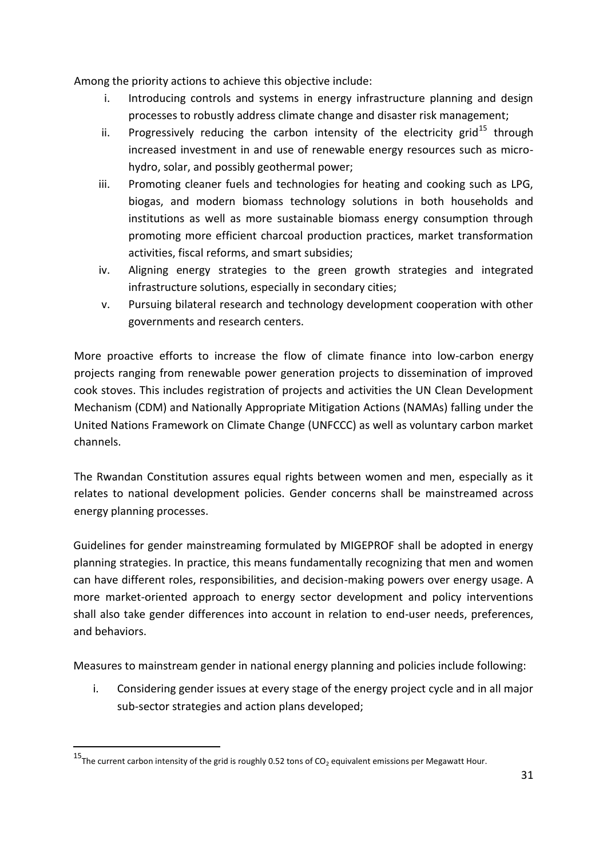Among the priority actions to achieve this objective include:

- i. Introducing controls and systems in energy infrastructure planning and design processes to robustly address climate change and disaster risk management;
- ii. Progressively reducing the carbon intensity of the electricity grid<sup>15</sup> through increased investment in and use of renewable energy resources such as microhydro, solar, and possibly geothermal power;
- iii. Promoting cleaner fuels and technologies for heating and cooking such as LPG, biogas, and modern biomass technology solutions in both households and institutions as well as more sustainable biomass energy consumption through promoting more efficient charcoal production practices, market transformation activities, fiscal reforms, and smart subsidies;
- iv. Aligning energy strategies to the green growth strategies and integrated infrastructure solutions, especially in secondary cities;
- v. Pursuing bilateral research and technology development cooperation with other governments and research centers.

More proactive efforts to increase the flow of climate finance into low-carbon energy projects ranging from renewable power generation projects to dissemination of improved cook stoves. This includes registration of projects and activities the UN Clean Development Mechanism (CDM) and Nationally Appropriate Mitigation Actions (NAMAs) falling under the United Nations Framework on Climate Change (UNFCCC) as well as voluntary carbon market channels.

The Rwandan Constitution assures equal rights between women and men, especially as it relates to national development policies. Gender concerns shall be mainstreamed across energy planning processes.

Guidelines for gender mainstreaming formulated by MIGEPROF shall be adopted in energy planning strategies. In practice, this means fundamentally recognizing that men and women can have different roles, responsibilities, and decision-making powers over energy usage. A more market-oriented approach to energy sector development and policy interventions shall also take gender differences into account in relation to end-user needs, preferences, and behaviors.

Measures to mainstream gender in national energy planning and policies include following:

i. Considering gender issues at every stage of the energy project cycle and in all major sub-sector strategies and action plans developed;

-

<sup>&</sup>lt;sup>15</sup>The current carbon intensity of the grid is roughly 0.52 tons of CO<sub>2</sub> equivalent emissions per Megawatt Hour.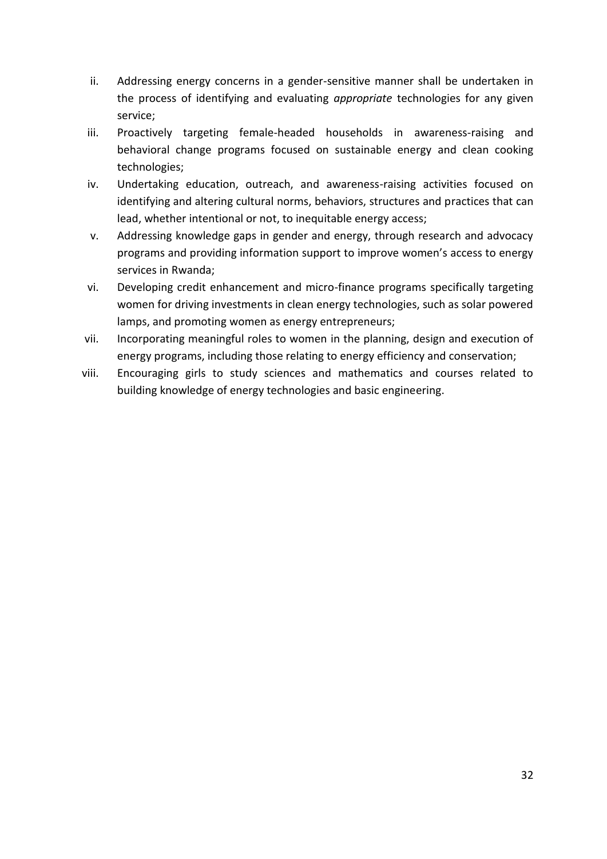- ii. Addressing energy concerns in a gender-sensitive manner shall be undertaken in the process of identifying and evaluating *appropriate* technologies for any given service;
- iii. Proactively targeting female-headed households in awareness-raising and behavioral change programs focused on sustainable energy and clean cooking technologies;
- iv. Undertaking education, outreach, and awareness-raising activities focused on identifying and altering cultural norms, behaviors, structures and practices that can lead, whether intentional or not, to inequitable energy access;
- v. Addressing knowledge gaps in gender and energy, through research and advocacy programs and providing information support to improve women's access to energy services in Rwanda;
- vi. Developing credit enhancement and micro-finance programs specifically targeting women for driving investments in clean energy technologies, such as solar powered lamps, and promoting women as energy entrepreneurs;
- vii. Incorporating meaningful roles to women in the planning, design and execution of energy programs, including those relating to energy efficiency and conservation;
- viii. Encouraging girls to study sciences and mathematics and courses related to building knowledge of energy technologies and basic engineering.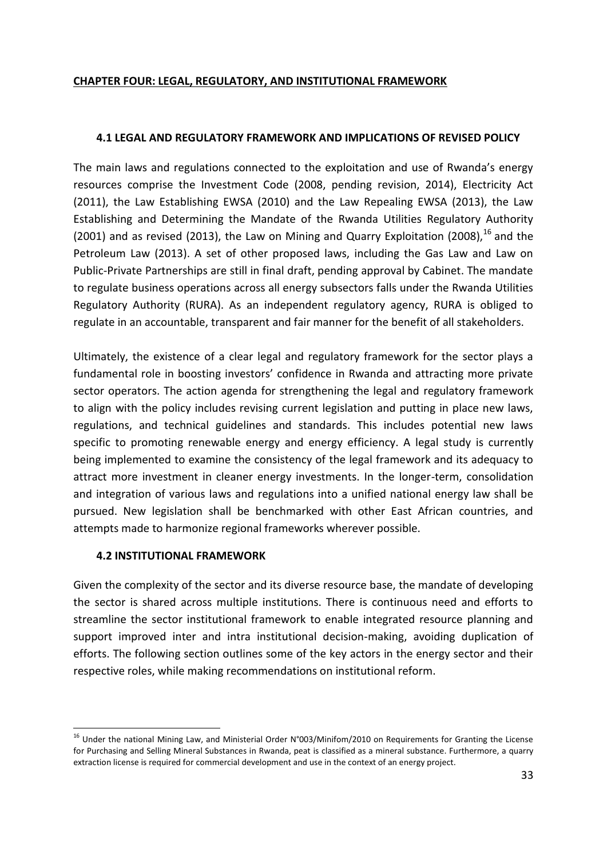#### <span id="page-32-0"></span>**CHAPTER FOUR: LEGAL, REGULATORY, AND INSTITUTIONAL FRAMEWORK**

#### <span id="page-32-1"></span>**4.1 LEGAL AND REGULATORY FRAMEWORK AND IMPLICATIONS OF REVISED POLICY**

The main laws and regulations connected to the exploitation and use of Rwanda's energy resources comprise the Investment Code (2008, pending revision, 2014), Electricity Act (2011), the Law Establishing EWSA (2010) and the Law Repealing EWSA (2013), the Law Establishing and Determining the Mandate of the Rwanda Utilities Regulatory Authority (2001) and as revised (2013), the Law on Mining and Quarry Exploitation (2008),  $^{16}$  and the Petroleum Law (2013). A set of other proposed laws, including the Gas Law and Law on Public-Private Partnerships are still in final draft, pending approval by Cabinet. The mandate to regulate business operations across all energy subsectors falls under the Rwanda Utilities Regulatory Authority (RURA). As an independent regulatory agency, RURA is obliged to regulate in an accountable, transparent and fair manner for the benefit of all stakeholders.

Ultimately, the existence of a clear legal and regulatory framework for the sector plays a fundamental role in boosting investors' confidence in Rwanda and attracting more private sector operators. The action agenda for strengthening the legal and regulatory framework to align with the policy includes revising current legislation and putting in place new laws, regulations, and technical guidelines and standards. This includes potential new laws specific to promoting renewable energy and energy efficiency. A legal study is currently being implemented to examine the consistency of the legal framework and its adequacy to attract more investment in cleaner energy investments. In the longer-term, consolidation and integration of various laws and regulations into a unified national energy law shall be pursued. New legislation shall be benchmarked with other East African countries, and attempts made to harmonize regional frameworks wherever possible.

#### <span id="page-32-2"></span>**4.2 INSTITUTIONAL FRAMEWORK**

-

Given the complexity of the sector and its diverse resource base, the mandate of developing the sector is shared across multiple institutions. There is continuous need and efforts to streamline the sector institutional framework to enable integrated resource planning and support improved inter and intra institutional decision-making, avoiding duplication of efforts. The following section outlines some of the key actors in the energy sector and their respective roles, while making recommendations on institutional reform.

<sup>&</sup>lt;sup>16</sup> Under the national Mining Law, and Ministerial Order N°003/Minifom/2010 on Requirements for Granting the License for Purchasing and Selling Mineral Substances in Rwanda, peat is classified as a mineral substance. Furthermore, a quarry extraction license is required for commercial development and use in the context of an energy project.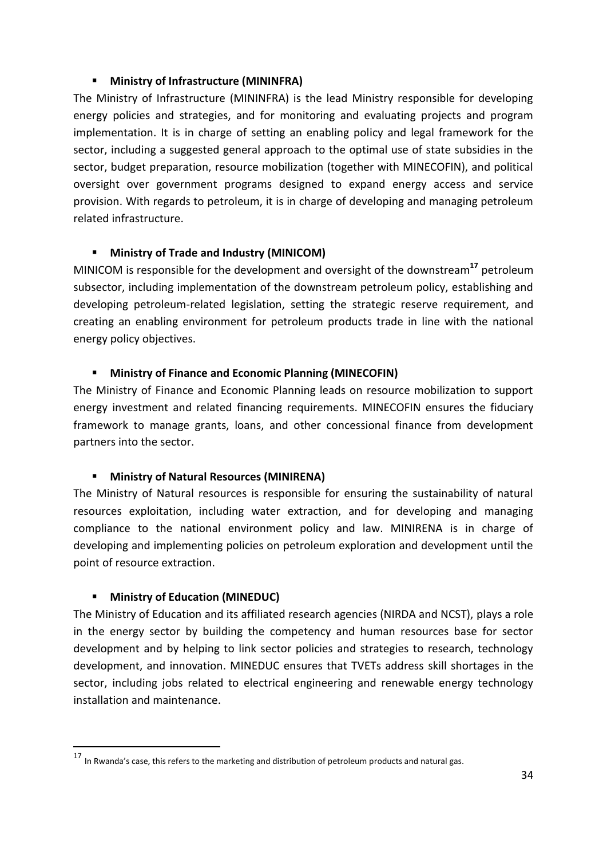#### **Ministry of Infrastructure (MININFRA)**

The Ministry of Infrastructure (MININFRA) is the lead Ministry responsible for developing energy policies and strategies, and for monitoring and evaluating projects and program implementation. It is in charge of setting an enabling policy and legal framework for the sector, including a suggested general approach to the optimal use of state subsidies in the sector, budget preparation, resource mobilization (together with MINECOFIN), and political oversight over government programs designed to expand energy access and service provision. With regards to petroleum, it is in charge of developing and managing petroleum related infrastructure.

## **Ministry of Trade and Industry (MINICOM)**

MINICOM is responsible for the development and oversight of the downstream**<sup>17</sup>** petroleum subsector, including implementation of the downstream petroleum policy, establishing and developing petroleum-related legislation, setting the strategic reserve requirement, and creating an enabling environment for petroleum products trade in line with the national energy policy objectives.

## **Ministry of Finance and Economic Planning (MINECOFIN)**

The Ministry of Finance and Economic Planning leads on resource mobilization to support energy investment and related financing requirements. MINECOFIN ensures the fiduciary framework to manage grants, loans, and other concessional finance from development partners into the sector.

## **Ministry of Natural Resources (MINIRENA)**

The Ministry of Natural resources is responsible for ensuring the sustainability of natural resources exploitation, including water extraction, and for developing and managing compliance to the national environment policy and law. MINIRENA is in charge of developing and implementing policies on petroleum exploration and development until the point of resource extraction.

## **Ministry of Education (MINEDUC)**

-

The Ministry of Education and its affiliated research agencies (NIRDA and NCST), plays a role in the energy sector by building the competency and human resources base for sector development and by helping to link sector policies and strategies to research, technology development, and innovation. MINEDUC ensures that TVETs address skill shortages in the sector, including jobs related to electrical engineering and renewable energy technology installation and maintenance.

<sup>17</sup> In Rwanda's case, this refers to the marketing and distribution of petroleum products and natural gas.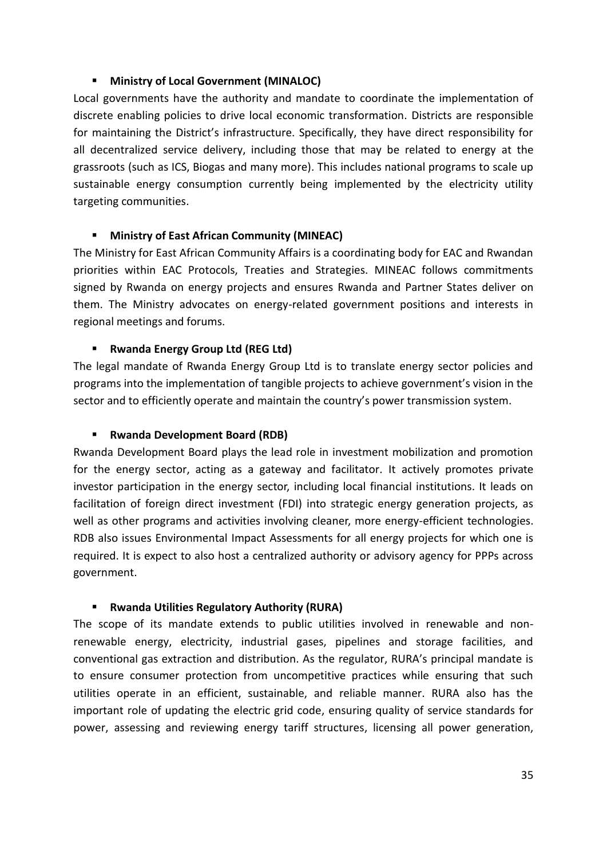#### **Ministry of Local Government (MINALOC)**

Local governments have the authority and mandate to coordinate the implementation of discrete enabling policies to drive local economic transformation. Districts are responsible for maintaining the District's infrastructure. Specifically, they have direct responsibility for all decentralized service delivery, including those that may be related to energy at the grassroots (such as ICS, Biogas and many more). This includes national programs to scale up sustainable energy consumption currently being implemented by the electricity utility targeting communities.

#### **Ministry of East African Community (MINEAC)**

The Ministry for East African Community Affairs is a coordinating body for EAC and Rwandan priorities within EAC Protocols, Treaties and Strategies. MINEAC follows commitments signed by Rwanda on energy projects and ensures Rwanda and Partner States deliver on them. The Ministry advocates on energy-related government positions and interests in regional meetings and forums.

#### **Rwanda Energy Group Ltd (REG Ltd)**

The legal mandate of Rwanda Energy Group Ltd is to translate energy sector policies and programs into the implementation of tangible projects to achieve government's vision in the sector and to efficiently operate and maintain the country's power transmission system.

#### **Rwanda Development Board (RDB)**

Rwanda Development Board plays the lead role in investment mobilization and promotion for the energy sector, acting as a gateway and facilitator. It actively promotes private investor participation in the energy sector, including local financial institutions. It leads on facilitation of foreign direct investment (FDI) into strategic energy generation projects, as well as other programs and activities involving cleaner, more energy-efficient technologies. RDB also issues Environmental Impact Assessments for all energy projects for which one is required. It is expect to also host a centralized authority or advisory agency for PPPs across government.

#### **Rwanda Utilities Regulatory Authority (RURA)**

The scope of its mandate extends to public utilities involved in renewable and nonrenewable energy, electricity, industrial gases, pipelines and storage facilities, and conventional gas extraction and distribution. As the regulator, RURA's principal mandate is to ensure consumer protection from uncompetitive practices while ensuring that such utilities operate in an efficient, sustainable, and reliable manner. RURA also has the important role of updating the electric grid code, ensuring quality of service standards for power, assessing and reviewing energy tariff structures, licensing all power generation,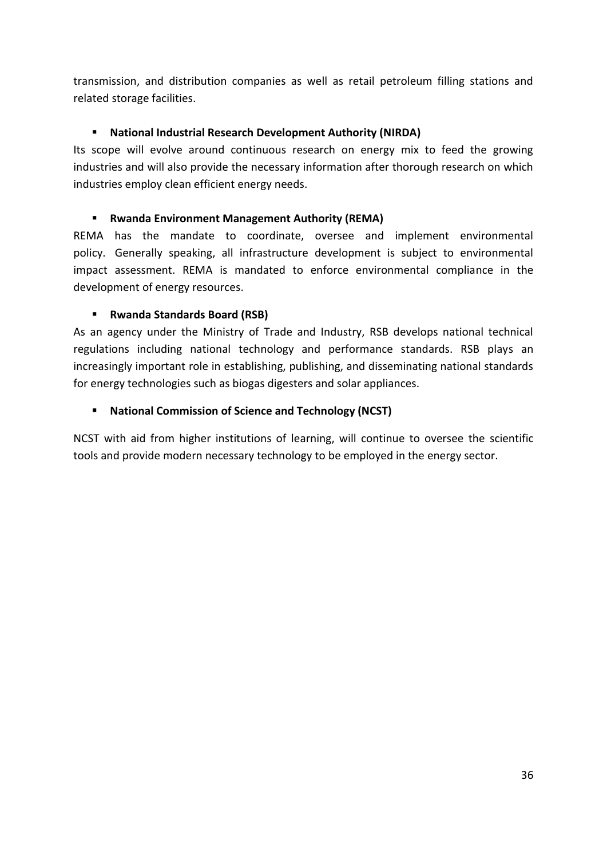transmission, and distribution companies as well as retail petroleum filling stations and related storage facilities.

## **National Industrial Research Development Authority (NIRDA)**

Its scope will evolve around continuous research on energy mix to feed the growing industries and will also provide the necessary information after thorough research on which industries employ clean efficient energy needs.

#### **Rwanda Environment Management Authority (REMA)**

REMA has the mandate to coordinate, oversee and implement environmental policy. Generally speaking, all infrastructure development is subject to environmental impact assessment. REMA is mandated to enforce environmental compliance in the development of energy resources.

#### **Rwanda Standards Board (RSB)**

As an agency under the Ministry of Trade and Industry, RSB develops national technical regulations including national technology and performance standards. RSB plays an increasingly important role in establishing, publishing, and disseminating national standards for energy technologies such as biogas digesters and solar appliances.

#### **National Commission of Science and Technology (NCST)**

NCST with aid from higher institutions of learning, will continue to oversee the scientific tools and provide modern necessary technology to be employed in the energy sector.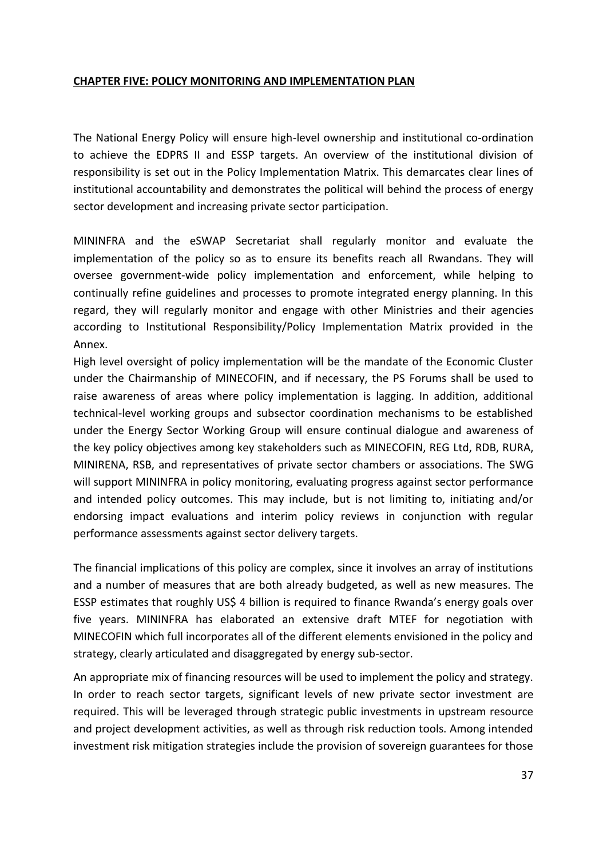#### **CHAPTER FIVE: POLICY MONITORING AND IMPLEMENTATION PLAN**

The National Energy Policy will ensure high-level ownership and institutional co-ordination to achieve the EDPRS II and ESSP targets. An overview of the institutional division of responsibility is set out in the Policy Implementation Matrix. This demarcates clear lines of institutional accountability and demonstrates the political will behind the process of energy sector development and increasing private sector participation.

MININFRA and the eSWAP Secretariat shall regularly monitor and evaluate the implementation of the policy so as to ensure its benefits reach all Rwandans. They will oversee government-wide policy implementation and enforcement, while helping to continually refine guidelines and processes to promote integrated energy planning. In this regard, they will regularly monitor and engage with other Ministries and their agencies according to Institutional Responsibility/Policy Implementation Matrix provided in the Annex.

High level oversight of policy implementation will be the mandate of the Economic Cluster under the Chairmanship of MINECOFIN, and if necessary, the PS Forums shall be used to raise awareness of areas where policy implementation is lagging. In addition, additional technical-level working groups and subsector coordination mechanisms to be established under the Energy Sector Working Group will ensure continual dialogue and awareness of the key policy objectives among key stakeholders such as MINECOFIN, REG Ltd, RDB, RURA, MINIRENA, RSB, and representatives of private sector chambers or associations. The SWG will support MININFRA in policy monitoring, evaluating progress against sector performance and intended policy outcomes. This may include, but is not limiting to, initiating and/or endorsing impact evaluations and interim policy reviews in conjunction with regular performance assessments against sector delivery targets.

The financial implications of this policy are complex, since it involves an array of institutions and a number of measures that are both already budgeted, as well as new measures. The ESSP estimates that roughly US\$ 4 billion is required to finance Rwanda's energy goals over five years. MININFRA has elaborated an extensive draft MTEF for negotiation with MINECOFIN which full incorporates all of the different elements envisioned in the policy and strategy, clearly articulated and disaggregated by energy sub-sector.

An appropriate mix of financing resources will be used to implement the policy and strategy. In order to reach sector targets, significant levels of new private sector investment are required. This will be leveraged through strategic public investments in upstream resource and project development activities, as well as through risk reduction tools. Among intended investment risk mitigation strategies include the provision of sovereign guarantees for those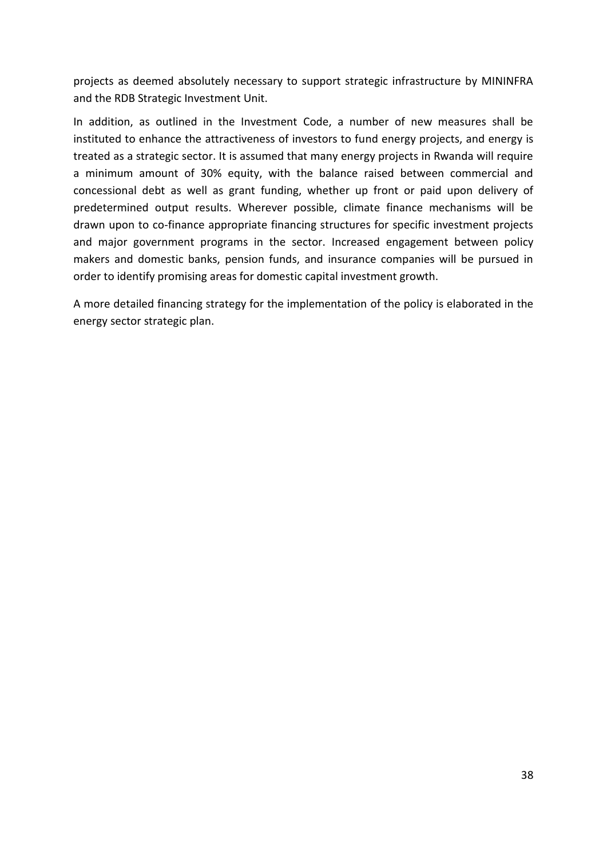projects as deemed absolutely necessary to support strategic infrastructure by MININFRA and the RDB Strategic Investment Unit.

In addition, as outlined in the Investment Code, a number of new measures shall be instituted to enhance the attractiveness of investors to fund energy projects, and energy is treated as a strategic sector. It is assumed that many energy projects in Rwanda will require a minimum amount of 30% equity, with the balance raised between commercial and concessional debt as well as grant funding, whether up front or paid upon delivery of predetermined output results. Wherever possible, climate finance mechanisms will be drawn upon to co-finance appropriate financing structures for specific investment projects and major government programs in the sector. Increased engagement between policy makers and domestic banks, pension funds, and insurance companies will be pursued in order to identify promising areas for domestic capital investment growth.

A more detailed financing strategy for the implementation of the policy is elaborated in the energy sector strategic plan.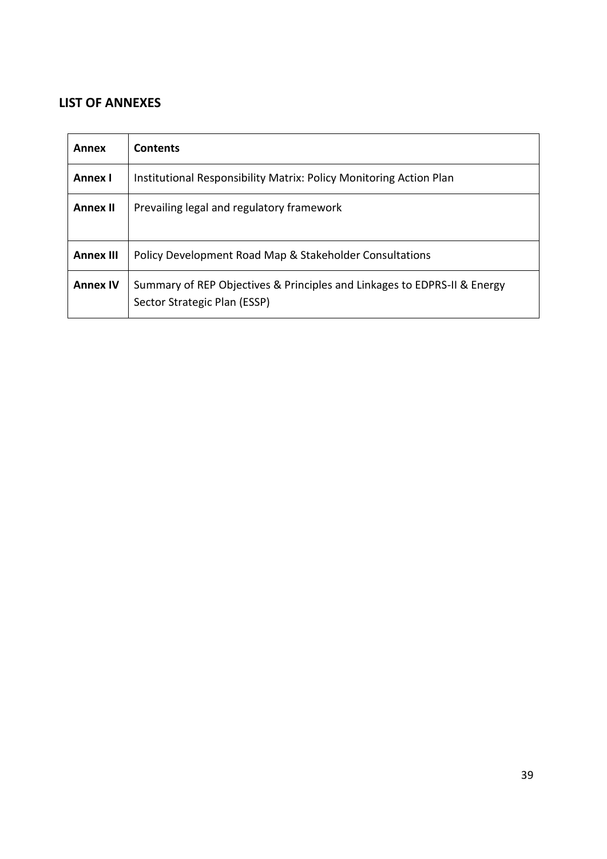# **LIST OF ANNEXES**

| Annex            | <b>Contents</b>                                                                                          |
|------------------|----------------------------------------------------------------------------------------------------------|
| <b>Annex I</b>   | Institutional Responsibility Matrix: Policy Monitoring Action Plan                                       |
| <b>Annex II</b>  | Prevailing legal and regulatory framework                                                                |
| <b>Annex III</b> | Policy Development Road Map & Stakeholder Consultations                                                  |
| <b>Annex IV</b>  | Summary of REP Objectives & Principles and Linkages to EDPRS-II & Energy<br>Sector Strategic Plan (ESSP) |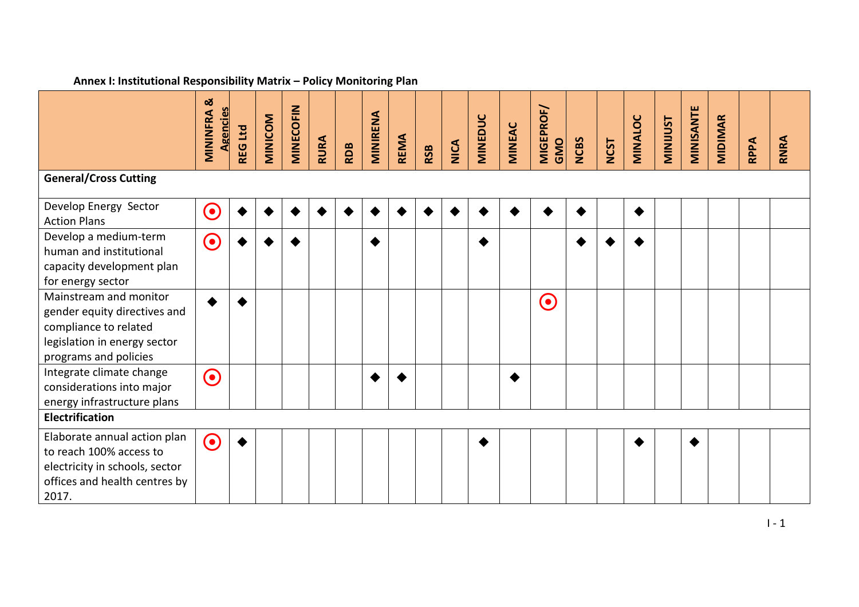| $\alpha$ . Then we have not produced in the set of $\alpha$ in the set of $\alpha$ is the set of $\alpha$                                |                                   |         |         |                  |             |            |          |             |            |      |                |               |                   |             |             |                |                 |           |                |      |      |
|------------------------------------------------------------------------------------------------------------------------------------------|-----------------------------------|---------|---------|------------------|-------------|------------|----------|-------------|------------|------|----------------|---------------|-------------------|-------------|-------------|----------------|-----------------|-----------|----------------|------|------|
|                                                                                                                                          | <b>MININFRA &amp;</b><br>Agencies | REG Ltd | MINICOM | <b>MINECOFIN</b> | <b>RURA</b> | <b>RDB</b> | MINIRENA | <b>REMA</b> | <b>RSB</b> | NICA | <b>MINEDUC</b> | <b>MINEAC</b> | MIGEPROF/<br>GMO  | <b>NCBS</b> | <b>NCST</b> | <b>MINALOC</b> | <b>MINIJUST</b> | MINISANTE | <b>MIDIMAR</b> | RPPA | RNRA |
| <b>General/Cross Cutting</b>                                                                                                             |                                   |         |         |                  |             |            |          |             |            |      |                |               |                   |             |             |                |                 |           |                |      |      |
| Develop Energy Sector<br><b>Action Plans</b>                                                                                             | $\mathbf C$                       |         |         |                  |             |            |          |             |            |      |                |               |                   |             |             |                |                 |           |                |      |      |
| Develop a medium-term<br>human and institutional<br>capacity development plan<br>for energy sector                                       | $\bigodot$                        |         |         |                  |             |            |          |             |            |      |                |               |                   |             |             |                |                 |           |                |      |      |
| Mainstream and monitor<br>gender equity directives and<br>compliance to related<br>legislation in energy sector<br>programs and policies |                                   |         |         |                  |             |            |          |             |            |      |                |               | $\mathbf{\Theta}$ |             |             |                |                 |           |                |      |      |
| Integrate climate change<br>considerations into major<br>energy infrastructure plans                                                     | $\bigodot$                        |         |         |                  |             |            |          |             |            |      |                |               |                   |             |             |                |                 |           |                |      |      |
| <b>Electrification</b>                                                                                                                   |                                   |         |         |                  |             |            |          |             |            |      |                |               |                   |             |             |                |                 |           |                |      |      |
| Elaborate annual action plan<br>to reach 100% access to<br>electricity in schools, sector<br>offices and health centres by<br>2017.      | $\odot$                           |         |         |                  |             |            |          |             |            |      |                |               |                   |             |             |                |                 |           |                |      |      |

#### **Annex I: Institutional Responsibility Matrix – Policy Monitoring Plan**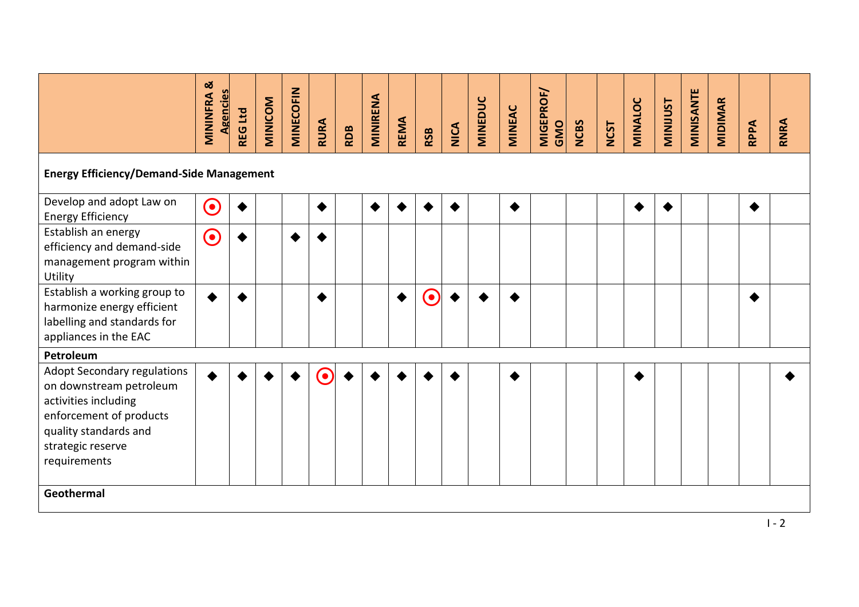|                                                                                                                                                                         | ø<br><b>Agencies</b><br>MININFRA | <b>REG Ltd</b> | MINICOM | <b>MINECOFIN</b> | RURA | <b>RDB</b> | MINIRENA | <b>REMA</b> | <b>RSB</b> | <b>NICA</b> | <b>MINEDUC</b> | MINEAC | MIGEPROF/<br>GMO | <b>NCBS</b> | <b>NCST</b> | MINALOC | <b>MINIJUST</b> | MINISANTE | <b>MIDIMAR</b> | RPPA | RNRA |
|-------------------------------------------------------------------------------------------------------------------------------------------------------------------------|----------------------------------|----------------|---------|------------------|------|------------|----------|-------------|------------|-------------|----------------|--------|------------------|-------------|-------------|---------|-----------------|-----------|----------------|------|------|
| <b>Energy Efficiency/Demand-Side Management</b>                                                                                                                         |                                  |                |         |                  |      |            |          |             |            |             |                |        |                  |             |             |         |                 |           |                |      |      |
| Develop and adopt Law on<br><b>Energy Efficiency</b>                                                                                                                    | $\odot$                          |                |         |                  |      |            |          |             |            |             |                |        |                  |             |             |         |                 |           |                |      |      |
| Establish an energy<br>efficiency and demand-side<br>management program within<br>Utility                                                                               | $\mathbf{\Theta}$                |                |         |                  |      |            |          |             |            |             |                |        |                  |             |             |         |                 |           |                |      |      |
| Establish a working group to<br>harmonize energy efficient<br>labelling and standards for<br>appliances in the EAC                                                      |                                  |                |         |                  |      |            |          |             | $\bf{O}$   |             |                |        |                  |             |             |         |                 |           |                |      |      |
| Petroleum                                                                                                                                                               |                                  |                |         |                  |      |            |          |             |            |             |                |        |                  |             |             |         |                 |           |                |      |      |
| Adopt Secondary regulations<br>on downstream petroleum<br>activities including<br>enforcement of products<br>quality standards and<br>strategic reserve<br>requirements |                                  |                |         |                  |      |            |          |             |            |             |                |        |                  |             |             |         |                 |           |                |      |      |
| Geothermal                                                                                                                                                              |                                  |                |         |                  |      |            |          |             |            |             |                |        |                  |             |             |         |                 |           |                |      |      |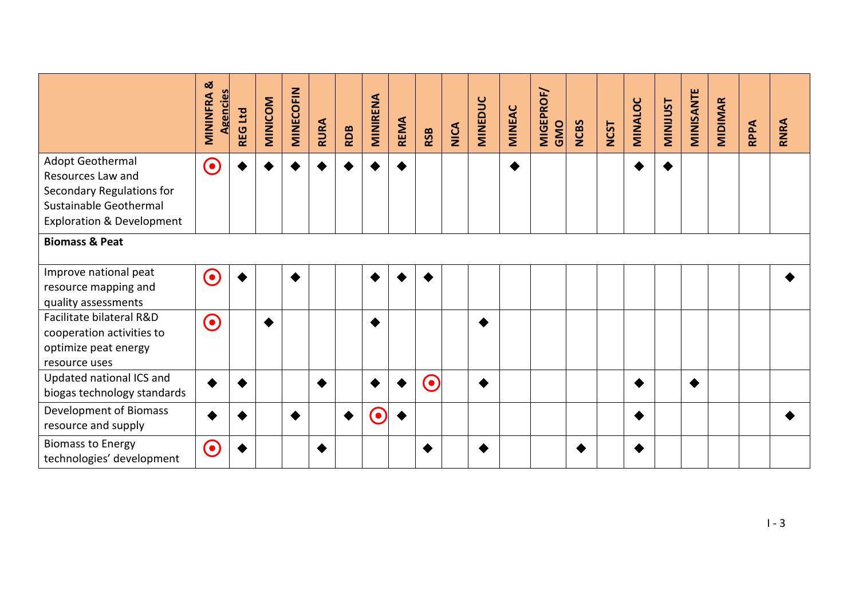|                                                                                                                                      | <u>ನ</u><br><b>Agencies</b><br>MININFRA | <b>REG Ltd</b> | MINICOM | <b>MINECOFIN</b> | <b>RURA</b> | <b>RDB</b> | MINIRENA | <b>REMA</b> | <b>RSB</b> | <b>NICA</b> | <b>MINEDUC</b> | <b>MINEAC</b>   | <b>MIGEPROF/</b><br>GMO | <b>NCBS</b> | <b>NCST</b> | MINALOC | <b>TSUININE</b> | MINISANTE | <b>MIDIMAR</b> | RPPA | RNRA |
|--------------------------------------------------------------------------------------------------------------------------------------|-----------------------------------------|----------------|---------|------------------|-------------|------------|----------|-------------|------------|-------------|----------------|-----------------|-------------------------|-------------|-------------|---------|-----------------|-----------|----------------|------|------|
| Adopt Geothermal<br>Resources Law and<br>Secondary Regulations for<br>Sustainable Geothermal<br><b>Exploration &amp; Development</b> | $\mathbf{\Theta}$                       |                |         |                  |             |            |          |             |            |             |                | $\blacklozenge$ |                         |             |             |         |                 |           |                |      |      |
| <b>Biomass &amp; Peat</b>                                                                                                            |                                         |                |         |                  |             |            |          |             |            |             |                |                 |                         |             |             |         |                 |           |                |      |      |
| Improve national peat<br>resource mapping and<br>quality assessments                                                                 | $\bigodot$                              |                |         | ♦                |             |            |          |             |            |             |                |                 |                         |             |             |         |                 |           |                |      |      |
| Facilitate bilateral R&D<br>cooperation activities to<br>optimize peat energy<br>resource uses                                       | $\odot$                                 |                |         |                  |             |            |          |             |            |             |                |                 |                         |             |             |         |                 |           |                |      |      |
| Updated national ICS and<br>biogas technology standards                                                                              |                                         |                |         |                  |             |            |          |             | $\odot$    |             |                |                 |                         |             |             | ♦       |                 | ◀         |                |      |      |
| <b>Development of Biomass</b><br>resource and supply                                                                                 |                                         |                |         | ◆                |             |            | <b>.</b> |             |            |             |                |                 |                         |             |             | ◆       |                 |           |                |      |      |
| <b>Biomass to Energy</b><br>technologies' development                                                                                | $\left( \bullet \right)$                |                |         |                  |             |            |          |             |            |             |                |                 |                         |             |             |         |                 |           |                |      |      |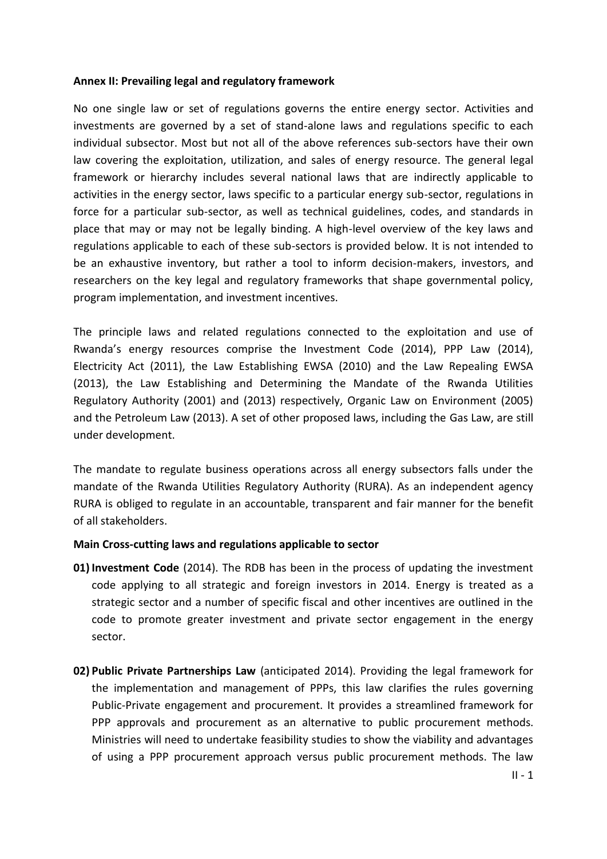#### **Annex II: Prevailing legal and regulatory framework**

No one single law or set of regulations governs the entire energy sector. Activities and investments are governed by a set of stand-alone laws and regulations specific to each individual subsector. Most but not all of the above references sub-sectors have their own law covering the exploitation, utilization, and sales of energy resource. The general legal framework or hierarchy includes several national laws that are indirectly applicable to activities in the energy sector, laws specific to a particular energy sub-sector, regulations in force for a particular sub-sector, as well as technical guidelines, codes, and standards in place that may or may not be legally binding. A high-level overview of the key laws and regulations applicable to each of these sub-sectors is provided below. It is not intended to be an exhaustive inventory, but rather a tool to inform decision-makers, investors, and researchers on the key legal and regulatory frameworks that shape governmental policy, program implementation, and investment incentives.

The principle laws and related regulations connected to the exploitation and use of Rwanda's energy resources comprise the Investment Code (2014), PPP Law (2014), Electricity Act (2011), the Law Establishing EWSA (2010) and the Law Repealing EWSA (2013), the Law Establishing and Determining the Mandate of the Rwanda Utilities Regulatory Authority (2001) and (2013) respectively, Organic Law on Environment (2005) and the Petroleum Law (2013). A set of other proposed laws, including the Gas Law, are still under development.

The mandate to regulate business operations across all energy subsectors falls under the mandate of the Rwanda Utilities Regulatory Authority (RURA). As an independent agency RURA is obliged to regulate in an accountable, transparent and fair manner for the benefit of all stakeholders.

### **Main Cross-cutting laws and regulations applicable to sector**

- **01) Investment Code** (2014). The RDB has been in the process of updating the investment code applying to all strategic and foreign investors in 2014. Energy is treated as a strategic sector and a number of specific fiscal and other incentives are outlined in the code to promote greater investment and private sector engagement in the energy sector.
- **02) Public Private Partnerships Law** (anticipated 2014). Providing the legal framework for the implementation and management of PPPs, this law clarifies the rules governing Public-Private engagement and procurement. It provides a streamlined framework for PPP approvals and procurement as an alternative to public procurement methods. Ministries will need to undertake feasibility studies to show the viability and advantages of using a PPP procurement approach versus public procurement methods. The law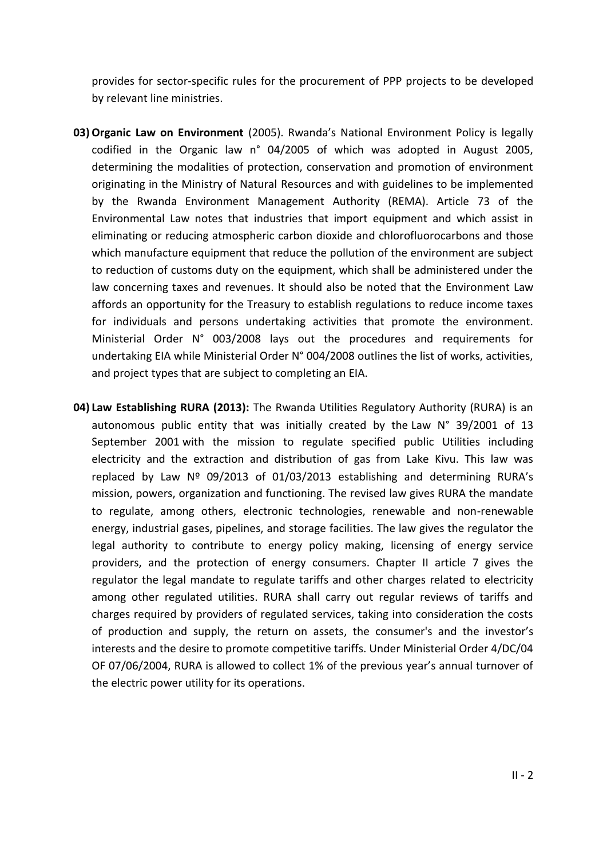provides for sector-specific rules for the procurement of PPP projects to be developed by relevant line ministries.

- 03) Organic Law on Environment (2005). Rwanda's National Environment Policy is legally codified in the Organic law n° 04/2005 of which was adopted in August 2005, determining the modalities of protection, conservation and promotion of environment originating in the Ministry of Natural Resources and with guidelines to be implemented by the Rwanda Environment Management Authority (REMA). Article 73 of the Environmental Law notes that industries that import equipment and which assist in eliminating or reducing atmospheric carbon dioxide and chlorofluorocarbons and those which manufacture equipment that reduce the pollution of the environment are subject to reduction of customs duty on the equipment, which shall be administered under the law concerning taxes and revenues. It should also be noted that the Environment Law affords an opportunity for the Treasury to establish regulations to reduce income taxes for individuals and persons undertaking activities that promote the environment. Ministerial Order N° 003/2008 lays out the procedures and requirements for undertaking EIA while Ministerial Order N° 004/2008 outlines the list of works, activities, and project types that are subject to completing an EIA.
- **04) Law Establishing RURA (2013):** The Rwanda Utilities Regulatory Authority (RURA) is an autonomous public entity that was initially created by the [Law N° 39/2001 of 13](http://www.rura.rw/fileadmin/laws/LawAgencyforRegul.pdf)  [September 2001](http://www.rura.rw/fileadmin/laws/LawAgencyforRegul.pdf) with the mission to regulate specified public Utilities including electricity and the extraction and distribution of gas from Lake Kivu. This law was replaced by [Law Nº 09/2013 of 01/03/2013](http://www.rura.rw/fileadmin/laws/Official_Gazette_no_14_bis_of_08_04_2013.pdf) establishing and determining RURA's mission, powers, organization and functioning. The revised law gives RURA the mandate to regulate, among others, electronic technologies, renewable and non-renewable energy, industrial gases, pipelines, and storage facilities. The law gives the regulator the legal authority to contribute to energy policy making, licensing of energy service providers, and the protection of energy consumers. Chapter II article 7 gives the regulator the legal mandate to regulate tariffs and other charges related to electricity among other regulated utilities. RURA shall carry out regular reviews of tariffs and charges required by providers of regulated services, taking into consideration the costs of production and supply, the return on assets, the consumer's and the investor's interests and the desire to promote competitive tariffs. Under Ministerial Order 4/DC/04 OF 07/06/2004, RURA is allowed to collect 1% of the previous year's annual turnover of the electric power utility for its operations.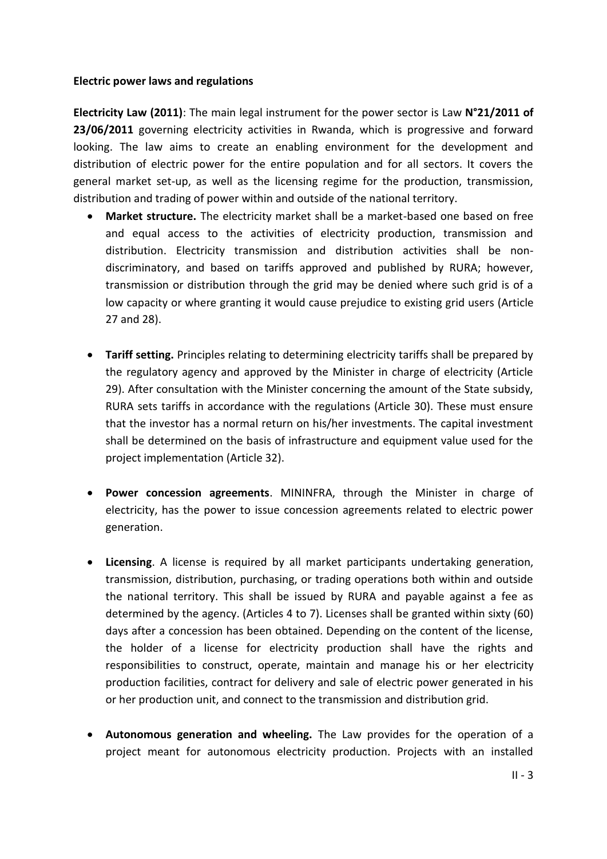#### **Electric power laws and regulations**

**Electricity Law (2011)**: The main legal instrument for the power sector is Law **N°21/2011 of 23/06/2011** governing electricity activities in Rwanda, which is progressive and forward looking. The law aims to create an enabling environment for the development and distribution of electric power for the entire population and for all sectors. It covers the general market set-up, as well as the licensing regime for the production, transmission, distribution and trading of power within and outside of the national territory.

- **Market structure.** The electricity market shall be a market-based one based on free and equal access to the activities of electricity production, transmission and distribution. Electricity transmission and distribution activities shall be nondiscriminatory, and based on tariffs approved and published by RURA; however, transmission or distribution through the grid may be denied where such grid is of a low capacity or where granting it would cause prejudice to existing grid users (Article 27 and 28).
- **Tariff setting.** Principles relating to determining electricity tariffs shall be prepared by the regulatory agency and approved by the Minister in charge of electricity (Article 29). After consultation with the Minister concerning the amount of the State subsidy, RURA sets tariffs in accordance with the regulations (Article 30). These must ensure that the investor has a normal return on his/her investments. The capital investment shall be determined on the basis of infrastructure and equipment value used for the project implementation (Article 32).
- **Power concession agreements**. MININFRA, through the Minister in charge of electricity, has the power to issue concession agreements related to electric power generation.
- **Licensing**. A license is required by all market participants undertaking generation, transmission, distribution, purchasing, or trading operations both within and outside the national territory. This shall be issued by RURA and payable against a fee as determined by the agency. (Articles 4 to 7). Licenses shall be granted within sixty (60) days after a concession has been obtained. Depending on the content of the license, the holder of a license for electricity production shall have the rights and responsibilities to construct, operate, maintain and manage his or her electricity production facilities, contract for delivery and sale of electric power generated in his or her production unit, and connect to the transmission and distribution grid.
- **Autonomous generation and wheeling.** The Law provides for the operation of a project meant for autonomous electricity production. Projects with an installed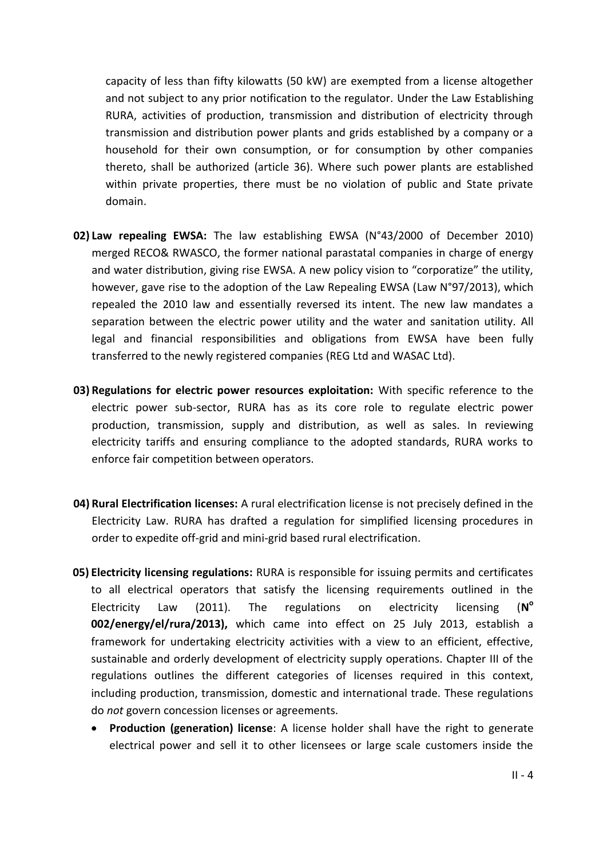capacity of less than fifty kilowatts (50 kW) are exempted from a license altogether and not subject to any prior notification to the regulator. Under the Law Establishing RURA, activities of production, transmission and distribution of electricity through transmission and distribution power plants and grids established by a company or a household for their own consumption, or for consumption by other companies thereto, shall be authorized (article 36). Where such power plants are established within private properties, there must be no violation of public and State private domain.

- **02) Law repealing EWSA:** The law establishing EWSA (N°43/2000 of December 2010) merged RECO& RWASCO, the former national parastatal companies in charge of energy and water distribution, giving rise EWSA. A new policy vision to "corporatize" the utility, however, gave rise to the adoption of the Law Repealing EWSA (Law N°97/2013), which repealed the 2010 law and essentially reversed its intent. The new law mandates a separation between the electric power utility and the water and sanitation utility. All legal and financial responsibilities and obligations from EWSA have been fully transferred to the newly registered companies (REG Ltd and WASAC Ltd).
- **03) Regulations for electric power resources exploitation:** With specific reference to the electric power sub-sector, RURA has as its core role to regulate electric power production, transmission, supply and distribution, as well as sales. In reviewing electricity tariffs and ensuring compliance to the adopted standards, RURA works to enforce fair competition between operators.
- **04) Rural Electrification licenses:** A rural electrification license is not precisely defined in the Electricity Law. RURA has drafted a regulation for simplified licensing procedures in order to expedite off-grid and mini-grid based rural electrification.
- **05) Electricity licensing regulations:** RURA is responsible for issuing permits and certificates to all electrical operators that satisfy the licensing requirements outlined in the Electricity Law (2011). The regulations on electricity licensing (**N**  $(N^{\circ})$ **002/energy/el/rura/2013),** which came into effect on 25 July 2013, establish a framework for undertaking electricity activities with a view to an efficient, effective, sustainable and orderly development of electricity supply operations. Chapter III of the regulations outlines the different categories of licenses required in this context, including production, transmission, domestic and international trade. These regulations do *not* govern concession licenses or agreements.
	- **Production (generation) license**: A license holder shall have the right to generate electrical power and sell it to other licensees or large scale customers inside the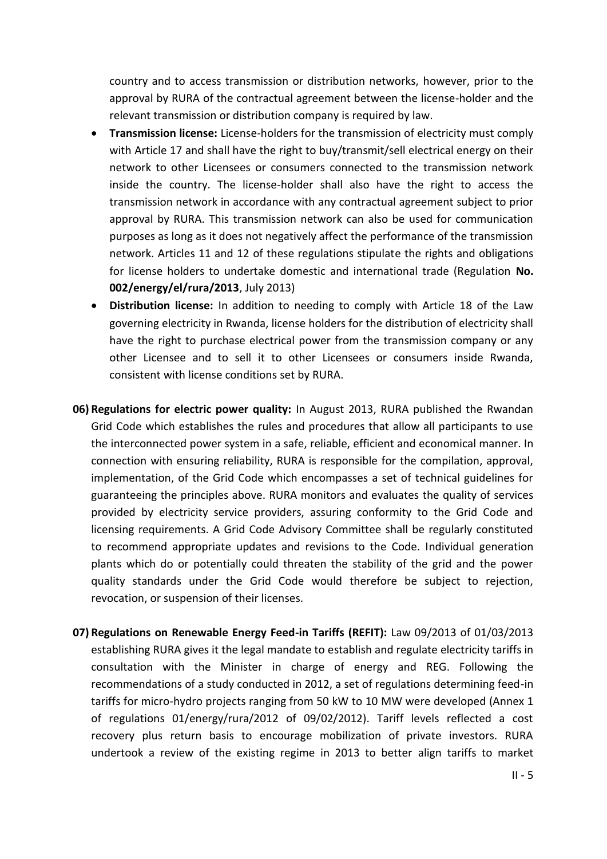country and to access transmission or distribution networks, however, prior to the approval by RURA of the contractual agreement between the license-holder and the relevant transmission or distribution company is required by law.

- **Transmission license:** License-holders for the transmission of electricity must comply with Article 17 and shall have the right to buy/transmit/sell electrical energy on their network to other Licensees or consumers connected to the transmission network inside the country. The license-holder shall also have the right to access the transmission network in accordance with any contractual agreement subject to prior approval by RURA. This transmission network can also be used for communication purposes as long as it does not negatively affect the performance of the transmission network. Articles 11 and 12 of these regulations stipulate the rights and obligations for license holders to undertake domestic and international trade (Regulation **No. 002/energy/el/rura/2013**, July 2013)
- **Distribution license:** In addition to needing to comply with Article 18 of the Law governing electricity in Rwanda, license holders for the distribution of electricity shall have the right to purchase electrical power from the transmission company or any other Licensee and to sell it to other Licensees or consumers inside Rwanda, consistent with license conditions set by RURA.
- **06) Regulations for electric power quality:** In August 2013, RURA published the Rwandan Grid Code which establishes the rules and procedures that allow all participants to use the interconnected power system in a safe, reliable, efficient and economical manner. In connection with ensuring reliability, RURA is responsible for the compilation, approval, implementation, of the Grid Code which encompasses a set of technical guidelines for guaranteeing the principles above. RURA monitors and evaluates the quality of services provided by electricity service providers, assuring conformity to the Grid Code and licensing requirements. A Grid Code Advisory Committee shall be regularly constituted to recommend appropriate updates and revisions to the Code. Individual generation plants which do or potentially could threaten the stability of the grid and the power quality standards under the Grid Code would therefore be subject to rejection, revocation, or suspension of their licenses.
- **07) Regulations on Renewable Energy Feed-in Tariffs (REFIT):** [Law 09/2013 of 01/03/2013](http://www.rura.rw/fileadmin/laws/Official_Gazette_no_14_bis_of_08_04_2013.pdf) establishing RURA gives it the legal mandate to establish and regulate electricity tariffs in consultation with the Minister in charge of energy and REG. Following the recommendations of a study conducted in 2012, a set of regulations determining feed-in tariffs for micro-hydro projects ranging from 50 kW to 10 MW were developed (Annex 1 of regulations 01/energy/rura/2012 of 09/02/2012). Tariff levels reflected a cost recovery plus return basis to encourage mobilization of private investors. RURA undertook a review of the existing regime in 2013 to better align tariffs to market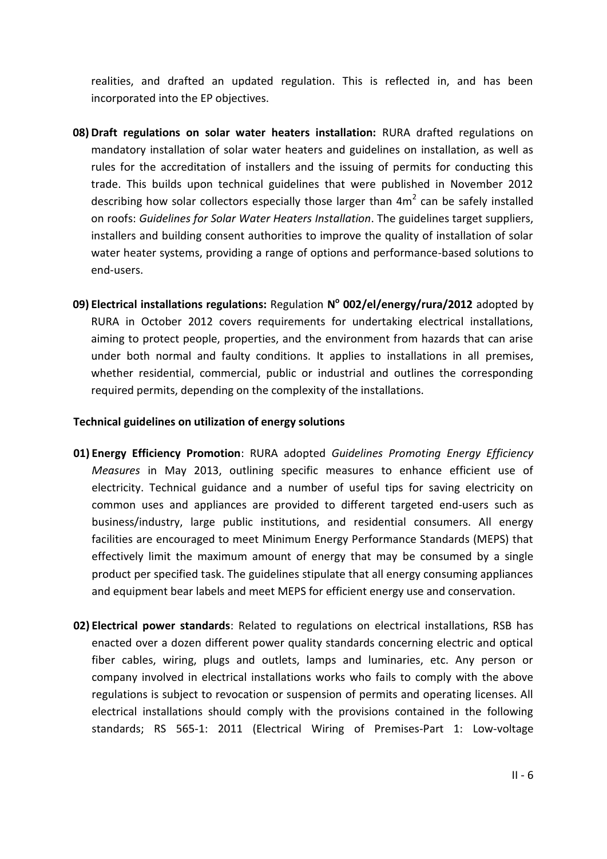realities, and drafted an updated regulation. This is reflected in, and has been incorporated into the EP objectives.

- **08) Draft regulations on solar water heaters installation:** RURA drafted regulations on mandatory installation of solar water heaters and guidelines on installation, as well as rules for the accreditation of installers and the issuing of permits for conducting this trade. This builds upon technical guidelines that were published in November 2012 describing how solar collectors especially those larger than  $4m^2$  can be safely installed on roofs: *Guidelines for Solar Water Heaters Installation*. The guidelines target suppliers, installers and building consent authorities to improve the quality of installation of solar water heater systems, providing a range of options and performance-based solutions to end-users.
- **09) Electrical installations regulations:** Regulation **N o 002/el/energy/rura/2012** adopted by RURA in October 2012 covers requirements for undertaking electrical installations, aiming to protect people, properties, and the environment from hazards that can arise under both normal and faulty conditions. It applies to installations in all premises, whether residential, commercial, public or industrial and outlines the corresponding required permits, depending on the complexity of the installations.

#### **Technical guidelines on utilization of energy solutions**

- **01) Energy Efficiency Promotion**: RURA adopted *Guidelines Promoting Energy Efficiency Measures* in May 2013, outlining specific measures to enhance efficient use of electricity. Technical guidance and a number of useful tips for saving electricity on common uses and appliances are provided to different targeted end-users such as business/industry, large public institutions, and residential consumers. All energy facilities are encouraged to meet Minimum Energy Performance Standards (MEPS) that effectively limit the maximum amount of energy that may be consumed by a single product per specified task. The guidelines stipulate that all energy consuming appliances and equipment bear labels and meet MEPS for efficient energy use and conservation.
- **02) Electrical power standards**: Related to regulations on electrical installations, RSB has enacted over a dozen different power quality standards concerning electric and optical fiber cables, wiring, plugs and outlets, lamps and luminaries, etc. Any person or company involved in electrical installations works who fails to comply with the above regulations is subject to revocation or suspension of permits and operating licenses. All electrical installations should comply with the provisions contained in the following standards; RS 565-1: 2011 (Electrical Wiring of Premises-Part 1: Low-voltage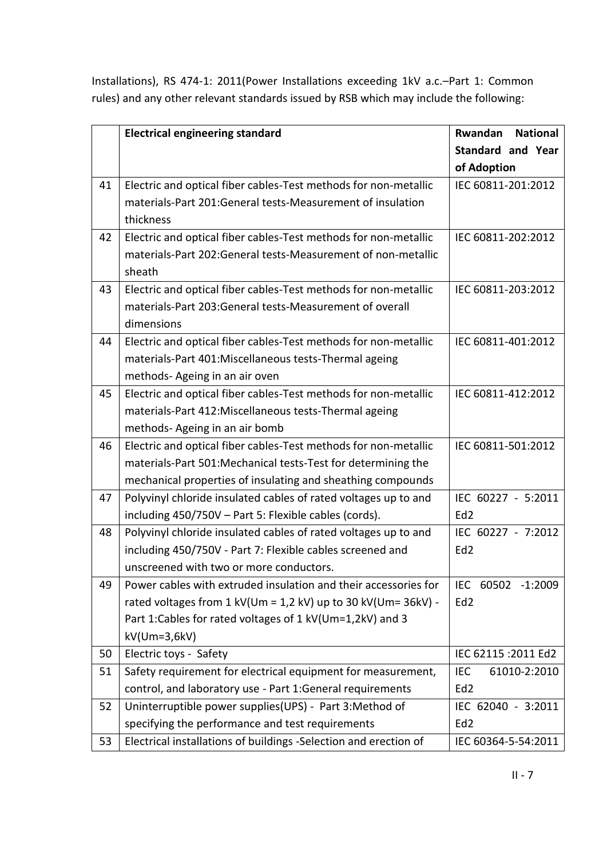Installations), RS 474-1: 2011(Power Installations exceeding 1kV a.c.–Part 1: Common rules) and any other relevant standards issued by RSB which may include the following:

|    | <b>Electrical engineering standard</b>                           | Rwandan<br><b>National</b> |
|----|------------------------------------------------------------------|----------------------------|
|    |                                                                  | <b>Standard and Year</b>   |
|    |                                                                  | of Adoption                |
| 41 | Electric and optical fiber cables-Test methods for non-metallic  | IEC 60811-201:2012         |
|    | materials-Part 201:General tests-Measurement of insulation       |                            |
|    | thickness                                                        |                            |
| 42 | Electric and optical fiber cables-Test methods for non-metallic  | IEC 60811-202:2012         |
|    | materials-Part 202:General tests-Measurement of non-metallic     |                            |
|    | sheath                                                           |                            |
| 43 | Electric and optical fiber cables-Test methods for non-metallic  | IEC 60811-203:2012         |
|    | materials-Part 203:General tests-Measurement of overall          |                            |
|    | dimensions                                                       |                            |
| 44 | Electric and optical fiber cables-Test methods for non-metallic  | IEC 60811-401:2012         |
|    | materials-Part 401:Miscellaneous tests-Thermal ageing            |                            |
|    | methods- Ageing in an air oven                                   |                            |
| 45 | Electric and optical fiber cables-Test methods for non-metallic  | IEC 60811-412:2012         |
|    | materials-Part 412:Miscellaneous tests-Thermal ageing            |                            |
|    | methods-Ageing in an air bomb                                    |                            |
| 46 | Electric and optical fiber cables-Test methods for non-metallic  | IEC 60811-501:2012         |
|    | materials-Part 501:Mechanical tests-Test for determining the     |                            |
|    | mechanical properties of insulating and sheathing compounds      |                            |
| 47 | Polyvinyl chloride insulated cables of rated voltages up to and  | IEC 60227 - 5:2011         |
|    | including 450/750V - Part 5: Flexible cables (cords).            | Ed <sub>2</sub>            |
| 48 | Polyvinyl chloride insulated cables of rated voltages up to and  | IEC 60227 - 7:2012         |
|    | including 450/750V - Part 7: Flexible cables screened and        | Ed <sub>2</sub>            |
|    | unscreened with two or more conductors.                          |                            |
| 49 | Power cables with extruded insulation and their accessories for  | IEC 60502 -1:2009          |
|    | rated voltages from $1$ kV(Um = 1,2 kV) up to 30 kV(Um= 36kV) -  | Ed <sub>2</sub>            |
|    | Part 1: Cables for rated voltages of 1 kV(Um=1,2kV) and 3        |                            |
|    | $kV$ (Um=3,6 $kV$ )                                              |                            |
| 50 | Electric toys - Safety                                           | IEC 62115 : 2011 Ed2       |
| 51 | Safety requirement for electrical equipment for measurement,     | <b>IEC</b><br>61010-2:2010 |
|    | control, and laboratory use - Part 1: General requirements       | Ed <sub>2</sub>            |
| 52 | Uninterruptible power supplies(UPS) - Part 3:Method of           | IEC 62040 - 3:2011         |
|    | specifying the performance and test requirements                 | Ed <sub>2</sub>            |
| 53 | Electrical installations of buildings -Selection and erection of | IEC 60364-5-54:2011        |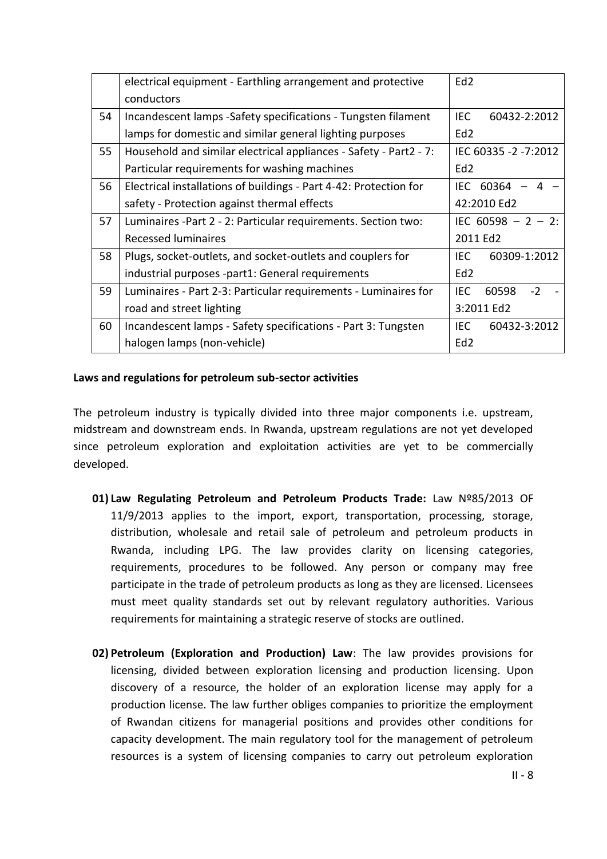|    | electrical equipment - Earthling arrangement and protective       | Ed <sub>2</sub>       |
|----|-------------------------------------------------------------------|-----------------------|
|    | conductors                                                        |                       |
| 54 | Incandescent lamps - Safety specifications - Tungsten filament    | IEC<br>60432-2:2012   |
|    | lamps for domestic and similar general lighting purposes          | Ed <sub>2</sub>       |
| 55 | Household and similar electrical appliances - Safety - Part2 - 7: | IEC 60335 -2 -7:2012  |
|    | Particular requirements for washing machines                      | Ed <sub>2</sub>       |
| 56 | Electrical installations of buildings - Part 4-42: Protection for | IEC 60364<br>$-4$     |
|    | safety - Protection against thermal effects                       | 42:2010 Ed2           |
| 57 | Luminaires - Part 2 - 2: Particular requirements. Section two:    | IEC $60598 - 2 - 2$ : |
|    | <b>Recessed luminaires</b>                                        | 2011 Ed2              |
| 58 | Plugs, socket-outlets, and socket-outlets and couplers for        | IEC<br>60309-1:2012   |
|    | industrial purposes -part1: General requirements                  | Ed <sub>2</sub>       |
| 59 | Luminaires - Part 2-3: Particular requirements - Luminaires for   | IEC<br>60598<br>$-2$  |
|    | road and street lighting                                          | 3:2011 Ed2            |
| 60 | Incandescent lamps - Safety specifications - Part 3: Tungsten     | IEC.<br>60432-3:2012  |
|    | halogen lamps (non-vehicle)                                       | Ed <sub>2</sub>       |
|    |                                                                   |                       |

#### **Laws and regulations for petroleum sub-sector activities**

The petroleum industry is typically divided into three major components i.e. upstream, midstream and downstream ends. In Rwanda, upstream regulations are not yet developed since petroleum exploration and exploitation activities are yet to be commercially developed.

- **01) Law Regulating Petroleum and Petroleum Products Trade:** Law Nº85/2013 OF 11/9/2013 applies to the import, export, transportation, processing, storage, distribution, wholesale and retail sale of petroleum and petroleum products in Rwanda, including LPG. The law provides clarity on licensing categories, requirements, procedures to be followed. Any person or company may free participate in the trade of petroleum products as long as they are licensed. Licensees must meet quality standards set out by relevant regulatory authorities. Various requirements for maintaining a strategic reserve of stocks are outlined.
- **02) Petroleum (Exploration and Production) Law**: The law provides provisions for licensing, divided between exploration licensing and production licensing. Upon discovery of a resource, the holder of an exploration license may apply for a production license. The law further obliges companies to prioritize the employment of Rwandan citizens for managerial positions and provides other conditions for capacity development. The main regulatory tool for the management of petroleum resources is a system of licensing companies to carry out petroleum exploration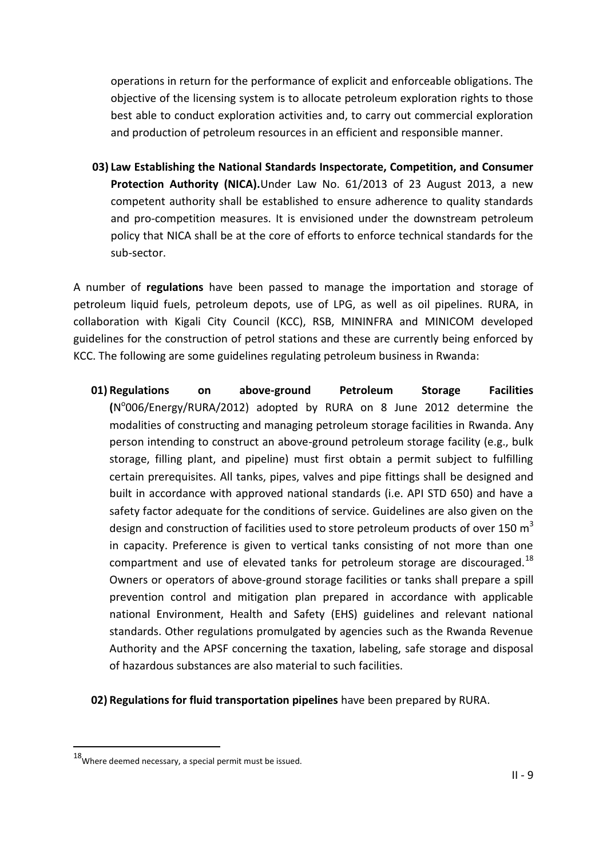operations in return for the performance of explicit and enforceable obligations. The objective of the licensing system is to allocate petroleum exploration rights to those best able to conduct exploration activities and, to carry out commercial exploration and production of petroleum resources in an efficient and responsible manner.

**03) Law Establishing the National Standards Inspectorate, Competition, and Consumer Protection Authority (NICA).**Under Law No. 61/2013 of 23 August 2013, a new competent authority shall be established to ensure adherence to quality standards and pro-competition measures. It is envisioned under the downstream petroleum policy that NICA shall be at the core of efforts to enforce technical standards for the sub-sector.

A number of **regulations** have been passed to manage the importation and storage of petroleum liquid fuels, petroleum depots, use of LPG, as well as oil pipelines. RURA, in collaboration with Kigali City Council (KCC), RSB, MININFRA and MINICOM developed guidelines for the construction of petrol stations and these are currently being enforced by KCC. The following are some guidelines regulating petroleum business in Rwanda:

- **01) Regulations on above-ground Petroleum Storage Facilities (**N o 006/Energy/RURA/2012) adopted by RURA on 8 June 2012 determine the modalities of constructing and managing petroleum storage facilities in Rwanda. Any person intending to construct an above-ground petroleum storage facility (e.g., bulk storage, filling plant, and pipeline) must first obtain a permit subject to fulfilling certain prerequisites. All tanks, pipes, valves and pipe fittings shall be designed and built in accordance with approved national standards (i.e. API STD 650) and have a safety factor adequate for the conditions of service. Guidelines are also given on the design and construction of facilities used to store petroleum products of over 150  $m<sup>3</sup>$ in capacity. Preference is given to vertical tanks consisting of not more than one compartment and use of elevated tanks for petroleum storage are discouraged.<sup>18</sup> Owners or operators of above-ground storage facilities or tanks shall prepare a spill prevention control and mitigation plan prepared in accordance with applicable national Environment, Health and Safety (EHS) guidelines and relevant national standards. Other regulations promulgated by agencies such as the Rwanda Revenue Authority and the APSF concerning the taxation, labeling, safe storage and disposal of hazardous substances are also material to such facilities.
- **02) Regulations for fluid transportation pipelines** have been prepared by RURA.

-

<sup>18</sup>Where deemed necessary, a special permit must be issued.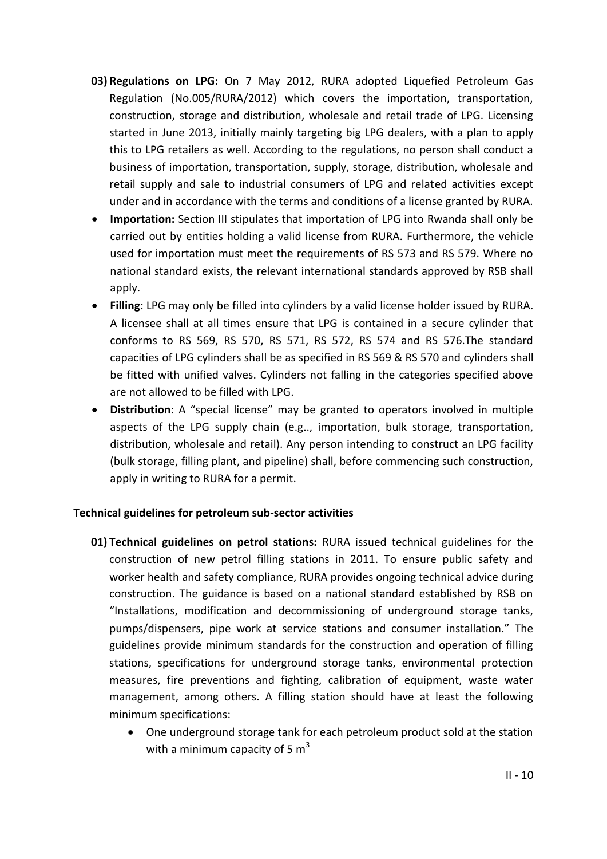- **03) Regulations on LPG:** On 7 May 2012, RURA adopted Liquefied Petroleum Gas Regulation (No.005/RURA/2012) which covers the importation, transportation, construction, storage and distribution, wholesale and retail trade of LPG. Licensing started in June 2013, initially mainly targeting big LPG dealers, with a plan to apply this to LPG retailers as well. According to the regulations, no person shall conduct a business of importation, transportation, supply, storage, distribution, wholesale and retail supply and sale to industrial consumers of LPG and related activities except under and in accordance with the terms and conditions of a license granted by RURA.
- **Importation:** Section III stipulates that importation of LPG into Rwanda shall only be carried out by entities holding a valid license from RURA. Furthermore, the vehicle used for importation must meet the requirements of RS 573 and RS 579. Where no national standard exists, the relevant international standards approved by RSB shall apply.
- **Filling**: LPG may only be filled into cylinders by a valid license holder issued by RURA. A licensee shall at all times ensure that LPG is contained in a secure cylinder that conforms to RS 569, RS 570, RS 571, RS 572, RS 574 and RS 576.The standard capacities of LPG cylinders shall be as specified in RS 569 & RS 570 and cylinders shall be fitted with unified valves. Cylinders not falling in the categories specified above are not allowed to be filled with LPG.
- **Distribution**: A "special license" may be granted to operators involved in multiple aspects of the LPG supply chain (e.g.., importation, bulk storage, transportation, distribution, wholesale and retail). Any person intending to construct an LPG facility (bulk storage, filling plant, and pipeline) shall, before commencing such construction, apply in writing to RURA for a permit.

### **Technical guidelines for petroleum sub-sector activities**

- **01) Technical guidelines on petrol stations:** RURA issued technical guidelines for the construction of new petrol filling stations in 2011. To ensure public safety and worker health and safety compliance, RURA provides ongoing technical advice during construction. The guidance is based on a national standard established by RSB on "Installations, modification and decommissioning of underground storage tanks, pumps/dispensers, pipe work at service stations and consumer installation." The guidelines provide minimum standards for the construction and operation of filling stations, specifications for underground storage tanks, environmental protection measures, fire preventions and fighting, calibration of equipment, waste water management, among others. A filling station should have at least the following minimum specifications:
	- One underground storage tank for each petroleum product sold at the station with a minimum capacity of 5  $m<sup>3</sup>$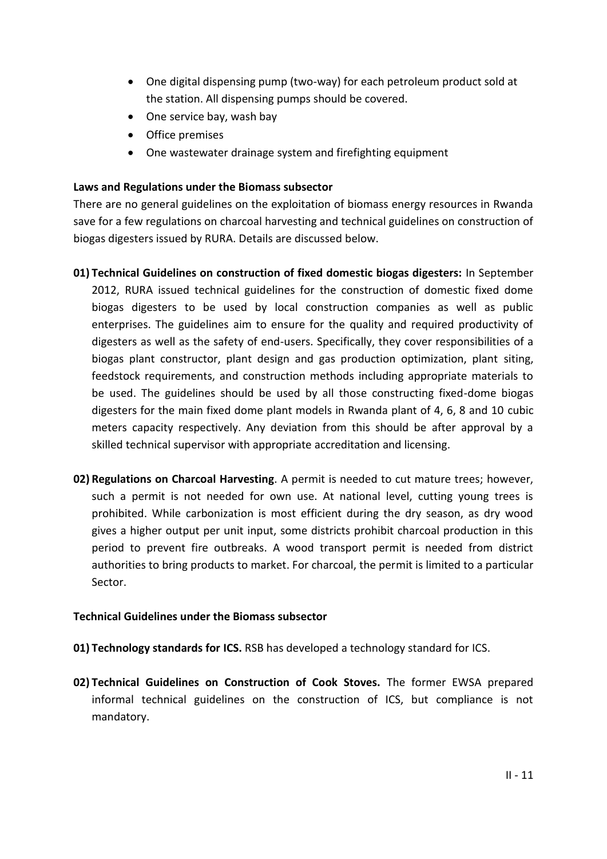- One digital dispensing pump (two-way) for each petroleum product sold at the station. All dispensing pumps should be covered.
- One service bay, wash bay
- Office premises
- One wastewater drainage system and firefighting equipment

### **Laws and Regulations under the Biomass subsector**

There are no general guidelines on the exploitation of biomass energy resources in Rwanda save for a few regulations on charcoal harvesting and technical guidelines on construction of biogas digesters issued by RURA. Details are discussed below.

- **01) Technical Guidelines on construction of fixed domestic biogas digesters:** In September 2012, RURA issued technical guidelines for the construction of domestic fixed dome biogas digesters to be used by local construction companies as well as public enterprises. The guidelines aim to ensure for the quality and required productivity of digesters as well as the safety of end-users. Specifically, they cover responsibilities of a biogas plant constructor, plant design and gas production optimization, plant siting, feedstock requirements, and construction methods including appropriate materials to be used. The guidelines should be used by all those constructing fixed-dome biogas digesters for the main fixed dome plant models in Rwanda plant of 4, 6, 8 and 10 cubic meters capacity respectively. Any deviation from this should be after approval by a skilled technical supervisor with appropriate accreditation and licensing.
- **02) Regulations on Charcoal Harvesting**. A permit is needed to cut mature trees; however, such a permit is not needed for own use. At national level, cutting young trees is prohibited. While carbonization is most efficient during the dry season, as dry wood gives a higher output per unit input, some districts prohibit charcoal production in this period to prevent fire outbreaks. A wood transport permit is needed from district authorities to bring products to market. For charcoal, the permit is limited to a particular Sector.

### **Technical Guidelines under the Biomass subsector**

- **01) Technology standards for ICS.** RSB has developed a technology standard for ICS.
- **02) Technical Guidelines on Construction of Cook Stoves.** The former EWSA prepared informal technical guidelines on the construction of ICS, but compliance is not mandatory.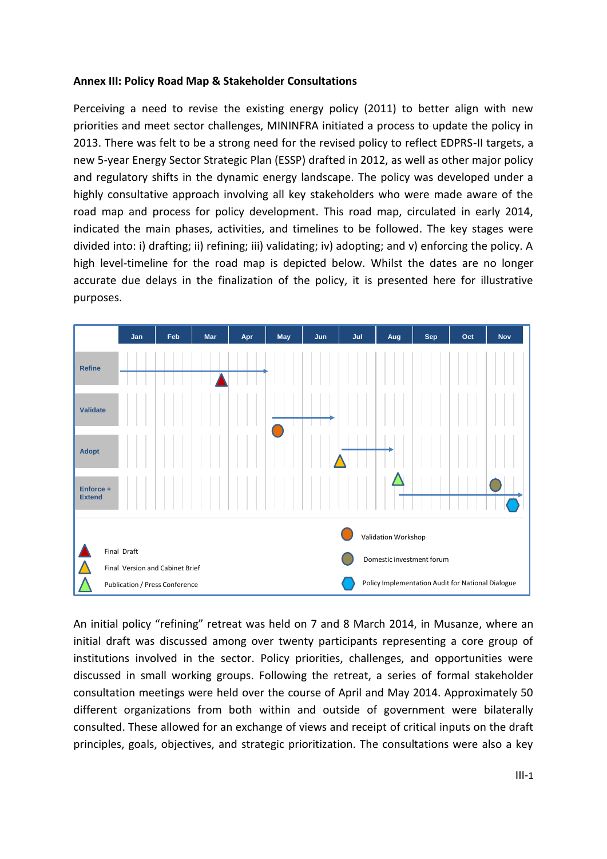#### **Annex III: Policy Road Map & Stakeholder Consultations**

Perceiving a need to revise the existing energy policy (2011) to better align with new priorities and meet sector challenges, MININFRA initiated a process to update the policy in 2013. There was felt to be a strong need for the revised policy to reflect EDPRS-II targets, a new 5-year Energy Sector Strategic Plan (ESSP) drafted in 2012, as well as other major policy and regulatory shifts in the dynamic energy landscape. The policy was developed under a highly consultative approach involving all key stakeholders who were made aware of the road map and process for policy development. This road map, circulated in early 2014, indicated the main phases, activities, and timelines to be followed. The key stages were divided into: i) drafting; ii) refining; iii) validating; iv) adopting; and v) enforcing the policy. A high level-timeline for the road map is depicted below. Whilst the dates are no longer accurate due delays in the finalization of the policy, it is presented here for illustrative purposes.



An initial policy "refining" retreat was held on 7 and 8 March 2014, in Musanze, where an initial draft was discussed among over twenty participants representing a core group of institutions involved in the sector. Policy priorities, challenges, and opportunities were discussed in small working groups. Following the retreat, a series of formal stakeholder consultation meetings were held over the course of April and May 2014. Approximately 50 different organizations from both within and outside of government were bilaterally consulted. These allowed for an exchange of views and receipt of critical inputs on the draft principles, goals, objectives, and strategic prioritization. The consultations were also a key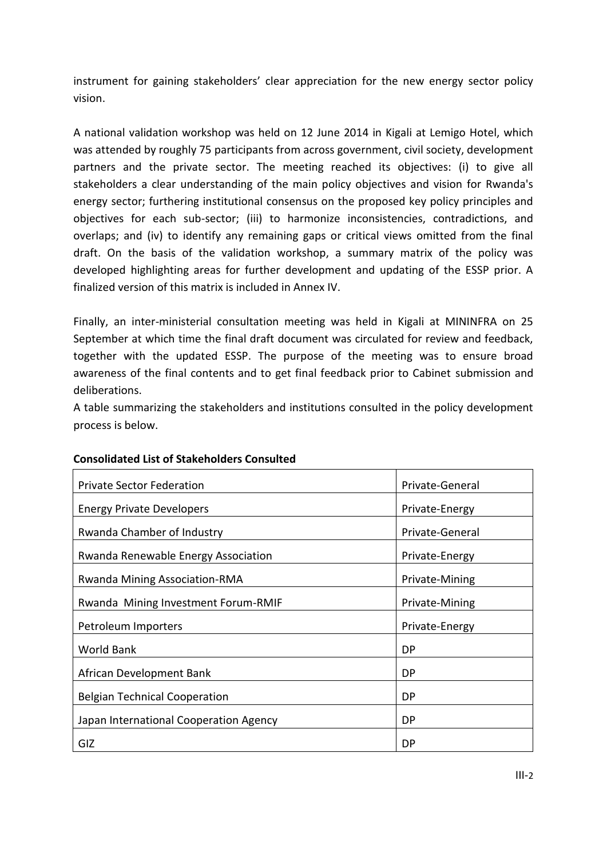instrument for gaining stakeholders' clear appreciation for the new energy sector policy vision.

A national validation workshop was held on 12 June 2014 in Kigali at Lemigo Hotel, which was attended by roughly 75 participants from across government, civil society, development partners and the private sector. The meeting reached its objectives: (i) to give all stakeholders a clear understanding of the main policy objectives and vision for Rwanda's energy sector; furthering institutional consensus on the proposed key policy principles and objectives for each sub-sector; (iii) to harmonize inconsistencies, contradictions, and overlaps; and (iv) to identify any remaining gaps or critical views omitted from the final draft. On the basis of the validation workshop, a summary matrix of the policy was developed highlighting areas for further development and updating of the ESSP prior. A finalized version of this matrix is included in Annex IV.

Finally, an inter-ministerial consultation meeting was held in Kigali at MININFRA on 25 September at which time the final draft document was circulated for review and feedback, together with the updated ESSP. The purpose of the meeting was to ensure broad awareness of the final contents and to get final feedback prior to Cabinet submission and deliberations.

A table summarizing the stakeholders and institutions consulted in the policy development process is below.

| <b>Private Sector Federation</b>       | Private-General |
|----------------------------------------|-----------------|
| <b>Energy Private Developers</b>       | Private-Energy  |
| Rwanda Chamber of Industry             | Private-General |
| Rwanda Renewable Energy Association    | Private-Energy  |
| <b>Rwanda Mining Association-RMA</b>   | Private-Mining  |
| Rwanda Mining Investment Forum-RMIF    | Private-Mining  |
| Petroleum Importers                    | Private-Energy  |
| World Bank                             | DP              |
| African Development Bank               | DP              |
| <b>Belgian Technical Cooperation</b>   | DP              |
| Japan International Cooperation Agency | DP              |
| GIZ                                    | DP              |

### **Consolidated List of Stakeholders Consulted**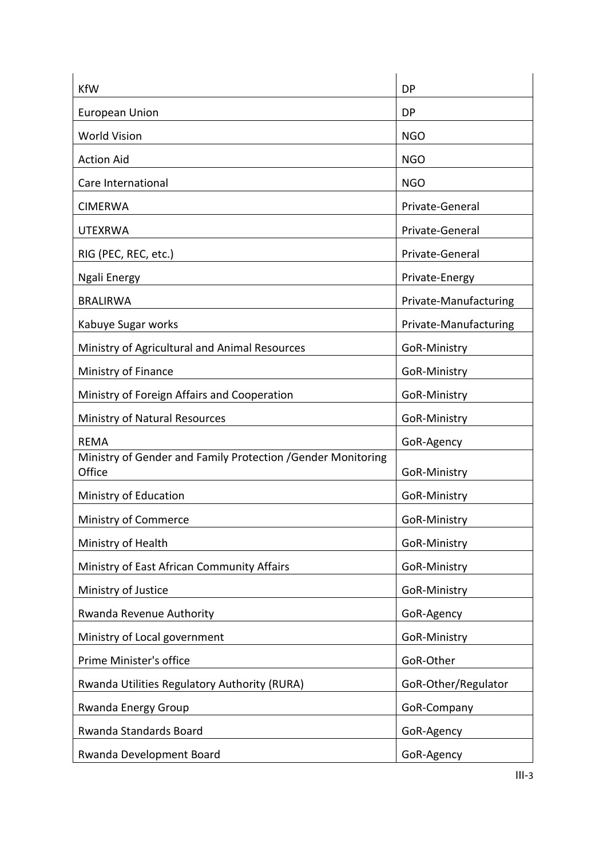| <b>KfW</b>                                                             | DP                    |
|------------------------------------------------------------------------|-----------------------|
| <b>European Union</b>                                                  | <b>DP</b>             |
| <b>World Vision</b>                                                    | <b>NGO</b>            |
| <b>Action Aid</b>                                                      | <b>NGO</b>            |
| Care International                                                     | <b>NGO</b>            |
| <b>CIMERWA</b>                                                         | Private-General       |
| <b>UTEXRWA</b>                                                         | Private-General       |
| RIG (PEC, REC, etc.)                                                   | Private-General       |
| Ngali Energy                                                           | Private-Energy        |
| <b>BRALIRWA</b>                                                        | Private-Manufacturing |
| Kabuye Sugar works                                                     | Private-Manufacturing |
| Ministry of Agricultural and Animal Resources                          | GoR-Ministry          |
| Ministry of Finance                                                    | GoR-Ministry          |
| Ministry of Foreign Affairs and Cooperation                            | GoR-Ministry          |
| Ministry of Natural Resources                                          | GoR-Ministry          |
| <b>REMA</b>                                                            | GoR-Agency            |
| Ministry of Gender and Family Protection / Gender Monitoring<br>Office | GoR-Ministry          |
| Ministry of Education                                                  | GoR-Ministry          |
| <b>Ministry of Commerce</b>                                            | GoR-Ministry          |
| Ministry of Health                                                     | GoR-Ministry          |
| Ministry of East African Community Affairs                             | GoR-Ministry          |
| Ministry of Justice                                                    | GoR-Ministry          |
| Rwanda Revenue Authority                                               | GoR-Agency            |
| Ministry of Local government                                           | GoR-Ministry          |
| Prime Minister's office                                                | GoR-Other             |
| Rwanda Utilities Regulatory Authority (RURA)                           | GoR-Other/Regulator   |
| Rwanda Energy Group                                                    | GoR-Company           |
| Rwanda Standards Board                                                 | GoR-Agency            |
| Rwanda Development Board                                               | GoR-Agency            |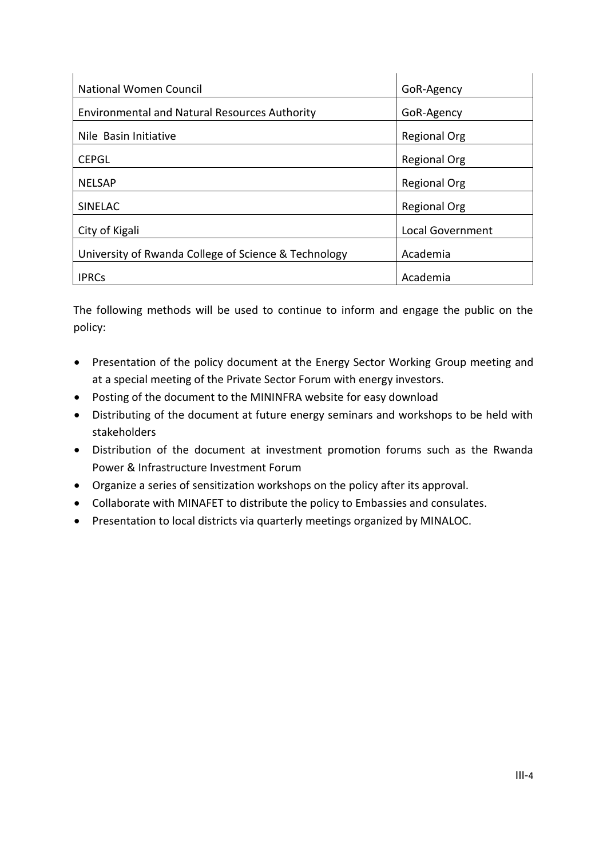| National Women Council                               | GoR-Agency              |
|------------------------------------------------------|-------------------------|
| <b>Environmental and Natural Resources Authority</b> | GoR-Agency              |
| Nile Basin Initiative                                | <b>Regional Org</b>     |
| <b>CEPGL</b>                                         | <b>Regional Org</b>     |
| <b>NELSAP</b>                                        | <b>Regional Org</b>     |
| <b>SINELAC</b>                                       | <b>Regional Org</b>     |
| City of Kigali                                       | <b>Local Government</b> |
| University of Rwanda College of Science & Technology | Academia                |
| <b>IPRCs</b>                                         | Academia                |

The following methods will be used to continue to inform and engage the public on the policy:

- Presentation of the policy document at the Energy Sector Working Group meeting and at a special meeting of the Private Sector Forum with energy investors.
- Posting of the document to the MININFRA website for easy download
- Distributing of the document at future energy seminars and workshops to be held with stakeholders
- Distribution of the document at investment promotion forums such as the Rwanda Power & Infrastructure Investment Forum
- Organize a series of sensitization workshops on the policy after its approval.
- Collaborate with MINAFET to distribute the policy to Embassies and consulates.
- Presentation to local districts via quarterly meetings organized by MINALOC.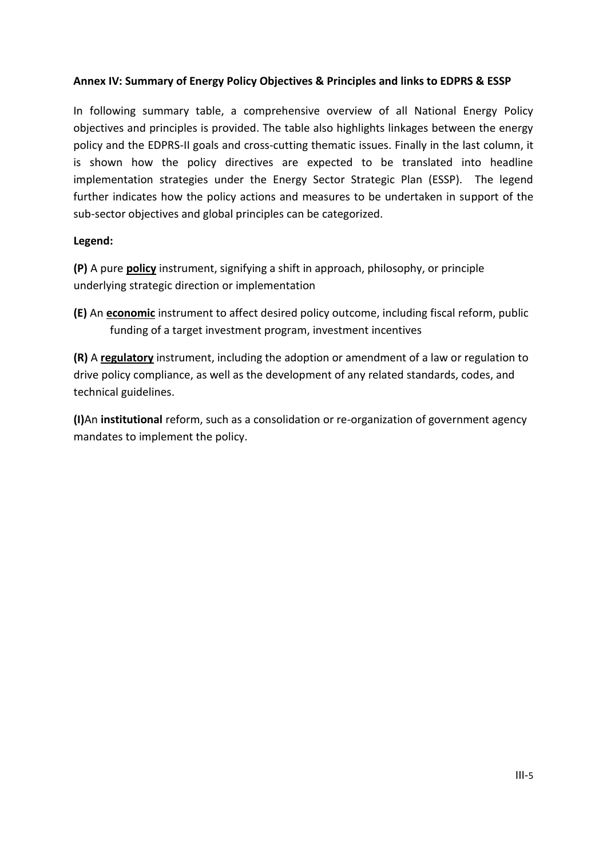## **Annex IV: Summary of Energy Policy Objectives & Principles and links to EDPRS & ESSP**

In following summary table, a comprehensive overview of all National Energy Policy objectives and principles is provided. The table also highlights linkages between the energy policy and the EDPRS-II goals and cross-cutting thematic issues. Finally in the last column, it is shown how the policy directives are expected to be translated into headline implementation strategies under the Energy Sector Strategic Plan (ESSP). The legend further indicates how the policy actions and measures to be undertaken in support of the sub-sector objectives and global principles can be categorized.

### **Legend:**

**(P)** A pure **policy** instrument, signifying a shift in approach, philosophy, or principle underlying strategic direction or implementation

**(E)** An **economic** instrument to affect desired policy outcome, including fiscal reform, public funding of a target investment program, investment incentives

**(R)** A **regulatory** instrument, including the adoption or amendment of a law or regulation to drive policy compliance, as well as the development of any related standards, codes, and technical guidelines.

**(I)**An **institutional** reform, such as a consolidation or re-organization of government agency mandates to implement the policy.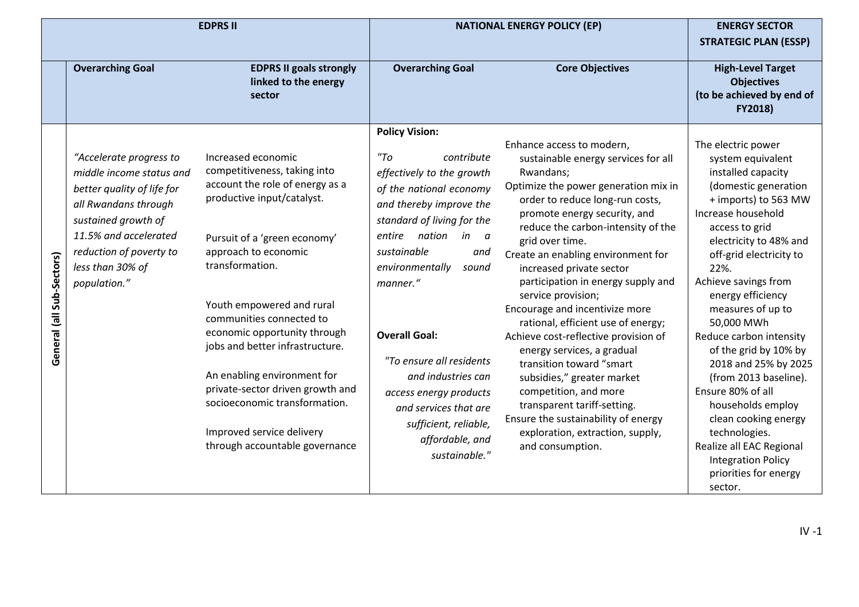|                           |                                                                                                                                                                                                                          | <b>EDPRS II</b>                                                                                                                                                                                                                                                                                                                                                                                                                                                                               |                                                                                                                                                                                                                                                                                                                                                                                                                                                   | <b>NATIONAL ENERGY POLICY (EP)</b>                                                                                                                                                                                                                                                                                                                                                                                                                                                                                                                                                                                                                                                                                                             | <b>ENERGY SECTOR</b><br><b>STRATEGIC PLAN (ESSP)</b>                                                                                                                                                                                                                                                                                                                                                                                                                                                                                                                                    |
|---------------------------|--------------------------------------------------------------------------------------------------------------------------------------------------------------------------------------------------------------------------|-----------------------------------------------------------------------------------------------------------------------------------------------------------------------------------------------------------------------------------------------------------------------------------------------------------------------------------------------------------------------------------------------------------------------------------------------------------------------------------------------|---------------------------------------------------------------------------------------------------------------------------------------------------------------------------------------------------------------------------------------------------------------------------------------------------------------------------------------------------------------------------------------------------------------------------------------------------|------------------------------------------------------------------------------------------------------------------------------------------------------------------------------------------------------------------------------------------------------------------------------------------------------------------------------------------------------------------------------------------------------------------------------------------------------------------------------------------------------------------------------------------------------------------------------------------------------------------------------------------------------------------------------------------------------------------------------------------------|-----------------------------------------------------------------------------------------------------------------------------------------------------------------------------------------------------------------------------------------------------------------------------------------------------------------------------------------------------------------------------------------------------------------------------------------------------------------------------------------------------------------------------------------------------------------------------------------|
|                           | <b>Overarching Goal</b>                                                                                                                                                                                                  | <b>EDPRS II goals strongly</b><br>linked to the energy<br>sector                                                                                                                                                                                                                                                                                                                                                                                                                              | <b>Overarching Goal</b>                                                                                                                                                                                                                                                                                                                                                                                                                           | <b>Core Objectives</b>                                                                                                                                                                                                                                                                                                                                                                                                                                                                                                                                                                                                                                                                                                                         | <b>High-Level Target</b><br><b>Objectives</b><br>(to be achieved by end of<br>FY2018)                                                                                                                                                                                                                                                                                                                                                                                                                                                                                                   |
| General (all Sub-Sectors) | "Accelerate progress to<br>middle income status and<br>better quality of life for<br>all Rwandans through<br>sustained growth of<br>11.5% and accelerated<br>reduction of poverty to<br>less than 30% of<br>population." | Increased economic<br>competitiveness, taking into<br>account the role of energy as a<br>productive input/catalyst.<br>Pursuit of a 'green economy'<br>approach to economic<br>transformation.<br>Youth empowered and rural<br>communities connected to<br>economic opportunity through<br>jobs and better infrastructure.<br>An enabling environment for<br>private-sector driven growth and<br>socioeconomic transformation.<br>Improved service delivery<br>through accountable governance | <b>Policy Vision:</b><br>"To<br>contribute<br>effectively to the growth<br>of the national economy<br>and thereby improve the<br>standard of living for the<br>entire nation<br>in<br>- a<br>sustainable<br>and<br>environmentally<br>sound<br>manner."<br><b>Overall Goal:</b><br>"To ensure all residents<br>and industries can<br>access energy products<br>and services that are<br>sufficient, reliable,<br>affordable, and<br>sustainable." | Enhance access to modern,<br>sustainable energy services for all<br>Rwandans;<br>Optimize the power generation mix in<br>order to reduce long-run costs,<br>promote energy security, and<br>reduce the carbon-intensity of the<br>grid over time.<br>Create an enabling environment for<br>increased private sector<br>participation in energy supply and<br>service provision;<br>Encourage and incentivize more<br>rational, efficient use of energy;<br>Achieve cost-reflective provision of<br>energy services, a gradual<br>transition toward "smart<br>subsidies," greater market<br>competition, and more<br>transparent tariff-setting.<br>Ensure the sustainability of energy<br>exploration, extraction, supply,<br>and consumption. | The electric power<br>system equivalent<br>installed capacity<br>(domestic generation<br>+ imports) to 563 MW<br>Increase household<br>access to grid<br>electricity to 48% and<br>off-grid electricity to<br>22%.<br>Achieve savings from<br>energy efficiency<br>measures of up to<br>50,000 MWh<br>Reduce carbon intensity<br>of the grid by 10% by<br>2018 and 25% by 2025<br>(from 2013 baseline).<br>Ensure 80% of all<br>households employ<br>clean cooking energy<br>technologies.<br>Realize all EAC Regional<br><b>Integration Policy</b><br>priorities for energy<br>sector. |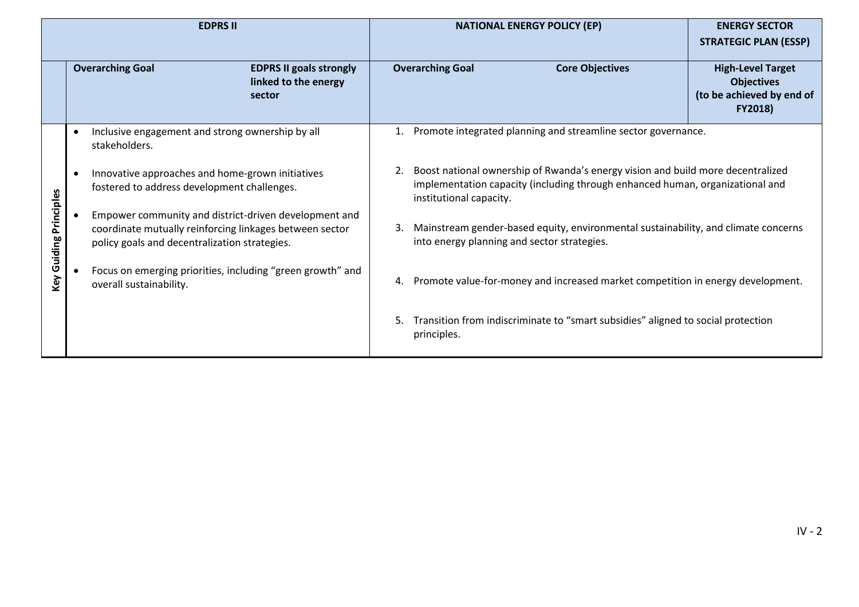|             | <b>EDPRS II</b>                                                                                                                                                   | <b>NATIONAL ENERGY POLICY (EP)</b>                                                                                                                                                                | <b>ENERGY SECTOR</b>                                                                  |  |  |  |  |
|-------------|-------------------------------------------------------------------------------------------------------------------------------------------------------------------|---------------------------------------------------------------------------------------------------------------------------------------------------------------------------------------------------|---------------------------------------------------------------------------------------|--|--|--|--|
|             |                                                                                                                                                                   |                                                                                                                                                                                                   | <b>STRATEGIC PLAN (ESSP)</b>                                                          |  |  |  |  |
|             | <b>Overarching Goal</b><br><b>EDPRS II goals strongly</b><br>linked to the energy<br>sector                                                                       | <b>Overarching Goal</b><br><b>Core Objectives</b>                                                                                                                                                 | <b>High-Level Target</b><br><b>Objectives</b><br>(to be achieved by end of<br>FY2018) |  |  |  |  |
|             | Inclusive engagement and strong ownership by all<br>$\bullet$<br>stakeholders.                                                                                    | Promote integrated planning and streamline sector governance.                                                                                                                                     |                                                                                       |  |  |  |  |
| Principles  | Innovative approaches and home-grown initiatives<br>$\bullet$<br>fostered to address development challenges.                                                      | Boost national ownership of Rwanda's energy vision and build more decentralized<br>2.<br>implementation capacity (including through enhanced human, organizational and<br>institutional capacity. |                                                                                       |  |  |  |  |
|             | Empower community and district-driven development and<br>coordinate mutually reinforcing linkages between sector<br>policy goals and decentralization strategies. | Mainstream gender-based equity, environmental sustainability, and climate concerns<br>3.<br>into energy planning and sector strategies.                                                           |                                                                                       |  |  |  |  |
| Key Guiding | Focus on emerging priorities, including "green growth" and<br>overall sustainability.                                                                             | Promote value-for-money and increased market competition in energy development.<br>4.                                                                                                             |                                                                                       |  |  |  |  |
|             |                                                                                                                                                                   | Transition from indiscriminate to "smart subsidies" aligned to social protection<br>5.<br>principles.                                                                                             |                                                                                       |  |  |  |  |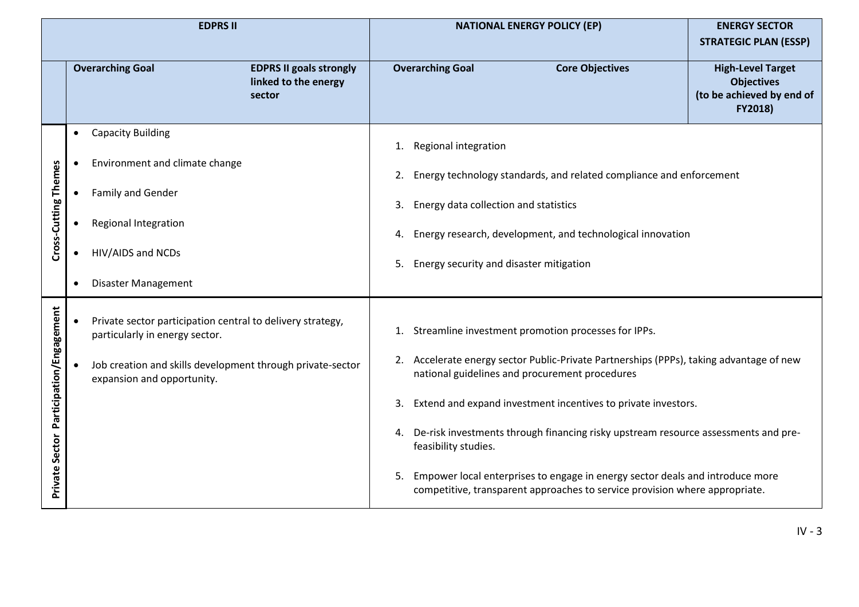|                          | <b>EDPRS II</b>                                                                                           |                                                                  |                                                               |                                          | <b>NATIONAL ENERGY POLICY (EP)</b>                                                                                                                           | <b>ENERGY SECTOR</b>                                                                  |  |  |  |  |
|--------------------------|-----------------------------------------------------------------------------------------------------------|------------------------------------------------------------------|---------------------------------------------------------------|------------------------------------------|--------------------------------------------------------------------------------------------------------------------------------------------------------------|---------------------------------------------------------------------------------------|--|--|--|--|
|                          |                                                                                                           |                                                                  |                                                               |                                          |                                                                                                                                                              | <b>STRATEGIC PLAN (ESSP)</b>                                                          |  |  |  |  |
|                          | <b>Overarching Goal</b>                                                                                   | <b>EDPRS II goals strongly</b><br>linked to the energy<br>sector |                                                               | <b>Overarching Goal</b>                  | <b>Core Objectives</b>                                                                                                                                       | <b>High-Level Target</b><br><b>Objectives</b><br>(to be achieved by end of<br>FY2018) |  |  |  |  |
|                          | <b>Capacity Building</b><br>$\bullet$                                                                     |                                                                  | 1.                                                            | Regional integration                     |                                                                                                                                                              |                                                                                       |  |  |  |  |
|                          | Environment and climate change<br>$\bullet$                                                               |                                                                  |                                                               |                                          | 2. Energy technology standards, and related compliance and enforcement                                                                                       |                                                                                       |  |  |  |  |
| Cross-Cutting Themes     | Family and Gender                                                                                         |                                                                  |                                                               | 3. Energy data collection and statistics |                                                                                                                                                              |                                                                                       |  |  |  |  |
|                          | Regional Integration                                                                                      |                                                                  | 4. Energy research, development, and technological innovation |                                          |                                                                                                                                                              |                                                                                       |  |  |  |  |
|                          | HIV/AIDS and NCDs<br>Disaster Management<br>$\bullet$                                                     |                                                                  | Energy security and disaster mitigation<br>5.                 |                                          |                                                                                                                                                              |                                                                                       |  |  |  |  |
|                          |                                                                                                           |                                                                  |                                                               |                                          |                                                                                                                                                              |                                                                                       |  |  |  |  |
| Participation/Engagement | Private sector participation central to delivery strategy,<br>$\bullet$<br>particularly in energy sector. |                                                                  | 1.                                                            |                                          | Streamline investment promotion processes for IPPs.                                                                                                          |                                                                                       |  |  |  |  |
|                          | Job creation and skills development through private-sector<br>expansion and opportunity.                  |                                                                  |                                                               |                                          | 2. Accelerate energy sector Public-Private Partnerships (PPPs), taking advantage of new<br>national guidelines and procurement procedures                    |                                                                                       |  |  |  |  |
|                          |                                                                                                           |                                                                  | 3.                                                            |                                          | Extend and expand investment incentives to private investors.                                                                                                |                                                                                       |  |  |  |  |
|                          |                                                                                                           |                                                                  | 4.                                                            | feasibility studies.                     | De-risk investments through financing risky upstream resource assessments and pre-                                                                           |                                                                                       |  |  |  |  |
| <b>Private Sector</b>    |                                                                                                           |                                                                  | 5.                                                            |                                          | Empower local enterprises to engage in energy sector deals and introduce more<br>competitive, transparent approaches to service provision where appropriate. |                                                                                       |  |  |  |  |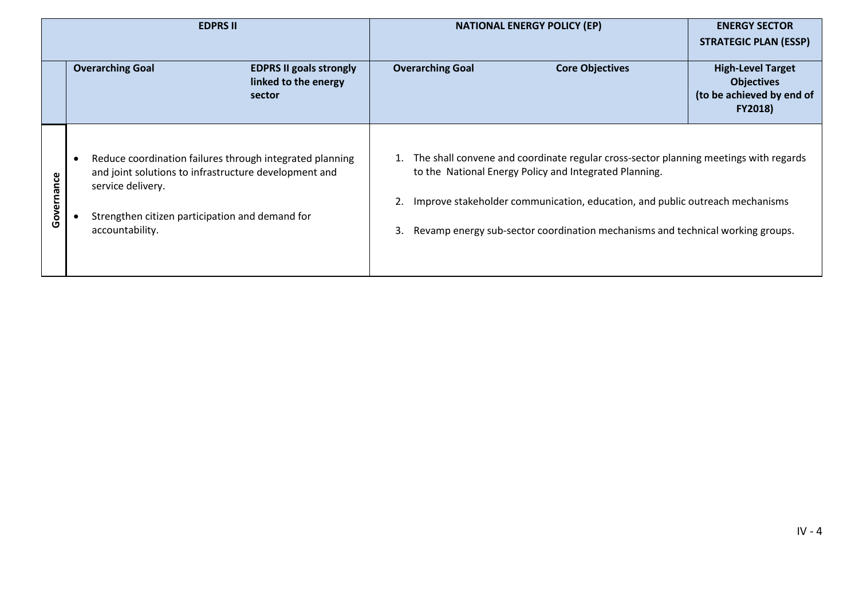| <b>EDPRS II</b> |                                                                                                                                                                                                                           | <b>NATIONAL ENERGY POLICY (EP)</b>                                                                                                                                                                                                                                                                                     | <b>ENERGY SECTOR</b><br><b>STRATEGIC PLAN (ESSP)</b>                                         |
|-----------------|---------------------------------------------------------------------------------------------------------------------------------------------------------------------------------------------------------------------------|------------------------------------------------------------------------------------------------------------------------------------------------------------------------------------------------------------------------------------------------------------------------------------------------------------------------|----------------------------------------------------------------------------------------------|
|                 | <b>Overarching Goal</b><br><b>EDPRS II goals strongly</b><br>linked to the energy<br>sector                                                                                                                               | <b>Overarching Goal</b><br><b>Core Objectives</b>                                                                                                                                                                                                                                                                      | <b>High-Level Target</b><br><b>Objectives</b><br>(to be achieved by end of<br><b>FY2018)</b> |
| Governance      | Reduce coordination failures through integrated planning<br>$\bullet$<br>and joint solutions to infrastructure development and<br>service delivery.<br>Strengthen citizen participation and demand for<br>accountability. | The shall convene and coordinate regular cross-sector planning meetings with regards<br>to the National Energy Policy and Integrated Planning.<br>Improve stakeholder communication, education, and public outreach mechanisms<br>Revamp energy sub-sector coordination mechanisms and technical working groups.<br>3. |                                                                                              |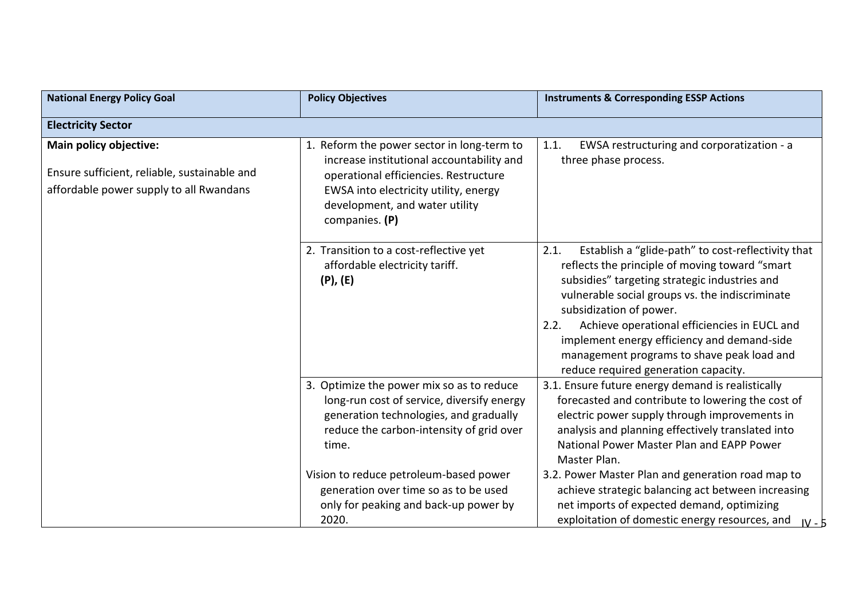| <b>National Energy Policy Goal</b>                                                                                | <b>Policy Objectives</b>                                                                                                                                                                                                                                                                                           | <b>Instruments &amp; Corresponding ESSP Actions</b>                                                                                                                                                                                                                                                                                                                                                                                      |
|-------------------------------------------------------------------------------------------------------------------|--------------------------------------------------------------------------------------------------------------------------------------------------------------------------------------------------------------------------------------------------------------------------------------------------------------------|------------------------------------------------------------------------------------------------------------------------------------------------------------------------------------------------------------------------------------------------------------------------------------------------------------------------------------------------------------------------------------------------------------------------------------------|
| <b>Electricity Sector</b>                                                                                         |                                                                                                                                                                                                                                                                                                                    |                                                                                                                                                                                                                                                                                                                                                                                                                                          |
| Main policy objective:<br>Ensure sufficient, reliable, sustainable and<br>affordable power supply to all Rwandans | 1. Reform the power sector in long-term to<br>increase institutional accountability and<br>operational efficiencies. Restructure<br>EWSA into electricity utility, energy<br>development, and water utility<br>companies. (P)                                                                                      | EWSA restructuring and corporatization - a<br>1.1.<br>three phase process.                                                                                                                                                                                                                                                                                                                                                               |
|                                                                                                                   | 2. Transition to a cost-reflective yet<br>affordable electricity tariff.<br>$(P)$ , $(E)$                                                                                                                                                                                                                          | 2.1.<br>Establish a "glide-path" to cost-reflectivity that<br>reflects the principle of moving toward "smart<br>subsidies" targeting strategic industries and<br>vulnerable social groups vs. the indiscriminate<br>subsidization of power.<br>Achieve operational efficiencies in EUCL and<br>2.2.<br>implement energy efficiency and demand-side<br>management programs to shave peak load and<br>reduce required generation capacity. |
|                                                                                                                   | 3. Optimize the power mix so as to reduce<br>long-run cost of service, diversify energy<br>generation technologies, and gradually<br>reduce the carbon-intensity of grid over<br>time.<br>Vision to reduce petroleum-based power<br>generation over time so as to be used<br>only for peaking and back-up power by | 3.1. Ensure future energy demand is realistically<br>forecasted and contribute to lowering the cost of<br>electric power supply through improvements in<br>analysis and planning effectively translated into<br>National Power Master Plan and EAPP Power<br>Master Plan.<br>3.2. Power Master Plan and generation road map to<br>achieve strategic balancing act between increasing<br>net imports of expected demand, optimizing       |
|                                                                                                                   | 2020.                                                                                                                                                                                                                                                                                                              | exploitation of domestic energy resources, and<br>$IV - 5$                                                                                                                                                                                                                                                                                                                                                                               |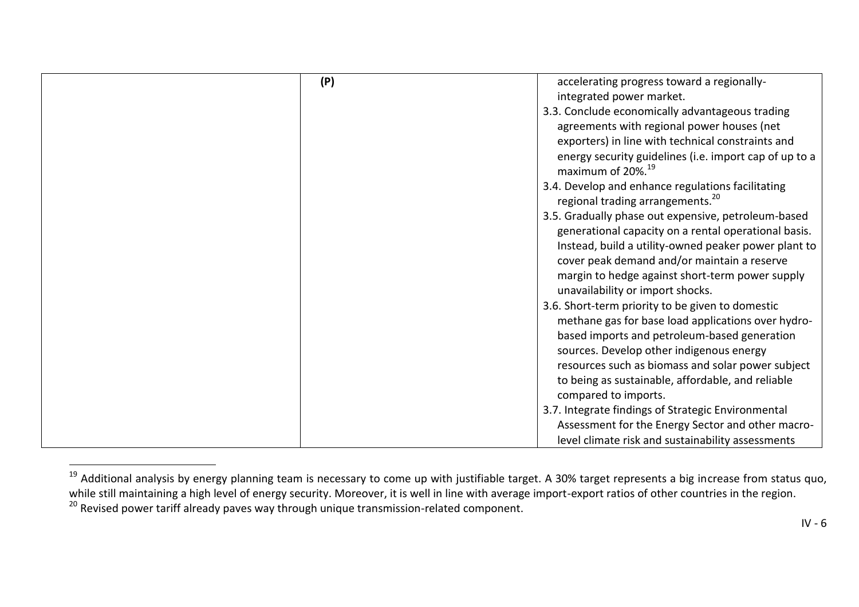| (P) | accelerating progress toward a regionally-             |
|-----|--------------------------------------------------------|
|     | integrated power market.                               |
|     | 3.3. Conclude economically advantageous trading        |
|     | agreements with regional power houses (net             |
|     | exporters) in line with technical constraints and      |
|     | energy security guidelines (i.e. import cap of up to a |
|     | maximum of 20%. <sup>19</sup>                          |
|     | 3.4. Develop and enhance regulations facilitating      |
|     | regional trading arrangements. <sup>20</sup>           |
|     | 3.5. Gradually phase out expensive, petroleum-based    |
|     | generational capacity on a rental operational basis.   |
|     | Instead, build a utility-owned peaker power plant to   |
|     | cover peak demand and/or maintain a reserve            |
|     | margin to hedge against short-term power supply        |
|     | unavailability or import shocks.                       |
|     | 3.6. Short-term priority to be given to domestic       |
|     | methane gas for base load applications over hydro-     |
|     |                                                        |
|     | based imports and petroleum-based generation           |
|     | sources. Develop other indigenous energy               |
|     | resources such as biomass and solar power subject      |
|     | to being as sustainable, affordable, and reliable      |
|     | compared to imports.                                   |
|     | 3.7. Integrate findings of Strategic Environmental     |
|     | Assessment for the Energy Sector and other macro-      |
|     | level climate risk and sustainability assessments      |

<sup>&</sup>lt;sup>19</sup> Additional analysis by energy planning team is necessary to come up with justifiable target. A 30% target represents a big increase from status quo, while still maintaining a high level of energy security. Moreover, it is well in line with average import-export ratios of other countries in the region. 20 Revised power tariff already paves way through unique transmission-related component.

 $\overline{a}$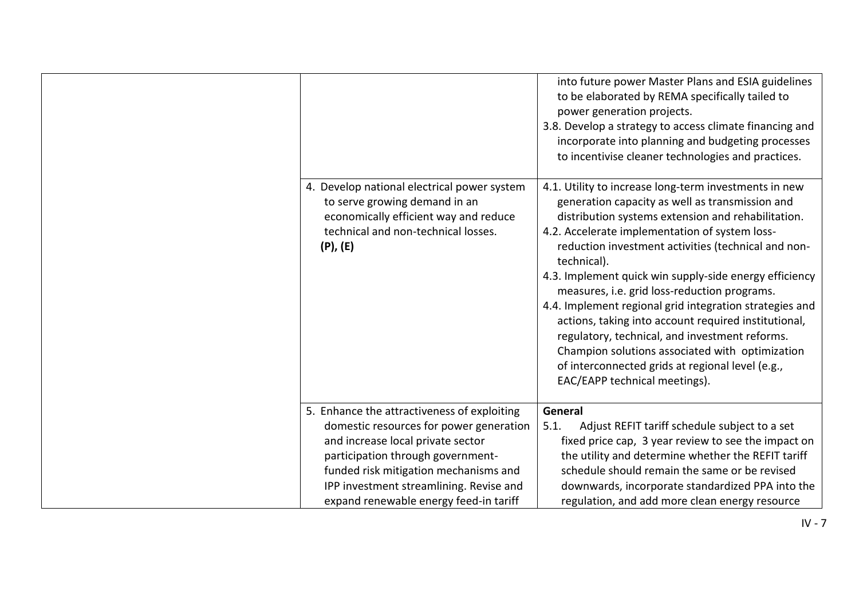|                                                                                                                                                                               | into future power Master Plans and ESIA guidelines<br>to be elaborated by REMA specifically tailed to<br>power generation projects.<br>3.8. Develop a strategy to access climate financing and<br>incorporate into planning and budgeting processes<br>to incentivise cleaner technologies and practices.                                                                                                                                                                                                                                                                                                                                                                                                     |
|-------------------------------------------------------------------------------------------------------------------------------------------------------------------------------|---------------------------------------------------------------------------------------------------------------------------------------------------------------------------------------------------------------------------------------------------------------------------------------------------------------------------------------------------------------------------------------------------------------------------------------------------------------------------------------------------------------------------------------------------------------------------------------------------------------------------------------------------------------------------------------------------------------|
| 4. Develop national electrical power system<br>to serve growing demand in an<br>economically efficient way and reduce<br>technical and non-technical losses.<br>$(P)$ , $(E)$ | 4.1. Utility to increase long-term investments in new<br>generation capacity as well as transmission and<br>distribution systems extension and rehabilitation.<br>4.2. Accelerate implementation of system loss-<br>reduction investment activities (technical and non-<br>technical).<br>4.3. Implement quick win supply-side energy efficiency<br>measures, i.e. grid loss-reduction programs.<br>4.4. Implement regional grid integration strategies and<br>actions, taking into account required institutional,<br>regulatory, technical, and investment reforms.<br>Champion solutions associated with optimization<br>of interconnected grids at regional level (e.g.,<br>EAC/EAPP technical meetings). |
| 5. Enhance the attractiveness of exploiting                                                                                                                                   | General                                                                                                                                                                                                                                                                                                                                                                                                                                                                                                                                                                                                                                                                                                       |
| domestic resources for power generation                                                                                                                                       | Adjust REFIT tariff schedule subject to a set<br>5.1.                                                                                                                                                                                                                                                                                                                                                                                                                                                                                                                                                                                                                                                         |
| and increase local private sector                                                                                                                                             | fixed price cap, 3 year review to see the impact on                                                                                                                                                                                                                                                                                                                                                                                                                                                                                                                                                                                                                                                           |
| participation through government-                                                                                                                                             | the utility and determine whether the REFIT tariff                                                                                                                                                                                                                                                                                                                                                                                                                                                                                                                                                                                                                                                            |
| funded risk mitigation mechanisms and                                                                                                                                         | schedule should remain the same or be revised                                                                                                                                                                                                                                                                                                                                                                                                                                                                                                                                                                                                                                                                 |
| IPP investment streamlining. Revise and                                                                                                                                       | downwards, incorporate standardized PPA into the                                                                                                                                                                                                                                                                                                                                                                                                                                                                                                                                                                                                                                                              |
| expand renewable energy feed-in tariff                                                                                                                                        | regulation, and add more clean energy resource                                                                                                                                                                                                                                                                                                                                                                                                                                                                                                                                                                                                                                                                |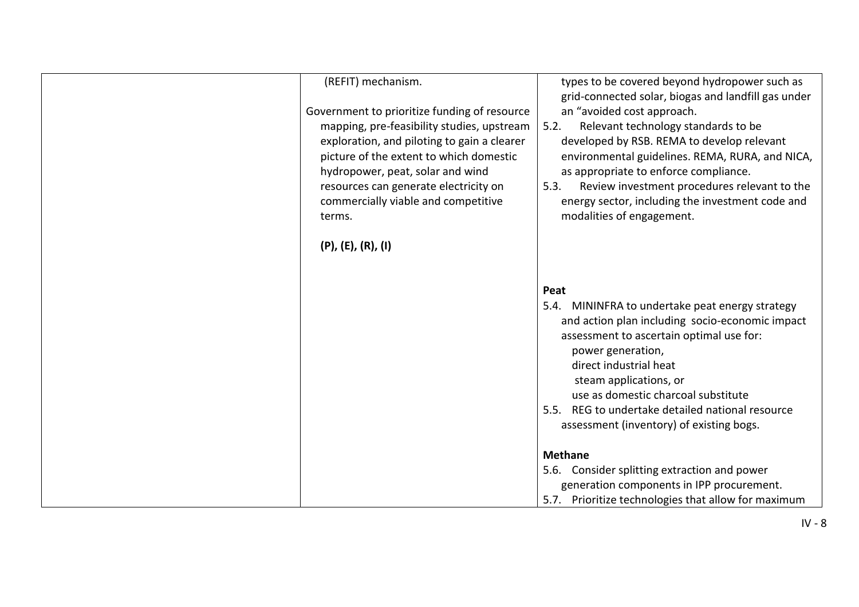| (REFIT) mechanism.<br>Government to prioritize funding of resource<br>mapping, pre-feasibility studies, upstream<br>exploration, and piloting to gain a clearer<br>picture of the extent to which domestic<br>hydropower, peat, solar and wind<br>resources can generate electricity on<br>commercially viable and competitive<br>terms. | types to be covered beyond hydropower such as<br>grid-connected solar, biogas and landfill gas under<br>an "avoided cost approach.<br>5.2.<br>Relevant technology standards to be<br>developed by RSB. REMA to develop relevant<br>environmental guidelines. REMA, RURA, and NICA,<br>as appropriate to enforce compliance.<br>Review investment procedures relevant to the<br>5.3.<br>energy sector, including the investment code and<br>modalities of engagement. |
|------------------------------------------------------------------------------------------------------------------------------------------------------------------------------------------------------------------------------------------------------------------------------------------------------------------------------------------|----------------------------------------------------------------------------------------------------------------------------------------------------------------------------------------------------------------------------------------------------------------------------------------------------------------------------------------------------------------------------------------------------------------------------------------------------------------------|
| $(P)$ , $(E)$ , $(R)$ , $(I)$                                                                                                                                                                                                                                                                                                            | Peat<br>5.4. MININFRA to undertake peat energy strategy                                                                                                                                                                                                                                                                                                                                                                                                              |
|                                                                                                                                                                                                                                                                                                                                          | and action plan including socio-economic impact<br>assessment to ascertain optimal use for:<br>power generation,<br>direct industrial heat<br>steam applications, or<br>use as domestic charcoal substitute                                                                                                                                                                                                                                                          |
|                                                                                                                                                                                                                                                                                                                                          | REG to undertake detailed national resource<br>5.5.<br>assessment (inventory) of existing bogs.                                                                                                                                                                                                                                                                                                                                                                      |
|                                                                                                                                                                                                                                                                                                                                          | <b>Methane</b><br>5.6. Consider splitting extraction and power<br>generation components in IPP procurement.<br>Prioritize technologies that allow for maximum<br>5.7.                                                                                                                                                                                                                                                                                                |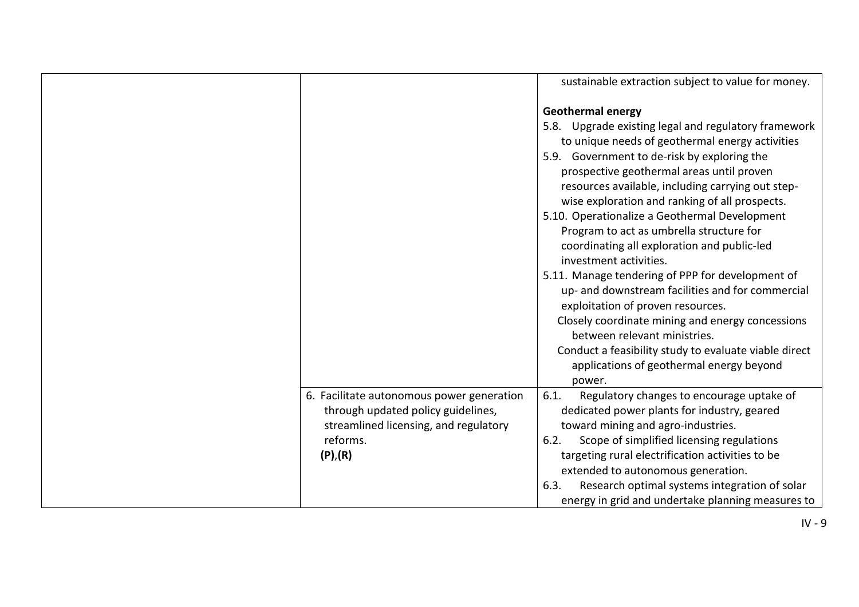|                                                                                                                                                  | sustainable extraction subject to value for money.                                                                                                                                                                                                                                                                                                                                                                                                                                                                                                                                                                                                                                                                                                                                                                                                           |
|--------------------------------------------------------------------------------------------------------------------------------------------------|--------------------------------------------------------------------------------------------------------------------------------------------------------------------------------------------------------------------------------------------------------------------------------------------------------------------------------------------------------------------------------------------------------------------------------------------------------------------------------------------------------------------------------------------------------------------------------------------------------------------------------------------------------------------------------------------------------------------------------------------------------------------------------------------------------------------------------------------------------------|
|                                                                                                                                                  | <b>Geothermal energy</b><br>5.8. Upgrade existing legal and regulatory framework<br>to unique needs of geothermal energy activities<br>5.9. Government to de-risk by exploring the<br>prospective geothermal areas until proven<br>resources available, including carrying out step-<br>wise exploration and ranking of all prospects.<br>5.10. Operationalize a Geothermal Development<br>Program to act as umbrella structure for<br>coordinating all exploration and public-led<br>investment activities.<br>5.11. Manage tendering of PPP for development of<br>up- and downstream facilities and for commercial<br>exploitation of proven resources.<br>Closely coordinate mining and energy concessions<br>between relevant ministries.<br>Conduct a feasibility study to evaluate viable direct<br>applications of geothermal energy beyond<br>power. |
| 6. Facilitate autonomous power generation<br>through updated policy guidelines,<br>streamlined licensing, and regulatory<br>reforms.<br>(P), (R) | Regulatory changes to encourage uptake of<br>6.1.<br>dedicated power plants for industry, geared<br>toward mining and agro-industries.<br>Scope of simplified licensing regulations<br>6.2.<br>targeting rural electrification activities to be                                                                                                                                                                                                                                                                                                                                                                                                                                                                                                                                                                                                              |
|                                                                                                                                                  | extended to autonomous generation.<br>Research optimal systems integration of solar<br>6.3.<br>energy in grid and undertake planning measures to                                                                                                                                                                                                                                                                                                                                                                                                                                                                                                                                                                                                                                                                                                             |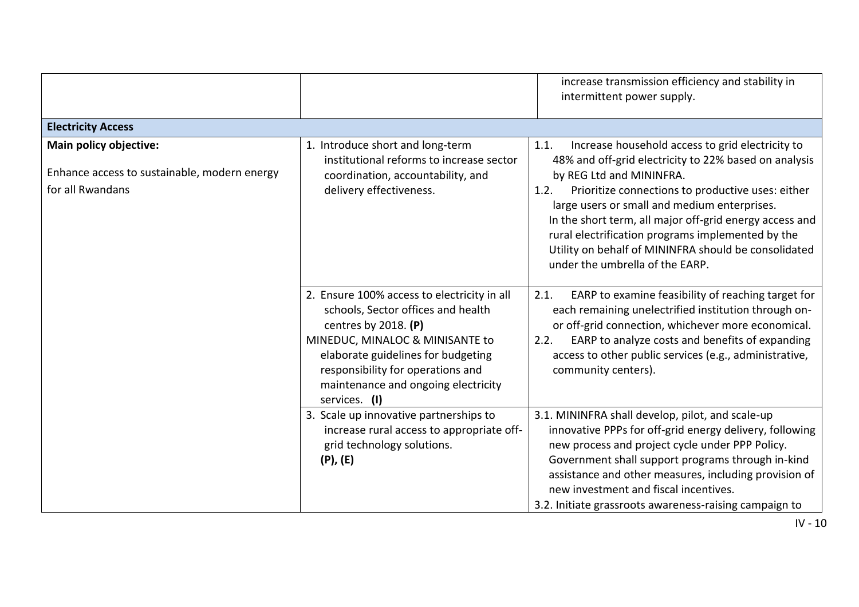|                                                                                            |                                                                                                                                                                                                                                                                                   | increase transmission efficiency and stability in<br>intermittent power supply.                                                                                                                                                                                                                                                                                                                                                                                       |
|--------------------------------------------------------------------------------------------|-----------------------------------------------------------------------------------------------------------------------------------------------------------------------------------------------------------------------------------------------------------------------------------|-----------------------------------------------------------------------------------------------------------------------------------------------------------------------------------------------------------------------------------------------------------------------------------------------------------------------------------------------------------------------------------------------------------------------------------------------------------------------|
| <b>Electricity Access</b>                                                                  |                                                                                                                                                                                                                                                                                   |                                                                                                                                                                                                                                                                                                                                                                                                                                                                       |
| Main policy objective:<br>Enhance access to sustainable, modern energy<br>for all Rwandans | 1. Introduce short and long-term<br>institutional reforms to increase sector<br>coordination, accountability, and<br>delivery effectiveness.                                                                                                                                      | Increase household access to grid electricity to<br>1.1.<br>48% and off-grid electricity to 22% based on analysis<br>by REG Ltd and MININFRA.<br>Prioritize connections to productive uses: either<br>1.2.<br>large users or small and medium enterprises.<br>In the short term, all major off-grid energy access and<br>rural electrification programs implemented by the<br>Utility on behalf of MININFRA should be consolidated<br>under the umbrella of the EARP. |
|                                                                                            | 2. Ensure 100% access to electricity in all<br>schools, Sector offices and health<br>centres by 2018. $(P)$<br>MINEDUC, MINALOC & MINISANTE to<br>elaborate guidelines for budgeting<br>responsibility for operations and<br>maintenance and ongoing electricity<br>services. (I) | EARP to examine feasibility of reaching target for<br>2.1.<br>each remaining unelectrified institution through on-<br>or off-grid connection, whichever more economical.<br>EARP to analyze costs and benefits of expanding<br>2.2.<br>access to other public services (e.g., administrative,<br>community centers).                                                                                                                                                  |
|                                                                                            | 3. Scale up innovative partnerships to<br>increase rural access to appropriate off-<br>grid technology solutions.<br>$(P)$ , $(E)$                                                                                                                                                | 3.1. MININFRA shall develop, pilot, and scale-up<br>innovative PPPs for off-grid energy delivery, following<br>new process and project cycle under PPP Policy.<br>Government shall support programs through in-kind<br>assistance and other measures, including provision of<br>new investment and fiscal incentives.<br>3.2. Initiate grassroots awareness-raising campaign to                                                                                       |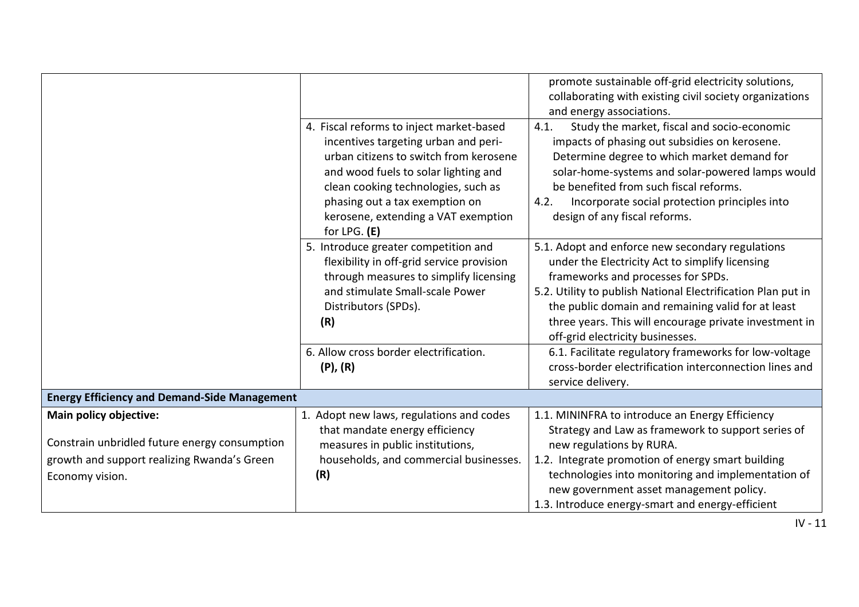|                                                                         |                                                                                                                                                                                                                                                                                                      | promote sustainable off-grid electricity solutions,<br>collaborating with existing civil society organizations<br>and energy associations.                                                                                                                                                                                                                    |
|-------------------------------------------------------------------------|------------------------------------------------------------------------------------------------------------------------------------------------------------------------------------------------------------------------------------------------------------------------------------------------------|---------------------------------------------------------------------------------------------------------------------------------------------------------------------------------------------------------------------------------------------------------------------------------------------------------------------------------------------------------------|
|                                                                         | 4. Fiscal reforms to inject market-based<br>incentives targeting urban and peri-<br>urban citizens to switch from kerosene<br>and wood fuels to solar lighting and<br>clean cooking technologies, such as<br>phasing out a tax exemption on<br>kerosene, extending a VAT exemption<br>for LPG. $(E)$ | Study the market, fiscal and socio-economic<br>4.1.<br>impacts of phasing out subsidies on kerosene.<br>Determine degree to which market demand for<br>solar-home-systems and solar-powered lamps would<br>be benefited from such fiscal reforms.<br>Incorporate social protection principles into<br>4.2.<br>design of any fiscal reforms.                   |
|                                                                         | 5. Introduce greater competition and<br>flexibility in off-grid service provision<br>through measures to simplify licensing<br>and stimulate Small-scale Power<br>Distributors (SPDs).<br>(R)                                                                                                        | 5.1. Adopt and enforce new secondary regulations<br>under the Electricity Act to simplify licensing<br>frameworks and processes for SPDs.<br>5.2. Utility to publish National Electrification Plan put in<br>the public domain and remaining valid for at least<br>three years. This will encourage private investment in<br>off-grid electricity businesses. |
|                                                                         | 6. Allow cross border electrification.<br>$(P)$ , $(R)$                                                                                                                                                                                                                                              | 6.1. Facilitate regulatory frameworks for low-voltage<br>cross-border electrification interconnection lines and<br>service delivery.                                                                                                                                                                                                                          |
| <b>Energy Efficiency and Demand-Side Management</b>                     |                                                                                                                                                                                                                                                                                                      |                                                                                                                                                                                                                                                                                                                                                               |
| Main policy objective:<br>Constrain unbridled future energy consumption | 1. Adopt new laws, regulations and codes<br>that mandate energy efficiency<br>measures in public institutions,                                                                                                                                                                                       | 1.1. MININFRA to introduce an Energy Efficiency<br>Strategy and Law as framework to support series of<br>new regulations by RURA.                                                                                                                                                                                                                             |
| growth and support realizing Rwanda's Green<br>Economy vision.          | households, and commercial businesses.<br>(R)                                                                                                                                                                                                                                                        | 1.2. Integrate promotion of energy smart building<br>technologies into monitoring and implementation of<br>new government asset management policy.<br>1.3. Introduce energy-smart and energy-efficient                                                                                                                                                        |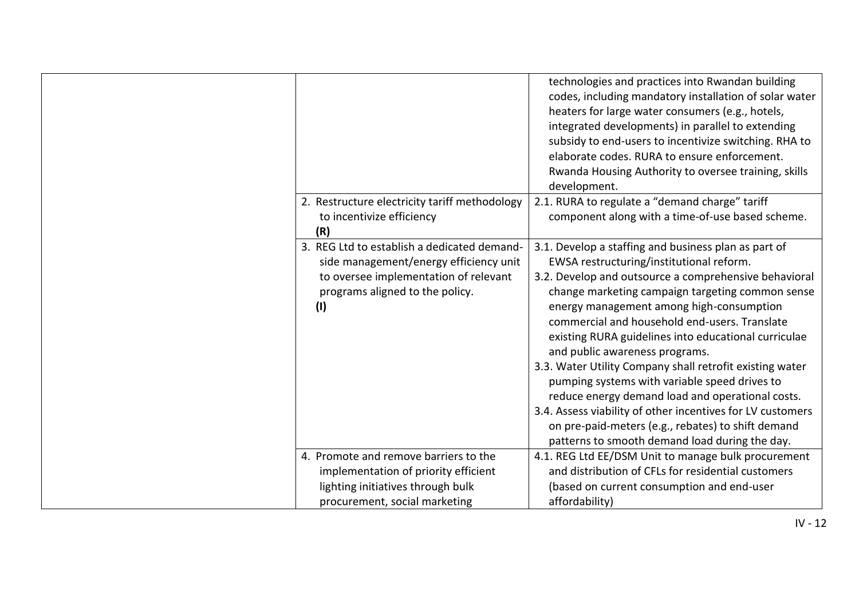|                                                                                                                                                                          | technologies and practices into Rwandan building<br>codes, including mandatory installation of solar water<br>heaters for large water consumers (e.g., hotels,<br>integrated developments) in parallel to extending<br>subsidy to end-users to incentivize switching. RHA to<br>elaborate codes. RURA to ensure enforcement.<br>Rwanda Housing Authority to oversee training, skills<br>development.                                                                                                                                                                                                                                                                                                                                        |
|--------------------------------------------------------------------------------------------------------------------------------------------------------------------------|---------------------------------------------------------------------------------------------------------------------------------------------------------------------------------------------------------------------------------------------------------------------------------------------------------------------------------------------------------------------------------------------------------------------------------------------------------------------------------------------------------------------------------------------------------------------------------------------------------------------------------------------------------------------------------------------------------------------------------------------|
| 2. Restructure electricity tariff methodology<br>to incentivize efficiency<br>(R)                                                                                        | 2.1. RURA to regulate a "demand charge" tariff<br>component along with a time-of-use based scheme.                                                                                                                                                                                                                                                                                                                                                                                                                                                                                                                                                                                                                                          |
| 3. REG Ltd to establish a dedicated demand-<br>side management/energy efficiency unit<br>to oversee implementation of relevant<br>programs aligned to the policy.<br>(1) | 3.1. Develop a staffing and business plan as part of<br>EWSA restructuring/institutional reform.<br>3.2. Develop and outsource a comprehensive behavioral<br>change marketing campaign targeting common sense<br>energy management among high-consumption<br>commercial and household end-users. Translate<br>existing RURA guidelines into educational curriculae<br>and public awareness programs.<br>3.3. Water Utility Company shall retrofit existing water<br>pumping systems with variable speed drives to<br>reduce energy demand load and operational costs.<br>3.4. Assess viability of other incentives for LV customers<br>on pre-paid-meters (e.g., rebates) to shift demand<br>patterns to smooth demand load during the day. |
| 4. Promote and remove barriers to the<br>implementation of priority efficient<br>lighting initiatives through bulk<br>procurement, social marketing                      | 4.1. REG Ltd EE/DSM Unit to manage bulk procurement<br>and distribution of CFLs for residential customers<br>(based on current consumption and end-user<br>affordability)                                                                                                                                                                                                                                                                                                                                                                                                                                                                                                                                                                   |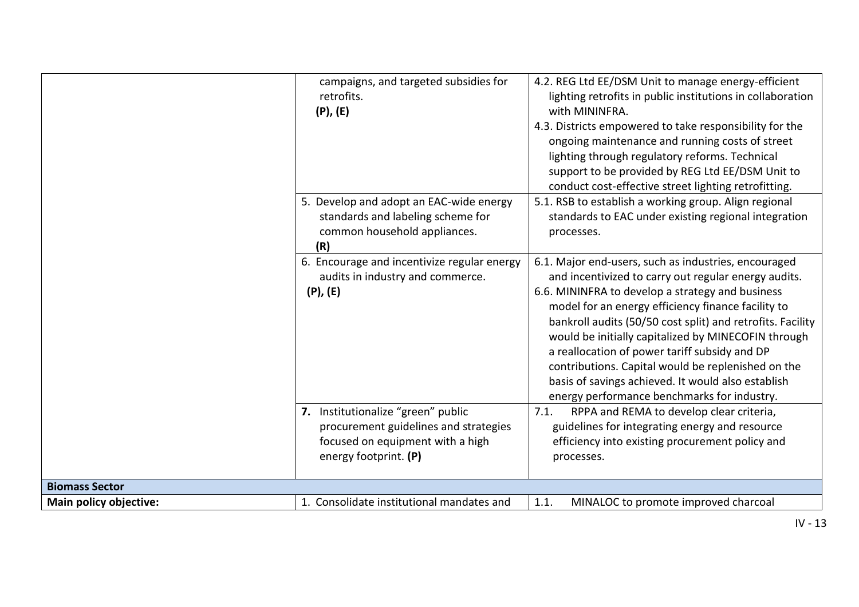|                        | campaigns, and targeted subsidies for<br>retrofits.<br>$(P)$ , $(E)$                                                                     | 4.2. REG Ltd EE/DSM Unit to manage energy-efficient<br>lighting retrofits in public institutions in collaboration<br>with MININFRA.<br>4.3. Districts empowered to take responsibility for the<br>ongoing maintenance and running costs of street<br>lighting through regulatory reforms. Technical<br>support to be provided by REG Ltd EE/DSM Unit to<br>conduct cost-effective street lighting retrofitting.                                                                                                                                         |
|------------------------|------------------------------------------------------------------------------------------------------------------------------------------|---------------------------------------------------------------------------------------------------------------------------------------------------------------------------------------------------------------------------------------------------------------------------------------------------------------------------------------------------------------------------------------------------------------------------------------------------------------------------------------------------------------------------------------------------------|
|                        | 5. Develop and adopt an EAC-wide energy<br>standards and labeling scheme for<br>common household appliances.<br>(R)                      | 5.1. RSB to establish a working group. Align regional<br>standards to EAC under existing regional integration<br>processes.                                                                                                                                                                                                                                                                                                                                                                                                                             |
|                        | 6. Encourage and incentivize regular energy<br>audits in industry and commerce.<br>$(P)$ , $(E)$                                         | 6.1. Major end-users, such as industries, encouraged<br>and incentivized to carry out regular energy audits.<br>6.6. MININFRA to develop a strategy and business<br>model for an energy efficiency finance facility to<br>bankroll audits (50/50 cost split) and retrofits. Facility<br>would be initially capitalized by MINECOFIN through<br>a reallocation of power tariff subsidy and DP<br>contributions. Capital would be replenished on the<br>basis of savings achieved. It would also establish<br>energy performance benchmarks for industry. |
|                        | 7. Institutionalize "green" public<br>procurement guidelines and strategies<br>focused on equipment with a high<br>energy footprint. (P) | RPPA and REMA to develop clear criteria,<br>7.1.<br>guidelines for integrating energy and resource<br>efficiency into existing procurement policy and<br>processes.                                                                                                                                                                                                                                                                                                                                                                                     |
| <b>Biomass Sector</b>  |                                                                                                                                          |                                                                                                                                                                                                                                                                                                                                                                                                                                                                                                                                                         |
| Main policy objective: | 1. Consolidate institutional mandates and                                                                                                | 1.1.<br>MINALOC to promote improved charcoal                                                                                                                                                                                                                                                                                                                                                                                                                                                                                                            |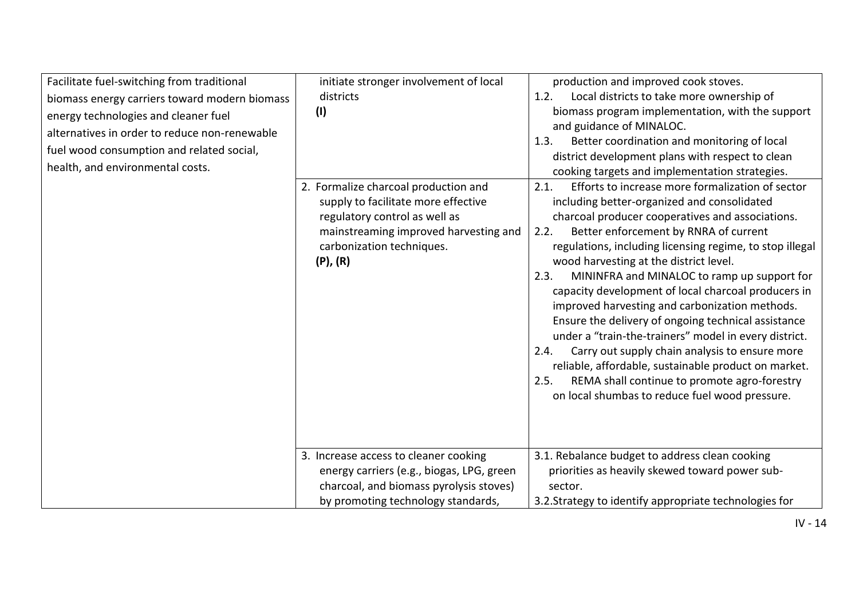| Facilitate fuel-switching from traditional<br>biomass energy carriers toward modern biomass<br>energy technologies and cleaner fuel<br>alternatives in order to reduce non-renewable<br>fuel wood consumption and related social,<br>health, and environmental costs. | initiate stronger involvement of local<br>districts<br>(1)<br>2. Formalize charcoal production and<br>supply to facilitate more effective<br>regulatory control as well as<br>mainstreaming improved harvesting and<br>carbonization techniques.<br>$(P)$ , $(R)$ | production and improved cook stoves.<br>Local districts to take more ownership of<br>1.2.<br>biomass program implementation, with the support<br>and guidance of MINALOC.<br>Better coordination and monitoring of local<br>1.3.<br>district development plans with respect to clean<br>cooking targets and implementation strategies.<br>Efforts to increase more formalization of sector<br>2.1.<br>including better-organized and consolidated<br>charcoal producer cooperatives and associations.<br>Better enforcement by RNRA of current<br>2.2.<br>regulations, including licensing regime, to stop illegal<br>wood harvesting at the district level.<br>MININFRA and MINALOC to ramp up support for<br>2.3.<br>capacity development of local charcoal producers in<br>improved harvesting and carbonization methods.<br>Ensure the delivery of ongoing technical assistance<br>under a "train-the-trainers" model in every district.<br>Carry out supply chain analysis to ensure more<br>2.4.<br>reliable, affordable, sustainable product on market.<br>REMA shall continue to promote agro-forestry<br>2.5.<br>on local shumbas to reduce fuel wood pressure. |
|-----------------------------------------------------------------------------------------------------------------------------------------------------------------------------------------------------------------------------------------------------------------------|-------------------------------------------------------------------------------------------------------------------------------------------------------------------------------------------------------------------------------------------------------------------|--------------------------------------------------------------------------------------------------------------------------------------------------------------------------------------------------------------------------------------------------------------------------------------------------------------------------------------------------------------------------------------------------------------------------------------------------------------------------------------------------------------------------------------------------------------------------------------------------------------------------------------------------------------------------------------------------------------------------------------------------------------------------------------------------------------------------------------------------------------------------------------------------------------------------------------------------------------------------------------------------------------------------------------------------------------------------------------------------------------------------------------------------------------------------|
|                                                                                                                                                                                                                                                                       | 3. Increase access to cleaner cooking<br>energy carriers (e.g., biogas, LPG, green<br>charcoal, and biomass pyrolysis stoves)<br>by promoting technology standards,                                                                                               | 3.1. Rebalance budget to address clean cooking<br>priorities as heavily skewed toward power sub-<br>sector.<br>3.2. Strategy to identify appropriate technologies for                                                                                                                                                                                                                                                                                                                                                                                                                                                                                                                                                                                                                                                                                                                                                                                                                                                                                                                                                                                                    |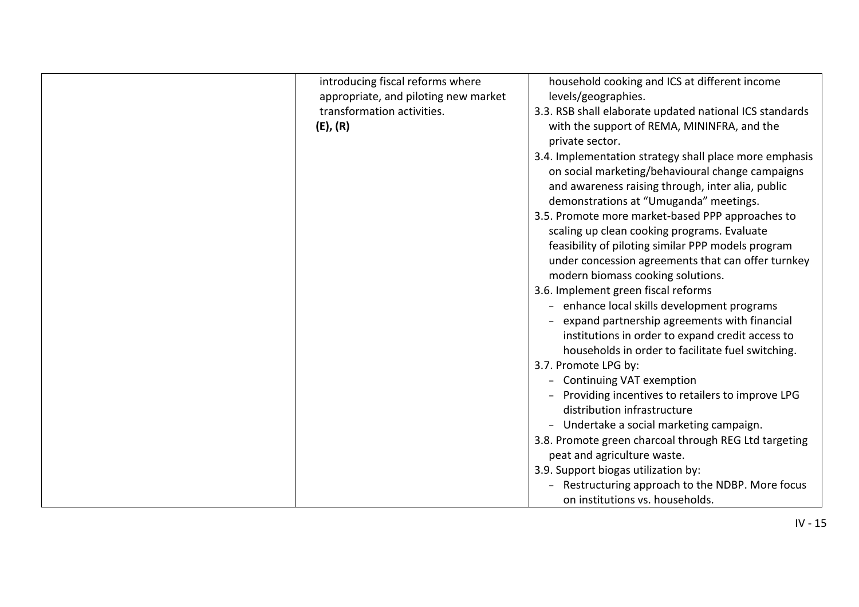| introducing fiscal reforms where<br>appropriate, and piloting new market<br>transformation activities.<br>(E), (R) | household cooking and ICS at different income<br>levels/geographies.<br>3.3. RSB shall elaborate updated national ICS standards<br>with the support of REMA, MININFRA, and the<br>private sector.<br>3.4. Implementation strategy shall place more emphasis<br>on social marketing/behavioural change campaigns<br>and awareness raising through, inter alia, public<br>demonstrations at "Umuganda" meetings.<br>3.5. Promote more market-based PPP approaches to<br>scaling up clean cooking programs. Evaluate<br>feasibility of piloting similar PPP models program<br>under concession agreements that can offer turnkey<br>modern biomass cooking solutions.<br>3.6. Implement green fiscal reforms<br>enhance local skills development programs<br>expand partnership agreements with financial<br>institutions in order to expand credit access to<br>households in order to facilitate fuel switching.<br>3.7. Promote LPG by:<br><b>Continuing VAT exemption</b><br>Providing incentives to retailers to improve LPG<br>distribution infrastructure<br>- Undertake a social marketing campaign.<br>3.8. Promote green charcoal through REG Ltd targeting<br>peat and agriculture waste.<br>3.9. Support biogas utilization by:<br>Restructuring approach to the NDBP. More focus |
|--------------------------------------------------------------------------------------------------------------------|--------------------------------------------------------------------------------------------------------------------------------------------------------------------------------------------------------------------------------------------------------------------------------------------------------------------------------------------------------------------------------------------------------------------------------------------------------------------------------------------------------------------------------------------------------------------------------------------------------------------------------------------------------------------------------------------------------------------------------------------------------------------------------------------------------------------------------------------------------------------------------------------------------------------------------------------------------------------------------------------------------------------------------------------------------------------------------------------------------------------------------------------------------------------------------------------------------------------------------------------------------------------------------------------|
|                                                                                                                    | on institutions vs. households.                                                                                                                                                                                                                                                                                                                                                                                                                                                                                                                                                                                                                                                                                                                                                                                                                                                                                                                                                                                                                                                                                                                                                                                                                                                            |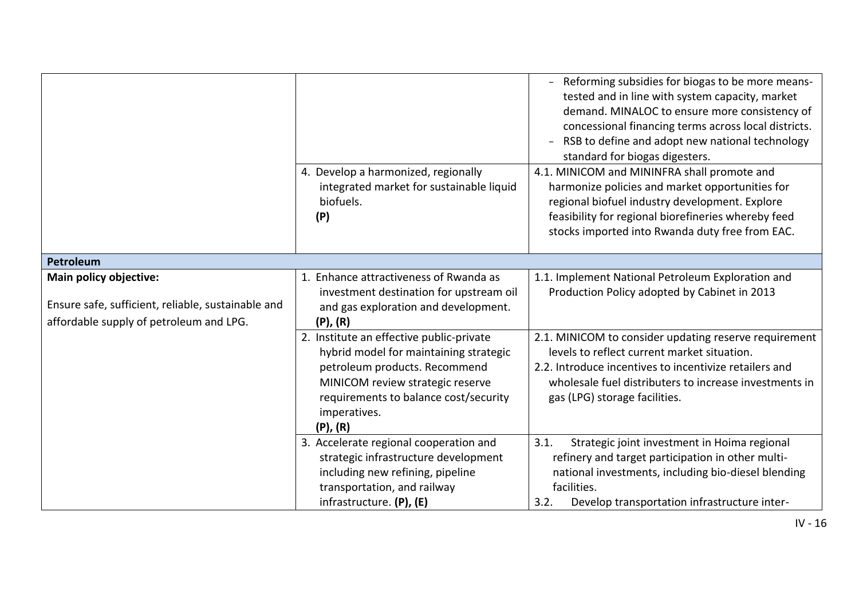|                                                                                                                         |                                                                                                                                                                                                                                   | Reforming subsidies for biogas to be more means-<br>tested and in line with system capacity, market<br>demand. MINALOC to ensure more consistency of<br>concessional financing terms across local districts.<br>RSB to define and adopt new national technology<br>standard for biogas digesters. |
|-------------------------------------------------------------------------------------------------------------------------|-----------------------------------------------------------------------------------------------------------------------------------------------------------------------------------------------------------------------------------|---------------------------------------------------------------------------------------------------------------------------------------------------------------------------------------------------------------------------------------------------------------------------------------------------|
|                                                                                                                         | 4. Develop a harmonized, regionally<br>integrated market for sustainable liquid<br>biofuels.<br>(P)                                                                                                                               | 4.1. MINICOM and MININFRA shall promote and<br>harmonize policies and market opportunities for<br>regional biofuel industry development. Explore<br>feasibility for regional biorefineries whereby feed<br>stocks imported into Rwanda duty free from EAC.                                        |
| <b>Petroleum</b>                                                                                                        |                                                                                                                                                                                                                                   |                                                                                                                                                                                                                                                                                                   |
| Main policy objective:<br>Ensure safe, sufficient, reliable, sustainable and<br>affordable supply of petroleum and LPG. | 1. Enhance attractiveness of Rwanda as<br>investment destination for upstream oil<br>and gas exploration and development.<br>$(P)$ , $(R)$                                                                                        | 1.1. Implement National Petroleum Exploration and<br>Production Policy adopted by Cabinet in 2013                                                                                                                                                                                                 |
|                                                                                                                         | 2. Institute an effective public-private<br>hybrid model for maintaining strategic<br>petroleum products. Recommend<br>MINICOM review strategic reserve<br>requirements to balance cost/security<br>imperatives.<br>$(P)$ , $(R)$ | 2.1. MINICOM to consider updating reserve requirement<br>levels to reflect current market situation.<br>2.2. Introduce incentives to incentivize retailers and<br>wholesale fuel distributers to increase investments in<br>gas (LPG) storage facilities.                                         |
|                                                                                                                         | 3. Accelerate regional cooperation and<br>strategic infrastructure development<br>including new refining, pipeline<br>transportation, and railway<br>infrastructure. (P), (E)                                                     | 3.1.<br>Strategic joint investment in Hoima regional<br>refinery and target participation in other multi-<br>national investments, including bio-diesel blending<br>facilities.<br>Develop transportation infrastructure inter-<br>3.2.                                                           |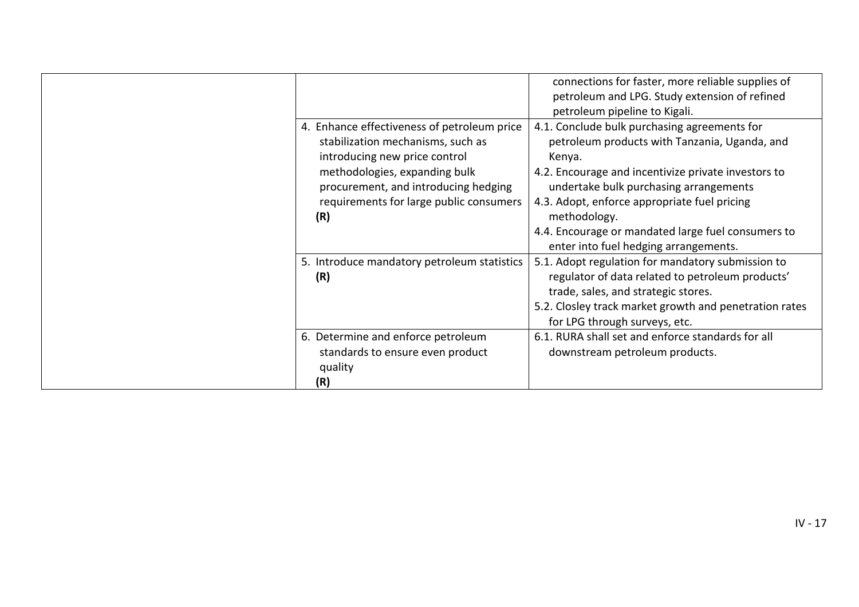|                                                                                                                                                                                                                                              | connections for faster, more reliable supplies of<br>petroleum and LPG. Study extension of refined<br>petroleum pipeline to Kigali.                                                                                                                                                                                                                                     |
|----------------------------------------------------------------------------------------------------------------------------------------------------------------------------------------------------------------------------------------------|-------------------------------------------------------------------------------------------------------------------------------------------------------------------------------------------------------------------------------------------------------------------------------------------------------------------------------------------------------------------------|
| 4. Enhance effectiveness of petroleum price<br>stabilization mechanisms, such as<br>introducing new price control<br>methodologies, expanding bulk<br>procurement, and introducing hedging<br>requirements for large public consumers<br>(R) | 4.1. Conclude bulk purchasing agreements for<br>petroleum products with Tanzania, Uganda, and<br>Kenya.<br>4.2. Encourage and incentivize private investors to<br>undertake bulk purchasing arrangements<br>4.3. Adopt, enforce appropriate fuel pricing<br>methodology.<br>4.4. Encourage or mandated large fuel consumers to<br>enter into fuel hedging arrangements. |
| 5. Introduce mandatory petroleum statistics<br>(R)                                                                                                                                                                                           | 5.1. Adopt regulation for mandatory submission to<br>regulator of data related to petroleum products'<br>trade, sales, and strategic stores.<br>5.2. Closley track market growth and penetration rates<br>for LPG through surveys, etc.                                                                                                                                 |
| 6. Determine and enforce petroleum<br>standards to ensure even product<br>quality<br>(R)                                                                                                                                                     | 6.1. RURA shall set and enforce standards for all<br>downstream petroleum products.                                                                                                                                                                                                                                                                                     |